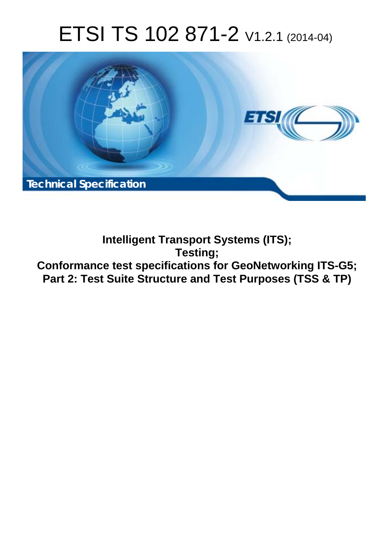# ETSI TS 102 871-2 V1.2.1 (2014-04)



**Intelligent Transport Systems (ITS); Testing; Conformance test specifications for GeoNetworking ITS-G5; Part 2: Test Suite Structure and Test Purposes (TSS & TP)**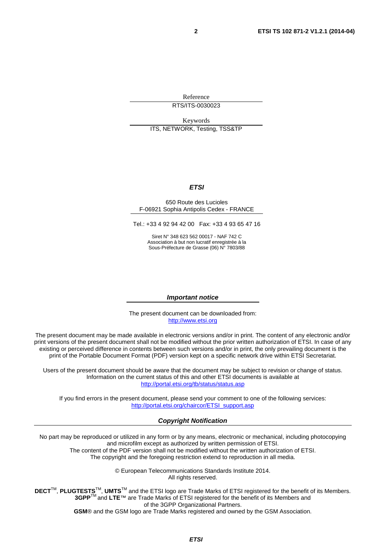Reference RTS/ITS-0030023

Keywords ITS, NETWORK, Testing, TSS&TP

#### *ETSI*

#### 650 Route des Lucioles F-06921 Sophia Antipolis Cedex - FRANCE

Tel.: +33 4 92 94 42 00 Fax: +33 4 93 65 47 16

Siret N° 348 623 562 00017 - NAF 742 C Association à but non lucratif enregistrée à la Sous-Préfecture de Grasse (06) N° 7803/88

#### *Important notice*

The present document can be downloaded from: [http://www.etsi.org](http://www.etsi.org/)

The present document may be made available in electronic versions and/or in print. The content of any electronic and/or print versions of the present document shall not be modified without the prior written authorization of ETSI. In case of any existing or perceived difference in contents between such versions and/or in print, the only prevailing document is the print of the Portable Document Format (PDF) version kept on a specific network drive within ETSI Secretariat.

Users of the present document should be aware that the document may be subject to revision or change of status. Information on the current status of this and other ETSI documents is available at <http://portal.etsi.org/tb/status/status.asp>

If you find errors in the present document, please send your comment to one of the following services: [http://portal.etsi.org/chaircor/ETSI\\_support.asp](http://portal.etsi.org/chaircor/ETSI_support.asp)

#### *Copyright Notification*

No part may be reproduced or utilized in any form or by any means, electronic or mechanical, including photocopying and microfilm except as authorized by written permission of ETSI.

The content of the PDF version shall not be modified without the written authorization of ETSI. The copyright and the foregoing restriction extend to reproduction in all media.

> © European Telecommunications Standards Institute 2014. All rights reserved.

**DECT**TM, **PLUGTESTS**TM, **UMTS**TM and the ETSI logo are Trade Marks of ETSI registered for the benefit of its Members. **3GPP**TM and **LTE**™ are Trade Marks of ETSI registered for the benefit of its Members and of the 3GPP Organizational Partners.

**GSM**® and the GSM logo are Trade Marks registered and owned by the GSM Association.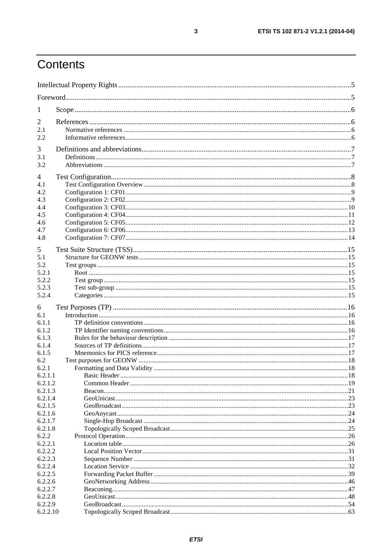## Contents

| $\perp$             |  |  |
|---------------------|--|--|
| 2                   |  |  |
| 2.1                 |  |  |
| 2.2                 |  |  |
| 3                   |  |  |
| 3.1                 |  |  |
| 3.2                 |  |  |
|                     |  |  |
| 4                   |  |  |
| 4.1                 |  |  |
| 4.2                 |  |  |
| 4.3                 |  |  |
| 4.4                 |  |  |
| 4.5                 |  |  |
| 4.6                 |  |  |
| 4.7<br>4.8          |  |  |
|                     |  |  |
| 5                   |  |  |
| 5.1                 |  |  |
| 5.2                 |  |  |
| 5.2.1               |  |  |
| 5.2.2               |  |  |
| 5.2.3               |  |  |
| 5.2.4               |  |  |
| 6                   |  |  |
| 6.1                 |  |  |
| 6.1.1               |  |  |
| 6.1.2               |  |  |
| 6.1.3               |  |  |
| 6.1.4               |  |  |
| 6.1.5               |  |  |
| 6.2                 |  |  |
| 6.2.1<br>6.2.1.1    |  |  |
| 6.2.1.2             |  |  |
| 6.2.1.3             |  |  |
| 6.2.1.4             |  |  |
| 6.2.1.5             |  |  |
| 6.2.1.6             |  |  |
| 6.2.1.7             |  |  |
| 6.2.1.8             |  |  |
| 6.2.2               |  |  |
| 6.2.2.1             |  |  |
| 6.2.2.2             |  |  |
| 6.2.2.3             |  |  |
| 6.2.2.4             |  |  |
| 6.2.2.5             |  |  |
| 6.2.2.6             |  |  |
| 6.2.2.7             |  |  |
| 6.2.2.8             |  |  |
| 6.2.2.9<br>6.2.2.10 |  |  |
|                     |  |  |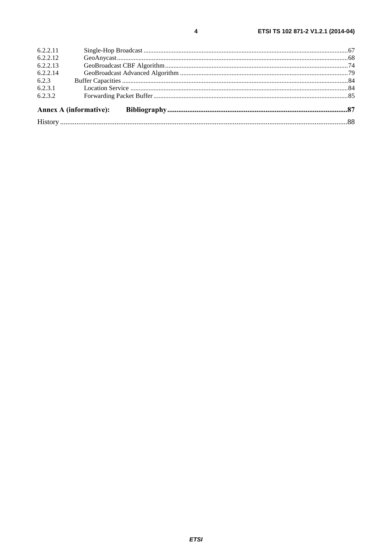|          | <b>Annex A (informative):</b> |  |
|----------|-------------------------------|--|
| 6.2.3.2  |                               |  |
| 6.2.3.1  |                               |  |
| 6.2.3    |                               |  |
| 6.2.2.14 |                               |  |
| 6.2.2.13 |                               |  |
| 6.2.2.12 |                               |  |
| 6.2.2.11 |                               |  |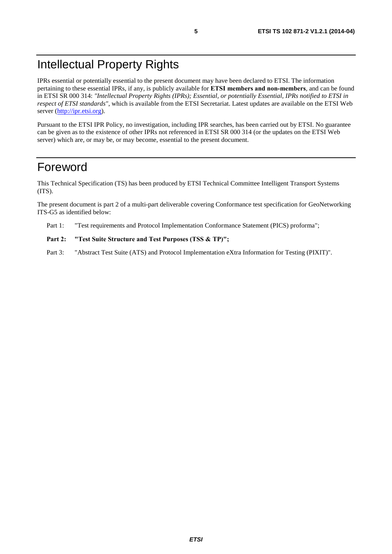## Intellectual Property Rights

IPRs essential or potentially essential to the present document may have been declared to ETSI. The information pertaining to these essential IPRs, if any, is publicly available for **ETSI members and non-members**, and can be found in ETSI SR 000 314: *"Intellectual Property Rights (IPRs); Essential, or potentially Essential, IPRs notified to ETSI in respect of ETSI standards"*, which is available from the ETSI Secretariat. Latest updates are available on the ETSI Web server ([http://ipr.etsi.org\)](http://webapp.etsi.org/IPR/home.asp).

Pursuant to the ETSI IPR Policy, no investigation, including IPR searches, has been carried out by ETSI. No guarantee can be given as to the existence of other IPRs not referenced in ETSI SR 000 314 (or the updates on the ETSI Web server) which are, or may be, or may become, essential to the present document.

## Foreword

This Technical Specification (TS) has been produced by ETSI Technical Committee Intelligent Transport Systems (ITS).

The present document is part 2 of a multi-part deliverable covering Conformance test specification for GeoNetworking ITS-G5 as identified below:

Part 1: "Test requirements and Protocol Implementation Conformance Statement (PICS) proforma";

#### Part 2: "Test Suite Structure and Test Purposes (TSS & TP)";

Part 3: "Abstract Test Suite (ATS) and Protocol Implementation eXtra Information for Testing (PIXIT)".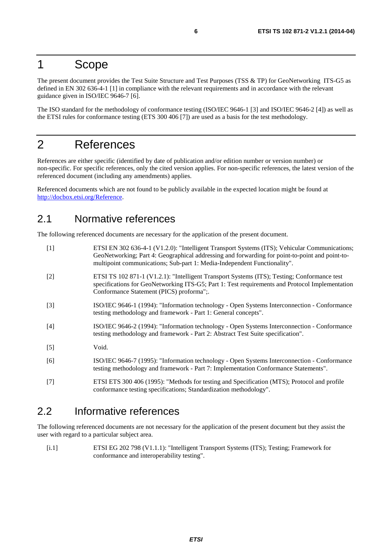### 1 Scope

The present document provides the Test Suite Structure and Test Purposes (TSS & TP) for GeoNetworking ITS-G5 as defined in EN 302 636-4-1 [1] in compliance with the relevant requirements and in accordance with the relevant guidance given in ISO/IEC 9646-7 [6].

The ISO standard for the methodology of conformance testing (ISO/IEC 9646-1 [3] and ISO/IEC 9646-2 [4]) as well as the ETSI rules for conformance testing (ETS 300 406 [7]) are used as a basis for the test methodology.

## 2 References

References are either specific (identified by date of publication and/or edition number or version number) or non-specific. For specific references, only the cited version applies. For non-specific references, the latest version of the referenced document (including any amendments) applies.

Referenced documents which are not found to be publicly available in the expected location might be found at [http://docbox.etsi.org/Reference.](http://docbox.etsi.org/Reference)

### 2.1 Normative references

The following referenced documents are necessary for the application of the present document.

| $[1]$ | ETSI EN 302 636-4-1 (V1.2.0): "Intelligent Transport Systems (ITS); Vehicular Communications;<br>GeoNetworking; Part 4: Geographical addressing and forwarding for point-to-point and point-to-<br>multipoint communications; Sub-part 1: Media-Independent Functionality". |
|-------|-----------------------------------------------------------------------------------------------------------------------------------------------------------------------------------------------------------------------------------------------------------------------------|
| $[2]$ | ETSI TS 102 871-1 (V1.2.1): "Intelligent Transport Systems (ITS); Testing; Conformance test<br>specifications for GeoNetworking ITS-G5; Part 1: Test requirements and Protocol Implementation<br>Conformance Statement (PICS) proforma";.                                   |
| $[3]$ | ISO/IEC 9646-1 (1994): "Information technology - Open Systems Interconnection - Conformance<br>testing methodology and framework - Part 1: General concepts".                                                                                                               |
| $[4]$ | ISO/IEC 9646-2 (1994): "Information technology - Open Systems Interconnection - Conformance<br>testing methodology and framework - Part 2: Abstract Test Suite specification".                                                                                              |
| [5]   | Void.                                                                                                                                                                                                                                                                       |
| [6]   | ISO/IEC 9646-7 (1995): "Information technology - Open Systems Interconnection - Conformance<br>testing methodology and framework - Part 7: Implementation Conformance Statements".                                                                                          |
| ורו   | $ETCI FTS 300 406 (1005)$ "Mathods for testing and Specification (MTS). Protocol and profile                                                                                                                                                                                |

#### [7] ETSI ETS 300 406 (1995): "Methods for testing and Specification (MTS); Protocol and profile conformance testing specifications; Standardization methodology".

### 2.2 Informative references

The following referenced documents are not necessary for the application of the present document but they assist the user with regard to a particular subject area.

[i.1] ETSI EG 202 798 (V1.1.1): "Intelligent Transport Systems (ITS); Testing; Framework for conformance and interoperability testing".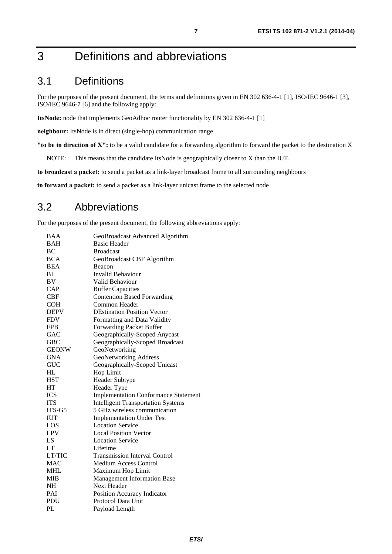## 3 Definitions and abbreviations

## 3.1 Definitions

For the purposes of the present document, the terms and definitions given in EN 302 636-4-1 [1], ISO/IEC 9646-1 [3], ISO/IEC 9646-7 [6] and the following apply:

**ItsNode:** node that implements GeoAdhoc router functionality by EN 302 636-4-1 [1]

**neighbour:** ItsNode is in direct (single-hop) communication range

**"to be in direction of X":** to be a valid candidate for a forwarding algorithm to forward the packet to the destination X

NOTE: This means that the candidate ItsNode is geographically closer to X than the IUT.

**to broadcast a packet:** to send a packet as a link-layer broadcast frame to all surrounding neighbours

**to forward a packet:** to send a packet as a link-layer unicast frame to the selected node

### 3.2 Abbreviations

For the purposes of the present document, the following abbreviations apply:

| <b>BAA</b>   | GeoBroadcast Advanced Algorithm             |
|--------------|---------------------------------------------|
| <b>BAH</b>   | <b>Basic Header</b>                         |
| BC           | <b>Broadcast</b>                            |
| <b>BCA</b>   | GeoBroadcast CBF Algorithm                  |
| <b>BEA</b>   | Beacon                                      |
| BI           | <b>Invalid Behaviour</b>                    |
| <b>BV</b>    | Valid Behaviour                             |
| <b>CAP</b>   | <b>Buffer Capacities</b>                    |
| CBF          | <b>Contention Based Forwarding</b>          |
| <b>COH</b>   | Common Header                               |
| <b>DEPV</b>  | <b>DEstination Position Vector</b>          |
| <b>FDV</b>   | Formatting and Data Validity                |
| <b>FPB</b>   | <b>Forwarding Packet Buffer</b>             |
| GAC          | Geographically-Scoped Anycast               |
| <b>GBC</b>   | Geographically-Scoped Broadcast             |
| <b>GEONW</b> | GeoNetworking                               |
| <b>GNA</b>   | <b>GeoNetworking Address</b>                |
| <b>GUC</b>   | Geographically-Scoped Unicast               |
| HL           | Hop Limit                                   |
| <b>HST</b>   | Header Subtype                              |
| HT           | Header Type                                 |
| <b>ICS</b>   | <b>Implementation Conformance Statement</b> |
| <b>ITS</b>   | <b>Intelligent Transportation Systems</b>   |
| ITS-G5       | 5 GHz wireless communication                |
| <b>IUT</b>   | <b>Implementation Under Test</b>            |
| LOS          | <b>Location Service</b>                     |
| <b>LPV</b>   | <b>Local Position Vector</b>                |
| LS           | <b>Location Service</b>                     |
| LT           | Lifetime                                    |
| LT/TIC       | <b>Transmission Interval Control</b>        |
| <b>MAC</b>   | <b>Medium Access Control</b>                |
| MHL          | Maximum Hop Limit                           |
| <b>MIB</b>   | <b>Management Information Base</b>          |
| NH           | Next Header                                 |
| PAI          | Position Accuracy Indicator                 |
| PDU          | Protocol Data Unit                          |
| PL           | Payload Length                              |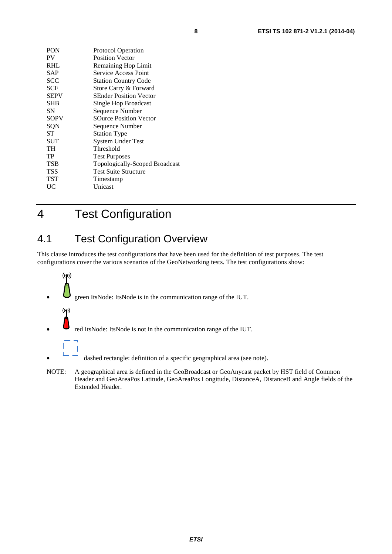| PON         | <b>Protocol Operation</b>      |
|-------------|--------------------------------|
| PV          | <b>Position Vector</b>         |
| <b>RHL</b>  | <b>Remaining Hop Limit</b>     |
| SAP         | Service Access Point           |
| <b>SCC</b>  | <b>Station Country Code</b>    |
| <b>SCF</b>  | Store Carry & Forward          |
| <b>SEPV</b> | <b>SEnder Position Vector</b>  |
| <b>SHB</b>  | Single Hop Broadcast           |
| SΝ          | Sequence Number                |
| <b>SOPV</b> | <b>SOurce Position Vector</b>  |
| SQN         | Sequence Number                |
| SТ          | <b>Station Type</b>            |
| SUT         | <b>System Under Test</b>       |
| TH          | Threshold                      |
| TP          | <b>Test Purposes</b>           |
| TSB         | Topologically-Scoped Broadcast |
| TSS         | <b>Test Suite Structure</b>    |
| TST         | Timestamp                      |
| UC          | Unicast                        |
|             |                                |

4 Test Configuration

L

## 4.1 Test Configuration Overview

This clause introduces the test configurations that have been used for the definition of test purposes. The test configurations cover the various scenarios of the GeoNetworking tests. The test configurations show:



- red ItsNode: ItsNode is not in the communication range of the IUT.
- dashed rectangle: definition of a specific geographical area (see note).
- NOTE: A geographical area is defined in the GeoBroadcast or GeoAnycast packet by HST field of Common Header and GeoAreaPos Latitude, GeoAreaPos Longitude, DistanceA, DistanceB and Angle fields of the Extended Header.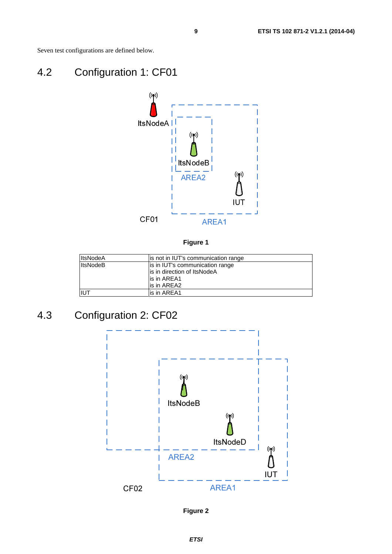Seven test configurations are defined below.

## 4.2 Configuration 1: CF01



**Figure 1** 

| <b>ItsNodeA</b> | is not in IUT's communication range |
|-----------------|-------------------------------------|
| <b>ItsNodeB</b> | is in IUT's communication range     |
|                 | is in direction of ItsNodeA         |
|                 | lis in AREA1                        |
|                 | is in AREA2                         |
| IUT             | lis in AREA1                        |

## 4.3 Configuration 2: CF02



**Figure 2**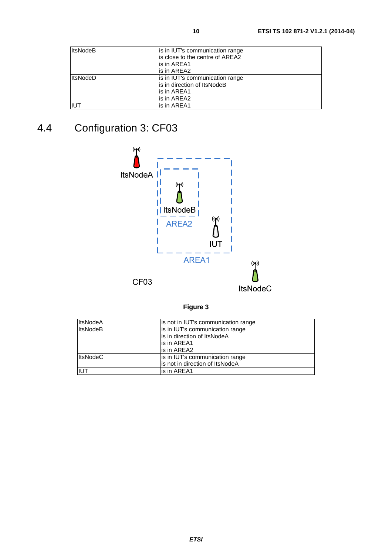| <b>ItsNodeB</b> | is in IUT's communication range  |
|-----------------|----------------------------------|
|                 | lis close to the centre of AREA2 |
|                 | is in AREA1                      |
|                 | lis in AREA2                     |
| <b>ItsNodeD</b> | is in IUT's communication range  |
|                 | is in direction of ItsNodeB      |
|                 | lis in AREA1                     |
|                 | lis in AREA2                     |
| <b>IIUT</b>     | lis in AREA1                     |

## 4.4 Configuration 3: CF03



**Figure 3** 

| <b>ItsNodeA</b> | is not in IUT's communication range |
|-----------------|-------------------------------------|
| <b>ItsNodeB</b> | is in IUT's communication range     |
|                 | is in direction of ItsNodeA         |
|                 | lis in AREA1                        |
|                 | is in AREA2                         |
| <b>ItsNodeC</b> | is in IUT's communication range     |
|                 | is not in direction of ItsNodeA     |
| IUT             | lis in AREA1                        |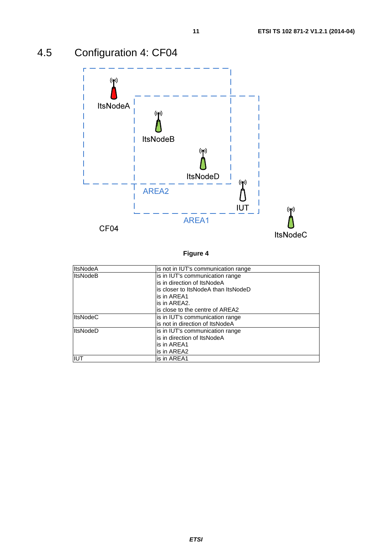

## 4.5 Configuration 4: CF04

| <b>ItsNodeA</b> | is not in IUT's communication range |
|-----------------|-------------------------------------|
| <b>ItsNodeB</b> | is in IUT's communication range     |
|                 | is in direction of ItsNodeA         |
|                 | is closer to ItsNodeA than ItsNodeD |
|                 | is in AREA1                         |
|                 | is in AREA2.                        |
|                 | is close to the centre of AREA2     |
| <b>ItsNodeC</b> | is in IUT's communication range     |
|                 | is not in direction of ItsNodeA     |
| <b>ItsNodeD</b> | is in IUT's communication range     |
|                 | is in direction of ItsNodeA         |
|                 | is in AREA1                         |
|                 | is in AREA2                         |
| IUT             | is in AREA1                         |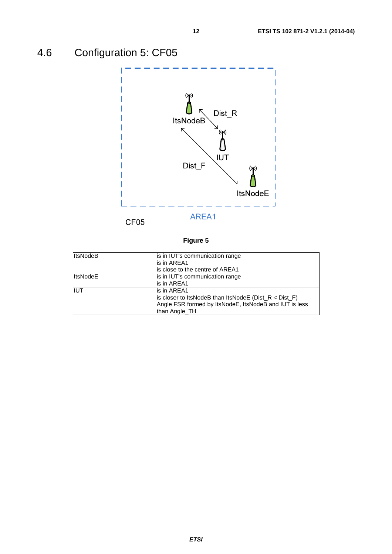## 4.6 Configuration 5: CF05



| <b>ItsNodeB</b> | is in IUT's communication range<br>lis in AREA1<br>is close to the centre of AREA1                                                                   |
|-----------------|------------------------------------------------------------------------------------------------------------------------------------------------------|
| <b>ItsNodeE</b> | is in IUT's communication range<br>is in AREA1                                                                                                       |
| <b>IIUT</b>     | lis in AREA1<br>is closer to ItsNodeB than ItsNodeE ( $Dist_R < Dist_F$ )<br>Angle FSR formed by ItsNodeE, ItsNodeB and IUT is less<br>than Angle TH |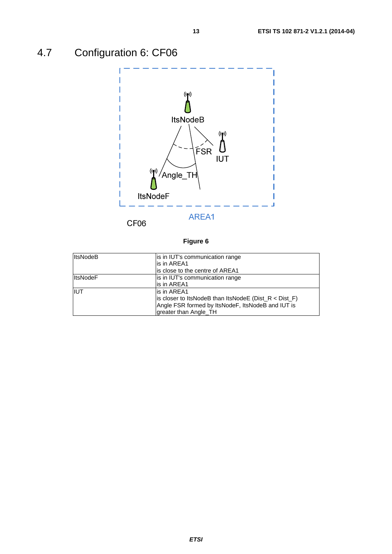## 4.7 Configuration 6: CF06



| <b>ItsNodeB</b> | is in IUT's communication range<br>is in AREA1<br>is close to the centre of AREA1                                                                       |
|-----------------|---------------------------------------------------------------------------------------------------------------------------------------------------------|
| <b>ItsNodeF</b> | is in IUT's communication range<br>lis in AREA1                                                                                                         |
| <b>IIUT</b>     | lis in AREA1<br>is closer to ItsNodeB than ItsNodeE ( $Dist_R < Dist_F$ )<br>Angle FSR formed by ItsNodeF, ItsNodeB and IUT is<br>greater than Angle_TH |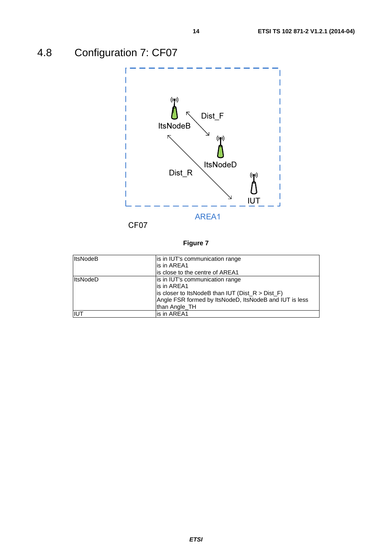## 4.8 Configuration 7: CF07



| <b>ItsNodeB</b> | is in IUT's communication range                        |
|-----------------|--------------------------------------------------------|
|                 | is in AREA1                                            |
|                 | is close to the centre of AREA1                        |
| <b>ItsNodeD</b> | is in IUT's communication range                        |
|                 | is in AREA1                                            |
|                 | is closer to ItsNodeB than IUT ( $Dist_R > Dist_F$ )   |
|                 | Angle FSR formed by ItsNodeD, ItsNodeB and IUT is less |
|                 | than Angle TH                                          |
| IIUT            | is in AREA1                                            |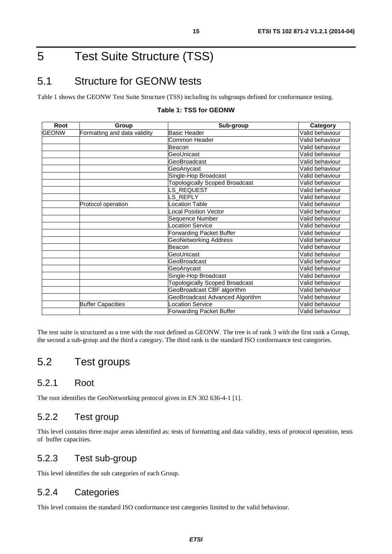## 5 Test Suite Structure (TSS)

## 5.1 Structure for GEONW tests

Table 1 shows the GEONW Test Suite Structure (TSS) including its subgroups defined for conformance testing.

| Root         | Group                        | Sub-group                             | Category        |
|--------------|------------------------------|---------------------------------------|-----------------|
| <b>GEONW</b> | Formatting and data validity | Basic Header                          | Valid behaviour |
|              |                              | Common Header                         | Valid behaviour |
|              |                              | Beacon                                | Valid behaviour |
|              |                              | GeoUnicast                            | Valid behaviour |
|              |                              | GeoBroadcast                          | Valid behaviour |
|              |                              | GeoAnycast                            | Valid behaviour |
|              |                              | Single-Hop Broadcast                  | Valid behaviour |
|              |                              | <b>Topologically Scoped Broadcast</b> | Valid behaviour |
|              |                              | LS_REQUEST                            | Valid behaviour |
|              |                              | S REPLY                               | Valid behaviour |
|              | Protocol operation           | ocation Table                         | Valid behaviour |
|              |                              | ocal Position Vector                  | Valid behaviour |
|              |                              | Sequence Number                       | Valid behaviour |
|              |                              | Location Service                      | Valid behaviour |
|              |                              | Forwarding Packet Buffer              | Valid behaviour |
|              |                              | GeoNetworking Address                 | Valid behaviour |
|              |                              | Beacon                                | Valid behaviour |
|              |                              | GeoUnicast                            | Valid behaviour |
|              |                              | GeoBroadcast                          | Valid behaviour |
|              |                              | GeoAnycast                            | Valid behaviour |
|              |                              | Single-Hop Broadcast                  | Valid behaviour |
|              |                              | <b>Topologically Scoped Broadcast</b> | Valid behaviour |
|              |                              | GeoBroadcast CBF algorithm            | Valid behaviour |
|              |                              | GeoBroadcast Advanced Algorithm       | Valid behaviour |
|              | <b>Buffer Capacities</b>     | Location Service                      | Valid behaviour |
|              |                              | <b>Forwarding Packet Buffer</b>       | Valid behaviour |

#### **Table 1: TSS for GEONW**

The test suite is structured as a tree with the root defined as GEONW. The tree is of rank 3 with the first rank a Group, the second a sub-group and the third a category. The third rank is the standard ISO conformance test categories.

### 5.2 Test groups

#### 5.2.1 Root

The root identifies the GeoNetworking protocol given in EN 302 636-4-1 [1].

### 5.2.2 Test group

This level contains three major areas identified as: tests of formatting and data validity, tests of protocol operation, tests of buffer capacities.

#### 5.2.3 Test sub-group

This level identifies the sub categories of each Group.

#### 5.2.4 Categories

This level contains the standard ISO conformance test categories limited to the valid behaviour.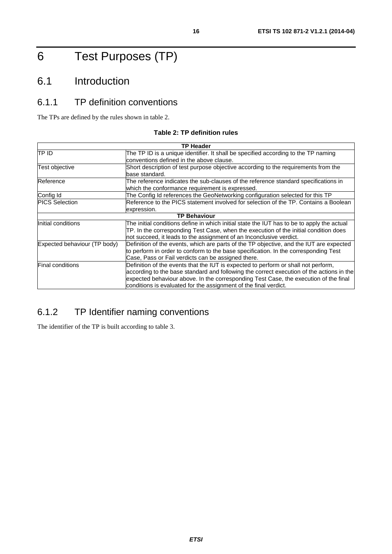## 6 Test Purposes (TP)

## 6.1 Introduction

## 6.1.1 TP definition conventions

The TPs are defined by the rules shown in table 2.

#### **Table 2: TP definition rules**

| <b>TP Header</b>             |                                                                                            |  |
|------------------------------|--------------------------------------------------------------------------------------------|--|
| TP ID                        | The TP ID is a unique identifier. It shall be specified according to the TP naming         |  |
|                              | conventions defined in the above clause.                                                   |  |
| Test objective               | Short description of test purpose objective according to the requirements from the         |  |
|                              | base standard.                                                                             |  |
| Reference                    | The reference indicates the sub-clauses of the reference standard specifications in        |  |
|                              | which the conformance requirement is expressed.                                            |  |
| Config Id                    | The Config Id references the GeoNetworking configuration selected for this TP              |  |
| <b>PICS Selection</b>        | Reference to the PICS statement involved for selection of the TP. Contains a Boolean       |  |
|                              | expression.                                                                                |  |
|                              | <b>TP Behaviour</b>                                                                        |  |
| Initial conditions           | The initial conditions define in which initial state the IUT has to be to apply the actual |  |
|                              | TP. In the corresponding Test Case, when the execution of the initial condition does       |  |
|                              | not succeed, it leads to the assignment of an Inconclusive verdict.                        |  |
| Expected behaviour (TP body) | Definition of the events, which are parts of the TP objective, and the IUT are expected    |  |
|                              | to perform in order to conform to the base specification. In the corresponding Test        |  |
|                              | Case, Pass or Fail verdicts can be assigned there.                                         |  |
| <b>Final conditions</b>      | Definition of the events that the IUT is expected to perform or shall not perform,         |  |
|                              | according to the base standard and following the correct execution of the actions in the   |  |
|                              | expected behaviour above. In the corresponding Test Case, the execution of the final       |  |
|                              | conditions is evaluated for the assignment of the final verdict.                           |  |

### 6.1.2 TP Identifier naming conventions

The identifier of the TP is built according to table 3.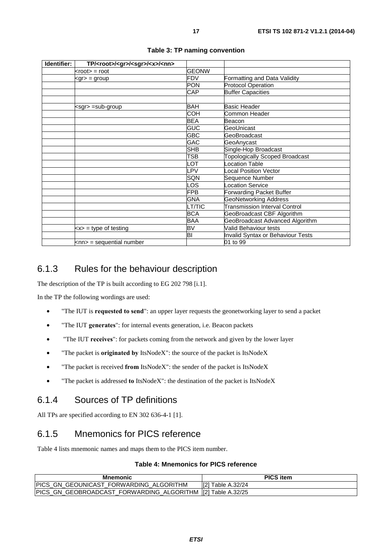| Identifier: | TP/ <root>/<gr>/<sgr>/<x>/<nn></nn></x></sgr></gr></root> |               |                                       |
|-------------|-----------------------------------------------------------|---------------|---------------------------------------|
|             | $k$ root $\ge$ = root                                     | <b>GEONW</b>  |                                       |
|             | kgr> = group                                              | FDV           | Formatting and Data Validity          |
|             |                                                           | <b>PON</b>    | <b>Protocol Operation</b>             |
|             |                                                           | CAP           | <b>Buffer Capacities</b>              |
|             |                                                           |               |                                       |
|             | <sgr> =sub-group</sgr>                                    | BAH           | <b>Basic Header</b>                   |
|             |                                                           | COH           | Common Header                         |
|             |                                                           | <b>BEA</b>    | Beacon                                |
|             |                                                           | <b>GUC</b>    | GeoUnicast                            |
|             |                                                           | <b>GBC</b>    | GeoBroadcast                          |
|             |                                                           | GAC           | GeoAnycast                            |
|             |                                                           | <b>SHB</b>    | Single-Hop Broadcast                  |
|             |                                                           | TSB           | <b>Topologically Scoped Broadcast</b> |
|             |                                                           | LOT           | cocation Table                        |
|             |                                                           | LPV           | ocal Position Vector                  |
|             |                                                           | <b>SQN</b>    | Sequence Number                       |
|             |                                                           | LOS           | Location Service                      |
|             |                                                           | <b>FPB</b>    | Forwarding Packet Buffer              |
|             |                                                           | <b>GNA</b>    | <b>GeoNetworking Address</b>          |
|             |                                                           | <b>LT/TIC</b> | Transmission Interval Control         |
|             |                                                           | <b>BCA</b>    | GeoBroadcast CBF Algorithm            |
|             |                                                           | BAA           | GeoBroadcast Advanced Algorithm       |
|             | $\langle x \rangle$ = type of testing                     | <b>BV</b>     | Valid Behaviour tests                 |
|             |                                                           | BI            | Invalid Syntax or Behaviour Tests     |
|             | $\mathsf{knn}$ = sequential number                        |               | 01 to 99                              |

#### **Table 3: TP naming convention**

### 6.1.3 Rules for the behaviour description

The description of the TP is built according to EG 202 798 [i.1].

In the TP the following wordings are used:

- "The IUT is **requested to send**": an upper layer requests the geonetworking layer to send a packet
- "The IUT **generates**": for internal events generation, i.e. Beacon packets
- "The IUT **receives**": for packets coming from the network and given by the lower layer
- "The packet is **originated by** ItsNodeX": the source of the packet is ItsNodeX
- "The packet is received **from** ItsNodeX": the sender of the packet is ItsNodeX
- "The packet is addressed **to** ItsNodeX": the destination of the packet is ItsNodeX

### 6.1.4 Sources of TP definitions

All TPs are specified according to EN 302 636-4-1 [1].

### 6.1.5 Mnemonics for PICS reference

Table 4 lists mnemonic names and maps them to the PICS item number.

#### **Table 4: Mnemonics for PICS reference**

| Mnemonic                                                     | <b>PICS item</b>  |
|--------------------------------------------------------------|-------------------|
| PICS GN GEOUNICAST FORWARDING ALGORITHM                      | [2] Table A.32/24 |
| PICS_GN_GEOBROADCAST_FORWARDING_ALGORITHM  [2] Table A.32/25 |                   |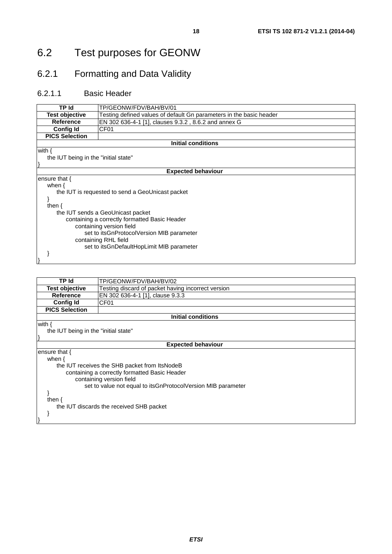## 6.2 Test purposes for GEONW

## 6.2.1 Formatting and Data Validity

### 6.2.1.1 Basic Header

| containing a correctly formatted Basic Header<br>containing version field |  |  |
|---------------------------------------------------------------------------|--|--|
| set to its GnProtocol Version MIB parameter                               |  |  |
|                                                                           |  |  |
|                                                                           |  |  |
|                                                                           |  |  |
|                                                                           |  |  |
|                                                                           |  |  |

| TP Id                                                        | TP/GEONW/FDV/BAH/BV/02                             |  |
|--------------------------------------------------------------|----------------------------------------------------|--|
| <b>Test objective</b>                                        | Testing discard of packet having incorrect version |  |
| <b>Reference</b>                                             | EN 302 636-4-1 [1], clause 9.3.3                   |  |
| <b>Config Id</b>                                             | CF <sub>01</sub>                                   |  |
| <b>PICS Selection</b>                                        |                                                    |  |
|                                                              | <b>Initial conditions</b>                          |  |
| with {                                                       |                                                    |  |
| the IUT being in the "initial state"                         |                                                    |  |
|                                                              |                                                    |  |
|                                                              | <b>Expected behaviour</b>                          |  |
| ensure that $\{$                                             |                                                    |  |
| when $\{$                                                    |                                                    |  |
| the IUT receives the SHB packet from ItsNodeB                |                                                    |  |
| containing a correctly formatted Basic Header                |                                                    |  |
| containing version field                                     |                                                    |  |
| set to value not equal to itsGnProtocolVersion MIB parameter |                                                    |  |
|                                                              |                                                    |  |
| then $\{$                                                    |                                                    |  |
| the IUT discards the received SHB packet                     |                                                    |  |
|                                                              |                                                    |  |
|                                                              |                                                    |  |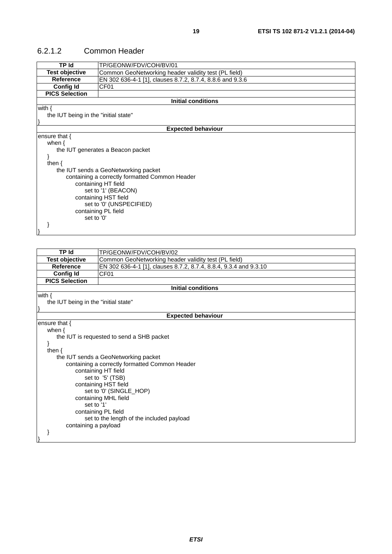#### 6.2.1.2 Common Header

| TP Id                                                                                                                                                                                                                                                                                                                    | TP/GEONW/FDV/COH/BV/01                                    |  |
|--------------------------------------------------------------------------------------------------------------------------------------------------------------------------------------------------------------------------------------------------------------------------------------------------------------------------|-----------------------------------------------------------|--|
| <b>Test objective</b>                                                                                                                                                                                                                                                                                                    | Common GeoNetworking header validity test (PL field)      |  |
| <b>Reference</b>                                                                                                                                                                                                                                                                                                         | EN 302 636-4-1 [1], clauses 8.7.2, 8.7.4, 8.8.6 and 9.3.6 |  |
| <b>Config Id</b>                                                                                                                                                                                                                                                                                                         | CF <sub>01</sub>                                          |  |
| <b>PICS Selection</b>                                                                                                                                                                                                                                                                                                    |                                                           |  |
|                                                                                                                                                                                                                                                                                                                          | <b>Initial conditions</b>                                 |  |
| with $\{$                                                                                                                                                                                                                                                                                                                |                                                           |  |
| the IUT being in the "initial state"                                                                                                                                                                                                                                                                                     |                                                           |  |
|                                                                                                                                                                                                                                                                                                                          |                                                           |  |
|                                                                                                                                                                                                                                                                                                                          | <b>Expected behaviour</b>                                 |  |
| ensure that {<br>when $\{$<br>the IUT generates a Beacon packet<br>ł<br>then $\{$<br>the IUT sends a GeoNetworking packet<br>containing a correctly formatted Common Header<br>containing HT field<br>set to '1' (BEACON)<br>containing HST field<br>set to '0' (UNSPECIFIED)<br>containing PL field<br>set to '0'<br>I١ |                                                           |  |
|                                                                                                                                                                                                                                                                                                                          |                                                           |  |
| <b>TP Id</b>                                                                                                                                                                                                                                                                                                             | TP/GEONW/FDV/COH/BV/02                                    |  |
| <b>Test objective</b>                                                                                                                                                                                                                                                                                                    | Common GeoNetworking header validity test (PL field)      |  |
| $B - 1 - 1$                                                                                                                                                                                                                                                                                                              | $\Gamma$ 1.000.000.1.1.1.1. 070.071.001.001.10010         |  |

| <b>Test opjective</b>                     | Common Geonetworking neader validity test (PL field)              |  |  |
|-------------------------------------------|-------------------------------------------------------------------|--|--|
| <b>Reference</b>                          | EN 302 636-4-1 [1], clauses 8.7.2, 8.7.4, 8.8.4, 9.3.4 and 9.3.10 |  |  |
| <b>Config Id</b>                          | CF <sub>01</sub>                                                  |  |  |
| <b>PICS Selection</b>                     |                                                                   |  |  |
|                                           | <b>Initial conditions</b>                                         |  |  |
| with $\{$                                 |                                                                   |  |  |
| the IUT being in the "initial state"      |                                                                   |  |  |
|                                           |                                                                   |  |  |
|                                           | <b>Expected behaviour</b>                                         |  |  |
| ensure that $\{$                          |                                                                   |  |  |
| when $\{$                                 |                                                                   |  |  |
|                                           | the IUT is requested to send a SHB packet                         |  |  |
|                                           |                                                                   |  |  |
| then $\{$                                 |                                                                   |  |  |
|                                           | the IUT sends a GeoNetworking packet                              |  |  |
|                                           | containing a correctly formatted Common Header                    |  |  |
|                                           | containing HT field                                               |  |  |
|                                           | set to '5' (TSB)                                                  |  |  |
| containing HST field                      |                                                                   |  |  |
| set to '0' (SINGLE_HOP)                   |                                                                   |  |  |
| containing MHL field                      |                                                                   |  |  |
| set to '1'                                |                                                                   |  |  |
| containing PL field                       |                                                                   |  |  |
| set to the length of the included payload |                                                                   |  |  |
| containing a payload                      |                                                                   |  |  |
|                                           |                                                                   |  |  |
|                                           |                                                                   |  |  |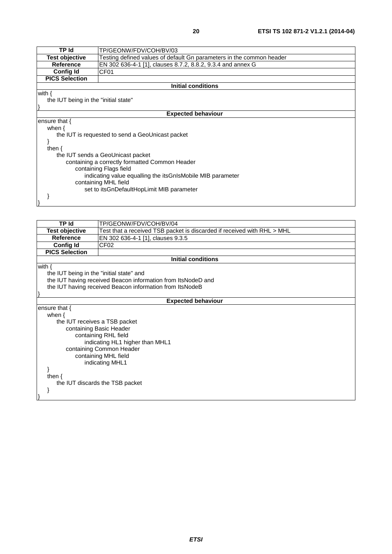| <b>TPId</b>                                                | TP/GEONW/FDV/COH/BV/03                                               |  |
|------------------------------------------------------------|----------------------------------------------------------------------|--|
| <b>Test objective</b>                                      | Testing defined values of default Gn parameters in the common header |  |
| <b>Reference</b>                                           | EN 302 636-4-1 [1], clauses 8.7.2, 8.8.2, 9.3.4 and annex G          |  |
| <b>Config Id</b>                                           | CF <sub>01</sub>                                                     |  |
| <b>PICS Selection</b>                                      |                                                                      |  |
|                                                            | <b>Initial conditions</b>                                            |  |
| with $\{$                                                  |                                                                      |  |
| the IUT being in the "initial state"                       |                                                                      |  |
|                                                            |                                                                      |  |
|                                                            | <b>Expected behaviour</b>                                            |  |
| ensure that $\{$                                           |                                                                      |  |
| when $\{$                                                  |                                                                      |  |
| the IUT is requested to send a GeoUnicast packet           |                                                                      |  |
|                                                            |                                                                      |  |
| then $\{$                                                  |                                                                      |  |
| the IUT sends a GeoUnicast packet                          |                                                                      |  |
| containing a correctly formatted Common Header             |                                                                      |  |
| containing Flags field                                     |                                                                      |  |
| indicating value equalling the itsGnIsMobile MIB parameter |                                                                      |  |
| containing MHL field                                       |                                                                      |  |
| set to itsGnDefaultHopLimit MIB parameter                  |                                                                      |  |
|                                                            |                                                                      |  |
|                                                            |                                                                      |  |

| <b>TP Id</b><br>TP/GEONW/FDV/COH/BV/04                                                           |                                                              |  |  |
|--------------------------------------------------------------------------------------------------|--------------------------------------------------------------|--|--|
| <b>Test objective</b><br>Test that a received TSB packet is discarded if received with RHL > MHL |                                                              |  |  |
| Reference                                                                                        | EN 302 636-4-1 [1], clauses 9.3.5                            |  |  |
| <b>Config Id</b>                                                                                 | CF <sub>02</sub>                                             |  |  |
| <b>PICS Selection</b>                                                                            |                                                              |  |  |
|                                                                                                  | <b>Initial conditions</b>                                    |  |  |
| with $\{$                                                                                        |                                                              |  |  |
| the IUT being in the "initial state" and                                                         |                                                              |  |  |
|                                                                                                  | the IUT having received Beacon information from ItsNodeD and |  |  |
|                                                                                                  | the IUT having received Beacon information from ItsNodeB     |  |  |
|                                                                                                  |                                                              |  |  |
|                                                                                                  | <b>Expected behaviour</b>                                    |  |  |
| ensure that $\{$                                                                                 |                                                              |  |  |
| when $\{$                                                                                        |                                                              |  |  |
| the IUT receives a TSB packet                                                                    |                                                              |  |  |
| containing Basic Header                                                                          |                                                              |  |  |
|                                                                                                  | containing RHL field                                         |  |  |
| indicating HL1 higher than MHL1                                                                  |                                                              |  |  |
| containing Common Header                                                                         |                                                              |  |  |
| containing MHL field                                                                             |                                                              |  |  |
| indicating MHL1                                                                                  |                                                              |  |  |
|                                                                                                  |                                                              |  |  |
| then $\{$                                                                                        |                                                              |  |  |
| the IUT discards the TSB packet                                                                  |                                                              |  |  |
|                                                                                                  |                                                              |  |  |
|                                                                                                  |                                                              |  |  |
|                                                                                                  |                                                              |  |  |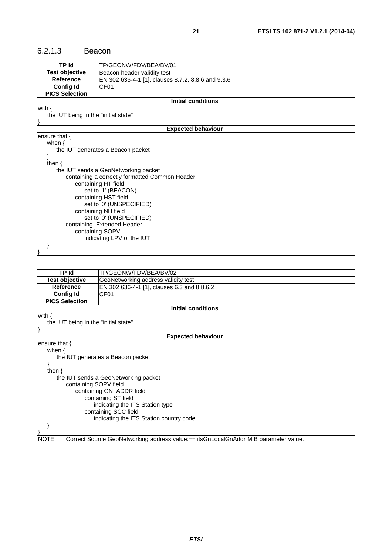#### 6.2.1.3 Beacon

| <b>TP Id</b>                         | TP/GEONW/FDV/BEA/BV/01                             |  |  |
|--------------------------------------|----------------------------------------------------|--|--|
| <b>Test objective</b>                | Beacon header validity test                        |  |  |
| <b>Reference</b>                     | EN 302 636-4-1 [1], clauses 8.7.2, 8.8.6 and 9.3.6 |  |  |
| <b>Config Id</b>                     | CF <sub>01</sub>                                   |  |  |
| <b>PICS Selection</b>                |                                                    |  |  |
|                                      | <b>Initial conditions</b>                          |  |  |
| with $\{$                            |                                                    |  |  |
| the IUT being in the "initial state" |                                                    |  |  |
|                                      |                                                    |  |  |
|                                      | <b>Expected behaviour</b>                          |  |  |
| ensure that {                        |                                                    |  |  |
| when $\{$                            |                                                    |  |  |
|                                      | the IUT generates a Beacon packet                  |  |  |
|                                      |                                                    |  |  |
| then $\{$                            |                                                    |  |  |
|                                      | the IUT sends a GeoNetworking packet               |  |  |
|                                      | containing a correctly formatted Common Header     |  |  |
|                                      | containing HT field                                |  |  |
|                                      | set to '1' (BEACON)                                |  |  |
|                                      | containing HST field                               |  |  |
| set to '0' (UNSPECIFIED)             |                                                    |  |  |
| containing NH field                  |                                                    |  |  |
| set to '0' (UNSPECIFIED)             |                                                    |  |  |
| containing Extended Header           |                                                    |  |  |
|                                      | containing SOPV<br>indicating LPV of the IUT       |  |  |
|                                      |                                                    |  |  |
|                                      |                                                    |  |  |
|                                      |                                                    |  |  |

| TP Id                                   | TP/GEONW/FDV/BEA/BV/02                                                              |  |
|-----------------------------------------|-------------------------------------------------------------------------------------|--|
| Test objective                          | GeoNetworking address validity test                                                 |  |
| <b>Reference</b>                        | EN 302 636-4-1 [1], clauses 6.3 and 8.8.6.2                                         |  |
| <b>Config Id</b>                        | CF01                                                                                |  |
| <b>PICS Selection</b>                   |                                                                                     |  |
|                                         | <b>Initial conditions</b>                                                           |  |
| with $\{$                               |                                                                                     |  |
| the IUT being in the "initial state"    |                                                                                     |  |
|                                         |                                                                                     |  |
|                                         | <b>Expected behaviour</b>                                                           |  |
| ensure that $\{$                        |                                                                                     |  |
| when $\{$                               |                                                                                     |  |
| the IUT generates a Beacon packet       |                                                                                     |  |
| }                                       |                                                                                     |  |
| then $\{$                               |                                                                                     |  |
| the IUT sends a GeoNetworking packet    |                                                                                     |  |
| containing SOPV field                   |                                                                                     |  |
| containing GN_ADDR field                |                                                                                     |  |
| containing ST field                     |                                                                                     |  |
| indicating the ITS Station type         |                                                                                     |  |
| containing SCC field                    |                                                                                     |  |
| indicating the ITS Station country code |                                                                                     |  |
|                                         |                                                                                     |  |
|                                         |                                                                                     |  |
| NOTE:                                   | Correct Source GeoNetworking address value:== itsGnLocalGnAddr MIB parameter value. |  |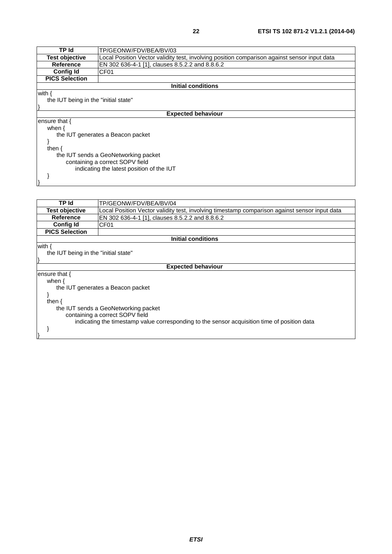| <b>TPId</b>                               | TP/GEONW/FDV/BEA/BV/03                                                                       |  |
|-------------------------------------------|----------------------------------------------------------------------------------------------|--|
| <b>Test objective</b>                     | Local Position Vector validity test, involving position comparison against sensor input data |  |
| <b>Reference</b>                          | EN 302 636-4-1 [1], clauses 8.5.2.2 and 8.8.6.2                                              |  |
| <b>Config Id</b>                          | CF <sub>01</sub>                                                                             |  |
| <b>PICS Selection</b>                     |                                                                                              |  |
|                                           | Initial conditions                                                                           |  |
| with $\{$                                 |                                                                                              |  |
| the IUT being in the "initial state"      |                                                                                              |  |
|                                           |                                                                                              |  |
| <b>Expected behaviour</b>                 |                                                                                              |  |
| ensure that {                             |                                                                                              |  |
| when $\{$                                 |                                                                                              |  |
| the IUT generates a Beacon packet         |                                                                                              |  |
|                                           |                                                                                              |  |
| then $\{$                                 |                                                                                              |  |
| the IUT sends a GeoNetworking packet      |                                                                                              |  |
| containing a correct SOPV field           |                                                                                              |  |
| indicating the latest position of the IUT |                                                                                              |  |
|                                           |                                                                                              |  |
|                                           |                                                                                              |  |

| TP/GEONW/FDV/BEA/BV/04                                                                        |  |
|-----------------------------------------------------------------------------------------------|--|
| Local Position Vector validity test, involving timestamp comparison against sensor input data |  |
| EN 302 636-4-1 [1], clauses 8.5.2.2 and 8.8.6.2                                               |  |
| CF <sub>01</sub>                                                                              |  |
|                                                                                               |  |
| Initial conditions                                                                            |  |
|                                                                                               |  |
| the IUT being in the "initial state"                                                          |  |
|                                                                                               |  |
| <b>Expected behaviour</b>                                                                     |  |
|                                                                                               |  |
|                                                                                               |  |
| the IUT generates a Beacon packet                                                             |  |
|                                                                                               |  |
|                                                                                               |  |
| the IUT sends a GeoNetworking packet                                                          |  |
| containing a correct SOPV field                                                               |  |
| indicating the timestamp value corresponding to the sensor acquisition time of position data  |  |
|                                                                                               |  |
|                                                                                               |  |
|                                                                                               |  |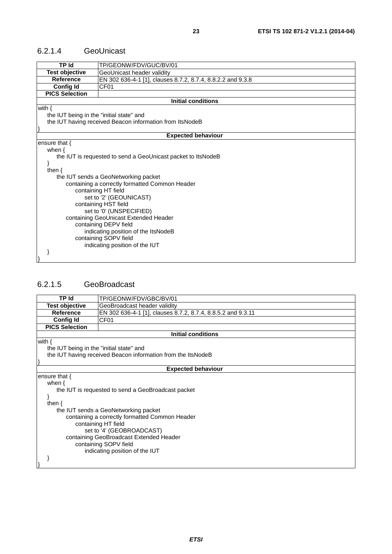#### 6.2.1.4 GeoUnicast

| <b>TP Id</b>                             | TP/GEONW/FDV/GUC/BV/01                                       |  |
|------------------------------------------|--------------------------------------------------------------|--|
| <b>Test objective</b>                    | GeoUnicast header validity                                   |  |
| <b>Reference</b>                         | EN 302 636-4-1 [1], clauses 8.7.2, 8.7.4, 8.8.2.2 and 9.3.8  |  |
| <b>Config Id</b>                         | CF <sub>01</sub>                                             |  |
| <b>PICS Selection</b>                    |                                                              |  |
|                                          | <b>Initial conditions</b>                                    |  |
| with $\{$                                |                                                              |  |
| the IUT being in the "initial state" and |                                                              |  |
|                                          | the IUT having received Beacon information from ItsNodeB     |  |
|                                          |                                                              |  |
|                                          | <b>Expected behaviour</b>                                    |  |
| ensure that $\{$                         |                                                              |  |
| when $\{$                                |                                                              |  |
|                                          | the IUT is requested to send a GeoUnicast packet to ItsNodeB |  |
|                                          |                                                              |  |
| then $\{$                                |                                                              |  |
| the IUT sends a GeoNetworking packet     |                                                              |  |
|                                          | containing a correctly formatted Common Header               |  |
|                                          | containing HT field                                          |  |
|                                          | set to '2' (GEOUNICAST)                                      |  |
|                                          | containing HST field                                         |  |
|                                          | set to '0' (UNSPECIFIED)                                     |  |
|                                          | containing GeoUnicast Extended Header                        |  |
| containing DEPV field                    |                                                              |  |
|                                          | indicating position of the ItsNodeB                          |  |
|                                          | containing SOPV field                                        |  |
|                                          | indicating position of the IUT                               |  |
|                                          |                                                              |  |
|                                          |                                                              |  |

### 6.2.1.5 GeoBroadcast

| <b>TP Id</b>                                                                                                          | TP/GEONW/FDV/GBC/BV/01                                       |  |  |
|-----------------------------------------------------------------------------------------------------------------------|--------------------------------------------------------------|--|--|
| <b>Test objective</b>                                                                                                 | GeoBroadcast header validity                                 |  |  |
| Reference                                                                                                             | EN 302 636-4-1 [1], clauses 8.7.2, 8.7.4, 8.8.5.2 and 9.3.11 |  |  |
| <b>Config Id</b>                                                                                                      | CF <sub>01</sub>                                             |  |  |
| <b>PICS Selection</b>                                                                                                 |                                                              |  |  |
|                                                                                                                       | <b>Initial conditions</b>                                    |  |  |
| with $\{$<br>the IUT being in the "initial state" and<br>the IUT having received Beacon information from the ItsNodeB |                                                              |  |  |
|                                                                                                                       |                                                              |  |  |
|                                                                                                                       | <b>Expected behaviour</b>                                    |  |  |
| ensure that $\{$                                                                                                      |                                                              |  |  |
| when $\{$                                                                                                             |                                                              |  |  |
| the IUT is requested to send a GeoBroadcast packet                                                                    |                                                              |  |  |
|                                                                                                                       |                                                              |  |  |
| then $\{$                                                                                                             |                                                              |  |  |
|                                                                                                                       | the IUT sends a GeoNetworking packet                         |  |  |
|                                                                                                                       | containing a correctly formatted Common Header               |  |  |
| containing HT field                                                                                                   |                                                              |  |  |
| set to '4' (GEOBROADCAST)                                                                                             |                                                              |  |  |
| containing GeoBroadcast Extended Header                                                                               |                                                              |  |  |
| containing SOPV field                                                                                                 |                                                              |  |  |
|                                                                                                                       | indicating position of the IUT                               |  |  |
|                                                                                                                       |                                                              |  |  |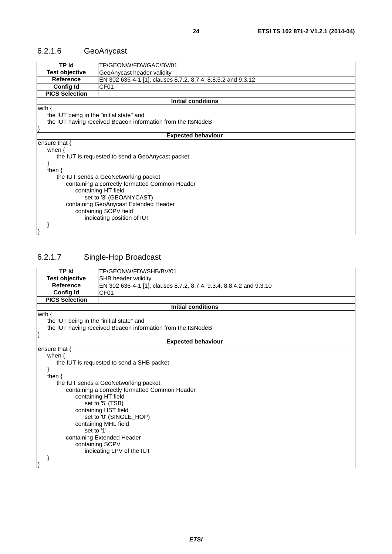## 6.2.1.6 GeoAnycast

| <b>TP Id</b>                                                 | TP/GEONW/FDV/GAC/BV/01                                       |  |
|--------------------------------------------------------------|--------------------------------------------------------------|--|
| <b>Test objective</b>                                        | GeoAnycast header validity                                   |  |
| Reference                                                    | EN 302 636-4-1 [1], clauses 8.7.2, 8.7.4, 8.8.5.2 and 9.3.12 |  |
| <b>Config Id</b>                                             | CF <sub>01</sub>                                             |  |
| <b>PICS Selection</b>                                        |                                                              |  |
|                                                              | <b>Initial conditions</b>                                    |  |
| with $\{$                                                    |                                                              |  |
| the IUT being in the "initial state" and                     |                                                              |  |
| the IUT having received Beacon information from the ItsNodeB |                                                              |  |
|                                                              |                                                              |  |
|                                                              | <b>Expected behaviour</b>                                    |  |
| ensure that $\{$                                             |                                                              |  |
| when $\{$                                                    |                                                              |  |
| the IUT is requested to send a GeoAnycast packet             |                                                              |  |
|                                                              |                                                              |  |
| then $\{$                                                    |                                                              |  |
| the IUT sends a GeoNetworking packet                         |                                                              |  |
| containing a correctly formatted Common Header               |                                                              |  |
| containing HT field                                          |                                                              |  |
| set to '3' (GEOANYCAST)                                      |                                                              |  |
| containing GeoAnycast Extended Header                        |                                                              |  |
| containing SOPV field                                        |                                                              |  |
|                                                              | indicating position of IUT                                   |  |
|                                                              |                                                              |  |
|                                                              |                                                              |  |
|                                                              |                                                              |  |

## 6.2.1.7 Single-Hop Broadcast

| <b>TP</b> Id                              | TP/GEONW/FDV/SHB/BV/01                                              |  |
|-------------------------------------------|---------------------------------------------------------------------|--|
| <b>Test objective</b>                     | SHB header validity                                                 |  |
| <b>Reference</b>                          | EN 302 636-4-1 [1], clauses 8.7.2, 8.7.4, 9.3.4, 8.8.4.2 and 9.3.10 |  |
| <b>Config Id</b>                          | CF01                                                                |  |
| <b>PICS Selection</b>                     |                                                                     |  |
|                                           | <b>Initial conditions</b>                                           |  |
| with $\{$                                 |                                                                     |  |
| the IUT being in the "initial state" and  |                                                                     |  |
|                                           | the IUT having received Beacon information from the ItsNodeB        |  |
|                                           |                                                                     |  |
|                                           | <b>Expected behaviour</b>                                           |  |
| ensure that {                             |                                                                     |  |
| when $\{$                                 |                                                                     |  |
| the IUT is requested to send a SHB packet |                                                                     |  |
|                                           |                                                                     |  |
| then $\{$                                 |                                                                     |  |
| the IUT sends a GeoNetworking packet      |                                                                     |  |
|                                           | containing a correctly formatted Common Header                      |  |
|                                           | containing HT field                                                 |  |
|                                           | set to '5' (TSB)                                                    |  |
|                                           | containing HST field                                                |  |
| set to '0' (SINGLE_HOP)                   |                                                                     |  |
| containing MHL field                      |                                                                     |  |
| set to '1'                                |                                                                     |  |
|                                           | containing Extended Header                                          |  |
| containing SOPV                           |                                                                     |  |
|                                           | indicating LPV of the IUT                                           |  |
|                                           |                                                                     |  |
|                                           |                                                                     |  |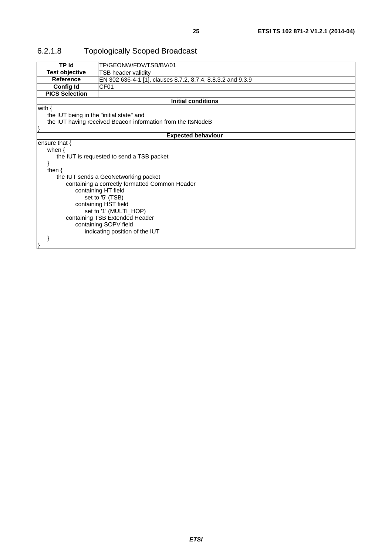| <b>TP Id</b>                                   | TP/GEONW/FDV/TSB/BV/01                                       |  |
|------------------------------------------------|--------------------------------------------------------------|--|
| <b>Test objective</b>                          | TSB header validity                                          |  |
| <b>Reference</b>                               | EN 302 636-4-1 [1], clauses 8.7.2, 8.7.4, 8.8.3.2 and 9.3.9  |  |
| <b>Config Id</b>                               | CF <sub>01</sub>                                             |  |
| <b>PICS Selection</b>                          |                                                              |  |
|                                                | <b>Initial conditions</b>                                    |  |
| with $\{$                                      |                                                              |  |
| the IUT being in the "initial state" and       |                                                              |  |
|                                                | the IUT having received Beacon information from the ItsNodeB |  |
|                                                |                                                              |  |
|                                                | <b>Expected behaviour</b>                                    |  |
| ensure that $\{$                               |                                                              |  |
| when $\{$                                      |                                                              |  |
|                                                | the IUT is requested to send a TSB packet                    |  |
|                                                |                                                              |  |
| then $\{$                                      |                                                              |  |
|                                                | the IUT sends a GeoNetworking packet                         |  |
| containing a correctly formatted Common Header |                                                              |  |
|                                                | containing HT field                                          |  |
|                                                | set to '5' (TSB)                                             |  |
| containing HST field                           |                                                              |  |
| set to '1' (MULTI_HOP)                         |                                                              |  |
| containing TSB Extended Header                 |                                                              |  |
|                                                | containing SOPV field                                        |  |
|                                                | indicating position of the IUT                               |  |
|                                                |                                                              |  |
|                                                |                                                              |  |

## 6.2.1.8 Topologically Scoped Broadcast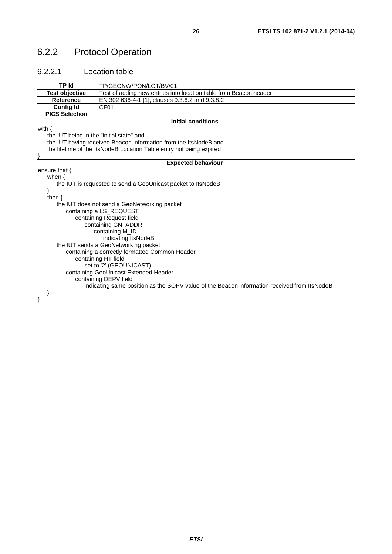## 6.2.2 Protocol Operation

### 6.2.2.1 Location table

| TP Id                                          | TP/GEONW/PON/LOT/BV/01                                                                      |  |
|------------------------------------------------|---------------------------------------------------------------------------------------------|--|
| <b>Test objective</b>                          | Test of adding new entries into location table from Beacon header                           |  |
| <b>Reference</b>                               | EN 302 636-4-1 [1], clauses 9.3.6.2 and 9.3.8.2                                             |  |
| <b>Config Id</b>                               | CF <sub>01</sub>                                                                            |  |
| <b>PICS Selection</b>                          |                                                                                             |  |
|                                                | <b>Initial conditions</b>                                                                   |  |
| with $\{$                                      |                                                                                             |  |
| the IUT being in the "initial state" and       |                                                                                             |  |
|                                                | the IUT having received Beacon information from the ItsNodeB and                            |  |
|                                                | the lifetime of the ItsNodeB Location Table entry not being expired                         |  |
|                                                |                                                                                             |  |
| <b>Expected behaviour</b>                      |                                                                                             |  |
| ensure that $\{$                               |                                                                                             |  |
| when $\{$                                      |                                                                                             |  |
|                                                | the IUT is requested to send a GeoUnicast packet to ItsNodeB                                |  |
|                                                |                                                                                             |  |
| then $\{$                                      |                                                                                             |  |
|                                                | the IUT does not send a GeoNetworking packet                                                |  |
|                                                | containing a LS_REQUEST                                                                     |  |
|                                                | containing Request field                                                                    |  |
| containing GN_ADDR                             |                                                                                             |  |
| containing M_ID                                |                                                                                             |  |
| indicating ItsNodeB                            |                                                                                             |  |
| the IUT sends a GeoNetworking packet           |                                                                                             |  |
| containing a correctly formatted Common Header |                                                                                             |  |
| containing HT field                            |                                                                                             |  |
|                                                | set to '2' (GEOUNICAST)                                                                     |  |
|                                                | containing GeoUnicast Extended Header                                                       |  |
|                                                | containing DEPV field                                                                       |  |
|                                                | indicating same position as the SOPV value of the Beacon information received from ItsNodeB |  |
|                                                |                                                                                             |  |
|                                                |                                                                                             |  |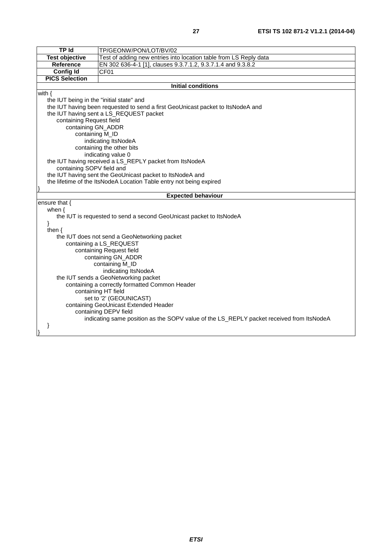| ٠ |  |
|---|--|
|   |  |

| TP Id                                                                           | TP/GEONW/PON/LOT/BV/02                                                                   |  |  |
|---------------------------------------------------------------------------------|------------------------------------------------------------------------------------------|--|--|
| <b>Test objective</b>                                                           | Test of adding new entries into location table from LS Reply data                        |  |  |
| Reference                                                                       | EN 302 636-4-1 [1], clauses 9.3.7.1.2, 9.3.7.1.4 and 9.3.8.2                             |  |  |
| <b>Config Id</b>                                                                | CF01                                                                                     |  |  |
| <b>PICS Selection</b>                                                           |                                                                                          |  |  |
|                                                                                 | <b>Initial conditions</b>                                                                |  |  |
| with $\{$                                                                       |                                                                                          |  |  |
| the IUT being in the "initial state" and                                        |                                                                                          |  |  |
| the IUT having been requested to send a first GeoUnicast packet to ItsNodeA and |                                                                                          |  |  |
|                                                                                 | the IUT having sent a LS_REQUEST packet                                                  |  |  |
| containing Request field                                                        |                                                                                          |  |  |
| containing GN_ADDR                                                              |                                                                                          |  |  |
| containing M_ID                                                                 |                                                                                          |  |  |
|                                                                                 | indicating ItsNodeA                                                                      |  |  |
|                                                                                 | containing the other bits                                                                |  |  |
|                                                                                 | indicating value 0                                                                       |  |  |
| the IUT having received a LS_REPLY packet from ItsNodeA                         |                                                                                          |  |  |
|                                                                                 | containing SOPV field and                                                                |  |  |
| the IUT having sent the GeoUnicast packet to ItsNodeA and                       |                                                                                          |  |  |
|                                                                                 | the lifetime of the ItsNodeA Location Table entry not being expired                      |  |  |
|                                                                                 | <b>Expected behaviour</b>                                                                |  |  |
| ensure that {                                                                   |                                                                                          |  |  |
|                                                                                 |                                                                                          |  |  |
|                                                                                 |                                                                                          |  |  |
| when $\{$                                                                       |                                                                                          |  |  |
|                                                                                 | the IUT is requested to send a second GeoUnicast packet to ItsNodeA                      |  |  |
| }<br>then $\{$                                                                  |                                                                                          |  |  |
|                                                                                 |                                                                                          |  |  |
|                                                                                 | the IUT does not send a GeoNetworking packet<br>containing a LS_REQUEST                  |  |  |
|                                                                                 | containing Request field                                                                 |  |  |
|                                                                                 | containing GN_ADDR                                                                       |  |  |
|                                                                                 | containing M_ID                                                                          |  |  |
|                                                                                 | indicating ItsNodeA                                                                      |  |  |
|                                                                                 | the IUT sends a GeoNetworking packet                                                     |  |  |
|                                                                                 | containing a correctly formatted Common Header                                           |  |  |
|                                                                                 | containing HT field                                                                      |  |  |
|                                                                                 | set to '2' (GEOUNICAST)                                                                  |  |  |
|                                                                                 | containing GeoUnicast Extended Header                                                    |  |  |
|                                                                                 | containing DEPV field                                                                    |  |  |
|                                                                                 | indicating same position as the SOPV value of the LS_REPLY packet received from ItsNodeA |  |  |
| ł                                                                               |                                                                                          |  |  |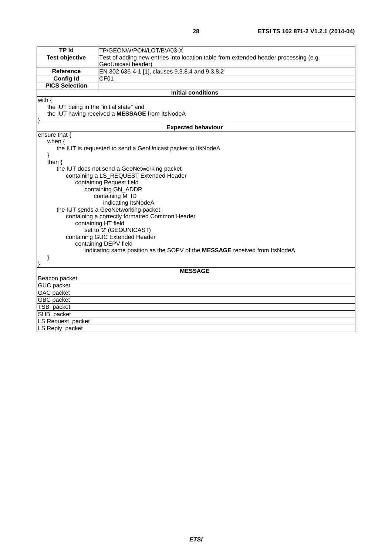| <b>TP</b> Id                                            | TP/GEONW/PON/LOT/BV/03-X                                                             |  |  |
|---------------------------------------------------------|--------------------------------------------------------------------------------------|--|--|
| <b>Test objective</b>                                   | Test of adding new entries into location table from extended header processing (e.g. |  |  |
|                                                         | GeoUnicast header)                                                                   |  |  |
| Reference                                               | EN 302 636-4-1 [1], clauses 9.3.8.4 and 9.3.8.2                                      |  |  |
| <b>Config Id</b>                                        | CF01                                                                                 |  |  |
| <b>PICS Selection</b>                                   |                                                                                      |  |  |
|                                                         | <b>Initial conditions</b>                                                            |  |  |
| with {                                                  |                                                                                      |  |  |
| the IUT being in the "initial state" and                |                                                                                      |  |  |
|                                                         | the IUT having received a MESSAGE from ItsNodeA                                      |  |  |
|                                                         |                                                                                      |  |  |
|                                                         | <b>Expected behaviour</b>                                                            |  |  |
| ensure that {                                           |                                                                                      |  |  |
| when $\{$                                               |                                                                                      |  |  |
|                                                         | the IUT is requested to send a GeoUnicast packet to ItsNodeA                         |  |  |
| ł                                                       |                                                                                      |  |  |
| then $\{$                                               |                                                                                      |  |  |
|                                                         | the IUT does not send a GeoNetworking packet                                         |  |  |
|                                                         | containing a LS_REQUEST Extended Header                                              |  |  |
|                                                         | containing Request field                                                             |  |  |
|                                                         | containing GN_ADDR                                                                   |  |  |
| containing M_ID                                         |                                                                                      |  |  |
| indicating ItsNodeA                                     |                                                                                      |  |  |
| the IUT sends a GeoNetworking packet                    |                                                                                      |  |  |
|                                                         | containing a correctly formatted Common Header                                       |  |  |
|                                                         |                                                                                      |  |  |
|                                                         | containing HT field                                                                  |  |  |
| set to '2' (GEOUNICAST)                                 |                                                                                      |  |  |
| containing GUC Extended Header<br>containing DEPV field |                                                                                      |  |  |
|                                                         | indicating same position as the SOPV of the MESSAGE received from ItsNodeA           |  |  |
|                                                         |                                                                                      |  |  |
| }                                                       |                                                                                      |  |  |
|                                                         | <b>MESSAGE</b>                                                                       |  |  |
| Beacon packet                                           |                                                                                      |  |  |
| <b>GUC</b> packet                                       |                                                                                      |  |  |
| GAC packet                                              |                                                                                      |  |  |
| <b>GBC</b> packet                                       |                                                                                      |  |  |
| TSB packet                                              |                                                                                      |  |  |
| SHB packet                                              |                                                                                      |  |  |
| LS Request packet                                       |                                                                                      |  |  |
| LS Reply packet                                         |                                                                                      |  |  |
|                                                         |                                                                                      |  |  |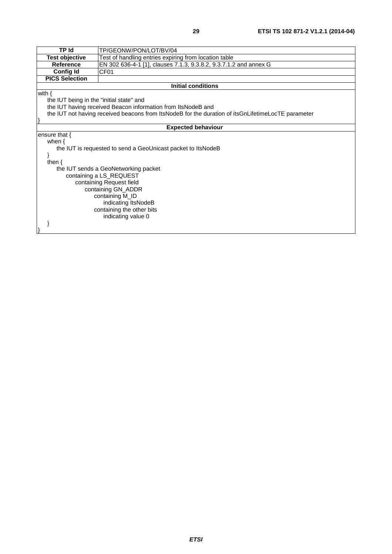| <b>TP Id</b>                                                                                       | TP/GEONW/PON/LOT/BV/04                                            |  |
|----------------------------------------------------------------------------------------------------|-------------------------------------------------------------------|--|
| <b>Test objective</b>                                                                              | Test of handling entries expiring from location table             |  |
| <b>Reference</b>                                                                                   | EN 302 636-4-1 [1], clauses 7.1.3, 9.3.8.2, 9.3.7.1.2 and annex G |  |
| <b>Config Id</b>                                                                                   | CF <sub>01</sub>                                                  |  |
| <b>PICS Selection</b>                                                                              |                                                                   |  |
|                                                                                                    | <b>Initial conditions</b>                                         |  |
| with $\{$                                                                                          |                                                                   |  |
| the IUT being in the "initial state" and                                                           |                                                                   |  |
|                                                                                                    | the IUT having received Beacon information from ItsNodeB and      |  |
| the IUT not having received beacons from ItsNodeB for the duration of itsGnLifetimeLocTE parameter |                                                                   |  |
|                                                                                                    |                                                                   |  |
|                                                                                                    | <b>Expected behaviour</b>                                         |  |
| ensure that $\{$                                                                                   |                                                                   |  |
| when $\{$                                                                                          |                                                                   |  |
|                                                                                                    | the IUT is requested to send a GeoUnicast packet to ItsNodeB      |  |
|                                                                                                    |                                                                   |  |
| then $\{$                                                                                          |                                                                   |  |
| the IUT sends a GeoNetworking packet                                                               |                                                                   |  |
| containing a LS_REQUEST                                                                            |                                                                   |  |
| containing Request field                                                                           |                                                                   |  |
| containing GN_ADDR                                                                                 |                                                                   |  |
| containing M_ID                                                                                    |                                                                   |  |
| indicating ItsNodeB                                                                                |                                                                   |  |
| containing the other bits                                                                          |                                                                   |  |
|                                                                                                    | indicating value 0                                                |  |
|                                                                                                    |                                                                   |  |
|                                                                                                    |                                                                   |  |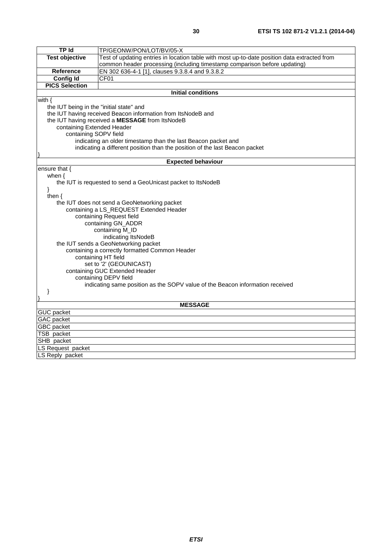| <b>TP Id</b>                                   | TP/GEONW/PON/LOT/BV/05-X                                                                     |  |
|------------------------------------------------|----------------------------------------------------------------------------------------------|--|
| <b>Test objective</b>                          | Test of updating entries in location table with most up-to-date position data extracted from |  |
|                                                | common header processing (including timestamp comparison before updating)                    |  |
|                                                | EN 302 636-4-1 [1], clauses 9.3.8.4 and 9.3.8.2                                              |  |
| <b>Reference</b>                               |                                                                                              |  |
| <b>Config Id</b>                               | CF <sub>01</sub>                                                                             |  |
| <b>PICS Selection</b>                          |                                                                                              |  |
|                                                | <b>Initial conditions</b>                                                                    |  |
| with $\{$                                      |                                                                                              |  |
| the IUT being in the "initial state" and       |                                                                                              |  |
|                                                | the IUT having received Beacon information from ItsNodeB and                                 |  |
|                                                | the IUT having received a MESSAGE from ItsNodeB                                              |  |
| containing Extended Header                     |                                                                                              |  |
| containing SOPV field                          |                                                                                              |  |
|                                                | indicating an older timestamp than the last Beacon packet and                                |  |
|                                                | indicating a different position than the position of the last Beacon packet                  |  |
|                                                |                                                                                              |  |
|                                                | <b>Expected behaviour</b>                                                                    |  |
| ensure that {                                  |                                                                                              |  |
| when $\{$                                      |                                                                                              |  |
|                                                | the IUT is requested to send a GeoUnicast packet to ItsNodeB                                 |  |
| ł                                              |                                                                                              |  |
| then $\{$                                      |                                                                                              |  |
|                                                | the IUT does not send a GeoNetworking packet                                                 |  |
|                                                | containing a LS_REQUEST Extended Header                                                      |  |
|                                                | containing Request field                                                                     |  |
|                                                | containing GN_ADDR                                                                           |  |
|                                                | containing M_ID                                                                              |  |
|                                                | indicating ItsNodeB                                                                          |  |
|                                                | the IUT sends a GeoNetworking packet                                                         |  |
|                                                |                                                                                              |  |
| containing a correctly formatted Common Header |                                                                                              |  |
|                                                | containing HT field                                                                          |  |
| set to '2' (GEOUNICAST)                        |                                                                                              |  |
| containing GUC Extended Header                 |                                                                                              |  |
|                                                | containing DEPV field                                                                        |  |
|                                                | indicating same position as the SOPV value of the Beacon information received                |  |
| }                                              |                                                                                              |  |
|                                                |                                                                                              |  |
|                                                | <b>MESSAGE</b>                                                                               |  |
| <b>GUC</b> packet                              |                                                                                              |  |
| <b>GAC</b> packet                              |                                                                                              |  |
| <b>GBC</b> packet                              |                                                                                              |  |
| TSB packet                                     |                                                                                              |  |
| SHB packet                                     |                                                                                              |  |
| LS Request packet                              |                                                                                              |  |
| LS Reply packet                                |                                                                                              |  |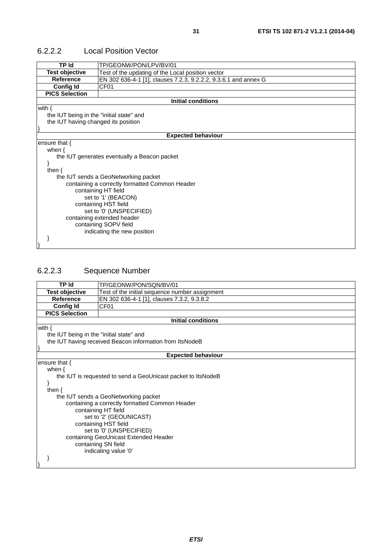| <b>TP Id</b>                             | TP/GEONW/PON/LPV/BV/01                                          |
|------------------------------------------|-----------------------------------------------------------------|
| <b>Test objective</b>                    | Test of the updating of the Local position vector               |
| <b>Reference</b>                         | EN 302 636-4-1 [1], clauses 7.2.3, 9.2.2.2, 9.3.6.1 and annex G |
| <b>Config Id</b>                         | CF <sub>01</sub>                                                |
| <b>PICS Selection</b>                    |                                                                 |
|                                          | <b>Initial conditions</b>                                       |
| with $\{$                                |                                                                 |
| the IUT being in the "initial state" and |                                                                 |
| the IUT having changed its position      |                                                                 |
|                                          |                                                                 |
|                                          | <b>Expected behaviour</b>                                       |
| ensure that $\{$                         |                                                                 |
| when $\{$                                |                                                                 |
|                                          | the IUT generates eventually a Beacon packet                    |
|                                          |                                                                 |
| then $\{$                                |                                                                 |
|                                          | the IUT sends a GeoNetworking packet                            |
|                                          | containing a correctly formatted Common Header                  |
|                                          | containing HT field                                             |
|                                          | set to '1' (BEACON)                                             |
|                                          | containing HST field                                            |
|                                          | set to '0' (UNSPECIFIED)                                        |
|                                          | containing extended header                                      |
|                                          | containing SOPV field                                           |
|                                          | indicating the new position                                     |
|                                          |                                                                 |
|                                          |                                                                 |

#### 6.2.2.2 Local Position Vector

## 6.2.2.3 Sequence Number

| <b>TP Id</b>                                   | TP/GEONW/PON/SON/BV/01                                       |  |
|------------------------------------------------|--------------------------------------------------------------|--|
| <b>Test objective</b>                          | Test of the initial sequence number assignment               |  |
| <b>Reference</b>                               | EN 302 636-4-1 [1], clauses 7.3.2, 9.3.8.2                   |  |
| <b>Config Id</b>                               | CF <sub>01</sub>                                             |  |
| <b>PICS Selection</b>                          |                                                              |  |
|                                                | <b>Initial conditions</b>                                    |  |
| with $\{$                                      |                                                              |  |
| the IUT being in the "initial state" and       |                                                              |  |
|                                                | the IUT having received Beacon information from ItsNodeB     |  |
|                                                |                                                              |  |
|                                                | <b>Expected behaviour</b>                                    |  |
| ensure that $\{$                               |                                                              |  |
| when $\{$                                      |                                                              |  |
|                                                | the IUT is requested to send a GeoUnicast packet to ItsNodeB |  |
|                                                |                                                              |  |
| then $\{$                                      |                                                              |  |
|                                                | the IUT sends a GeoNetworking packet                         |  |
| containing a correctly formatted Common Header |                                                              |  |
| containing HT field                            |                                                              |  |
| set to '2' (GEOUNICAST)                        |                                                              |  |
| containing HST field                           |                                                              |  |
| set to '0' (UNSPECIFIED)                       |                                                              |  |
| containing GeoUnicast Extended Header          |                                                              |  |
|                                                | containing SN field                                          |  |
|                                                | indicating value '0'                                         |  |
|                                                |                                                              |  |
|                                                |                                                              |  |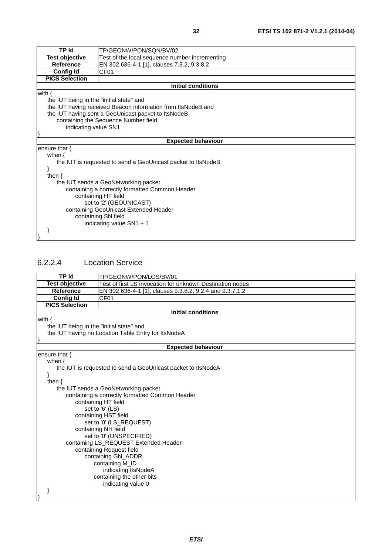| TP Id                                          | TP/GEONW/PON/SQN/BV/02                                       |
|------------------------------------------------|--------------------------------------------------------------|
| <b>Test objective</b>                          | Test of the local sequence number incrementing               |
| <b>Reference</b>                               | EN 302 636-4-1 [1], clauses 7.3.2, 9.3.8.2                   |
| <b>Config Id</b>                               | CF <sub>01</sub>                                             |
| <b>PICS Selection</b>                          |                                                              |
|                                                | <b>Initial conditions</b>                                    |
| with $\{$                                      |                                                              |
| the IUT being in the "initial state" and       |                                                              |
|                                                | the IUT having received Beacon information from ItsNodeB and |
|                                                | the IUT having sent a GeoUnicast packet to ItsNodeB          |
|                                                | containing the Sequence Number field                         |
| indicating value SN1                           |                                                              |
|                                                |                                                              |
|                                                | <b>Expected behaviour</b>                                    |
| ensure that $\{$                               |                                                              |
| when $\{$                                      |                                                              |
|                                                | the IUT is requested to send a GeoUnicast packet to ItsNodeB |
|                                                |                                                              |
| then $\{$                                      |                                                              |
| the IUT sends a GeoNetworking packet           |                                                              |
| containing a correctly formatted Common Header |                                                              |
| containing HT field                            |                                                              |
| set to '2' (GEOUNICAST)                        |                                                              |
| containing GeoUnicast Extended Header          |                                                              |
| containing SN field                            |                                                              |
| indicating value $SN1 + 1$                     |                                                              |
|                                                |                                                              |
|                                                |                                                              |

#### 6.2.2.4 Location Service

| <b>TP Id</b>                                                 | TP/GEONW/PON/LOS/BV/01                                    |  |
|--------------------------------------------------------------|-----------------------------------------------------------|--|
| <b>Test objective</b>                                        | Test of first LS invocation for unknown Destination nodes |  |
| <b>Reference</b>                                             | EN 302 636-4-1 [1], clauses 9.3.8.2, 9.2.4 and 9.3.7.1.2  |  |
| <b>Config Id</b>                                             | CF <sub>01</sub>                                          |  |
| <b>PICS Selection</b>                                        |                                                           |  |
|                                                              | <b>Initial conditions</b>                                 |  |
| with $\{$                                                    |                                                           |  |
| the IUT being in the "initial state" and                     |                                                           |  |
|                                                              | the IUT having no Location Table Entry for ItsNodeA       |  |
|                                                              |                                                           |  |
|                                                              | <b>Expected behaviour</b>                                 |  |
| ensure that $\{$                                             |                                                           |  |
| when $\{$                                                    |                                                           |  |
| the IUT is requested to send a GeoUnicast packet to ItsNodeA |                                                           |  |
|                                                              |                                                           |  |
| then $\{$<br>the IUT sends a GeoNetworking packet            |                                                           |  |
|                                                              | containing a correctly formatted Common Header            |  |
|                                                              | containing HT field                                       |  |
|                                                              | set to '6' (LS)                                           |  |
|                                                              | containing HST field                                      |  |
| set to '0' (LS_REQUEST)                                      |                                                           |  |
| containing NH field                                          |                                                           |  |
| set to '0' (UNSPECIFIED)                                     |                                                           |  |
| containing LS_REQUEST Extended Header                        |                                                           |  |
| containing Request field                                     |                                                           |  |
| containing GN_ADDR                                           |                                                           |  |
| containing M_ID                                              |                                                           |  |
|                                                              | indicating ItsNodeA                                       |  |
|                                                              | containing the other bits                                 |  |
|                                                              | indicating value 0                                        |  |
|                                                              |                                                           |  |
|                                                              |                                                           |  |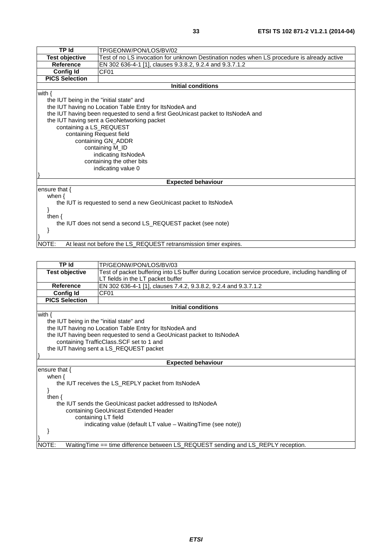| <b>TP Id</b>                             | TP/GEONW/PON/LOS/BV/02                                                                     |  |
|------------------------------------------|--------------------------------------------------------------------------------------------|--|
| <b>Test objective</b>                    | Test of no LS invocation for unknown Destination nodes when LS procedure is already active |  |
| <b>Reference</b>                         | EN 302 636-4-1 [1], clauses 9.3.8.2, 9.2.4 and 9.3.7.1.2                                   |  |
| <b>Config Id</b>                         | CF01                                                                                       |  |
| <b>PICS Selection</b>                    |                                                                                            |  |
|                                          | <b>Initial conditions</b>                                                                  |  |
| with $\{$                                |                                                                                            |  |
| the IUT being in the "initial state" and |                                                                                            |  |
|                                          | the IUT having no Location Table Entry for ItsNodeA and                                    |  |
|                                          | the IUT having been requested to send a first GeoUnicast packet to ItsNodeA and            |  |
|                                          | the IUT having sent a GeoNetworking packet                                                 |  |
| containing a LS_REQUEST                  |                                                                                            |  |
|                                          | containing Request field                                                                   |  |
|                                          | containing GN_ADDR                                                                         |  |
|                                          | containing M_ID                                                                            |  |
|                                          | indicating ItsNodeA                                                                        |  |
|                                          | containing the other bits                                                                  |  |
|                                          | indicating value 0                                                                         |  |
|                                          |                                                                                            |  |
|                                          | <b>Expected behaviour</b>                                                                  |  |
| ensure that $\{$                         |                                                                                            |  |
| when $\{$                                |                                                                                            |  |
|                                          | the IUT is requested to send a new GeoUnicast packet to ItsNodeA                           |  |
|                                          |                                                                                            |  |
| then $\{$                                |                                                                                            |  |
|                                          | the IUT does not send a second LS_REQUEST packet (see note)                                |  |
|                                          |                                                                                            |  |
|                                          |                                                                                            |  |
| NOTE:                                    | At least not before the LS REQUEST retransmission timer expires.                           |  |

#### NOTE: At least not before the LS\_REQUEST retransmission timer expires.

| <b>TP Id</b>                                                          | TP/GEONW/PON/LOS/BV/03                                                                           |  |
|-----------------------------------------------------------------------|--------------------------------------------------------------------------------------------------|--|
| <b>Test objective</b>                                                 | Test of packet buffering into LS buffer during Location service procedure, including handling of |  |
|                                                                       | LT fields in the LT packet buffer                                                                |  |
| Reference                                                             | EN 302 636-4-1 [1], clauses 7.4.2, 9.3.8.2, 9.2.4 and 9.3.7.1.2                                  |  |
| <b>Config Id</b>                                                      | CF <sub>01</sub>                                                                                 |  |
| <b>PICS Selection</b>                                                 |                                                                                                  |  |
|                                                                       | <b>Initial conditions</b>                                                                        |  |
| with $\{$                                                             |                                                                                                  |  |
| the IUT being in the "initial state" and                              |                                                                                                  |  |
|                                                                       | the IUT having no Location Table Entry for ItsNodeA and                                          |  |
| the IUT having been requested to send a GeoUnicast packet to ItsNodeA |                                                                                                  |  |
| containing TrafficClass.SCF set to 1 and                              |                                                                                                  |  |
| the IUT having sent a LS_REQUEST packet                               |                                                                                                  |  |
|                                                                       |                                                                                                  |  |
|                                                                       | <b>Expected behaviour</b>                                                                        |  |
| ensure that $\{$                                                      |                                                                                                  |  |
| when $\{$                                                             |                                                                                                  |  |
|                                                                       | the IUT receives the LS_REPLY packet from ItsNodeA                                               |  |
|                                                                       |                                                                                                  |  |
| then $\{$                                                             |                                                                                                  |  |
| the IUT sends the GeoUnicast packet addressed to ItsNodeA             |                                                                                                  |  |
| containing GeoUnicast Extended Header                                 |                                                                                                  |  |
| containing LT field                                                   |                                                                                                  |  |
|                                                                       | indicating value (default LT value – Waiting Time (see note))                                    |  |
|                                                                       |                                                                                                  |  |
|                                                                       |                                                                                                  |  |
| NOTE:                                                                 | WaitingTime == time difference between LS_REQUEST sending and LS_REPLY reception.                |  |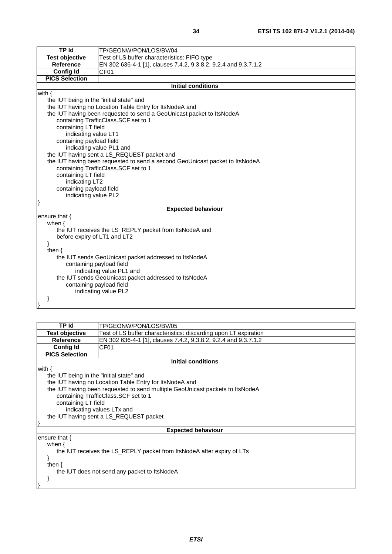| TP Id<br>ITP/GEONW/PON/LOS/BV/04<br>Test objective<br>Test of LS buffer characteristics: FIFO type |                                                                  |
|----------------------------------------------------------------------------------------------------|------------------------------------------------------------------|
|                                                                                                    |                                                                  |
|                                                                                                    |                                                                  |
| <b>Reference</b>                                                                                   | [EN 302 636-4-1 [1], clauses 7.4.2, 9.3.8.2, 9.2.4 and 9.3.7.1.2 |
| <b>Config Id</b><br>CF <sub>01</sub>                                                               |                                                                  |

**Initial conditions**

with {

the IUT being in the "initial state" and

**PICS Selection**

the IUT having no Location Table Entry for ItsNodeA and

the IUT having been requested to send a GeoUnicast packet to ItsNodeA

 containing TrafficClass.SCF set to 1 containing LT field

 indicating value LT1 containing payload field

indicating value PL1 and

the IUT having sent a LS\_REQUEST packet and

 the IUT having been requested to send a second GeoUnicast packet to ItsNodeA containing TrafficClass.SCF set to 1

containing LT field

indicating LT2

containing payload field

indicating value PL2

#### **Expected behaviour**

ensure that {

}

}

| when $\{$                                              |  |
|--------------------------------------------------------|--|
| the IUT receives the LS_REPLY packet from ItsNodeA and |  |
| before expiry of LT1 and LT2                           |  |
|                                                        |  |
| then $\{$                                              |  |
| the IUT sends GeoUnicast packet addressed to ItsNodeA  |  |
| containing payload field                               |  |
| indicating value PL1 and                               |  |
| the IUT sends GeoUnicast packet addressed to ItsNodeA  |  |
| containing payload field                               |  |
| indicating value PL2                                   |  |
|                                                        |  |

#### **TP Id** TP/GEONW/PON/LOS/BV/05 **Test objective** Test of LS buffer characteristics: discarding upon LT expiration **Reference** EN 302 636-4-1 [1], clauses 7.4.2, 9.3.8.2, 9.2.4 and 9.3.7.1.2 **Config Id** CF01 **PICS Selection Initial conditions** with { the IUT being in the "initial state" and the IUT having no Location Table Entry for ItsNodeA and the IUT having been requested to send multiple GeoUnicast packets to ItsNodeA containing TrafficClass.SCF set to 1 containing LT field indicating values LTx and the IUT having sent a LS\_REQUEST packet } **Expected behaviour** ensure that { when { the IUT receives the LS\_REPLY packet from ItsNodeA after expiry of LTs } then { the IUT does not send any packet to ItsNodeA

}

}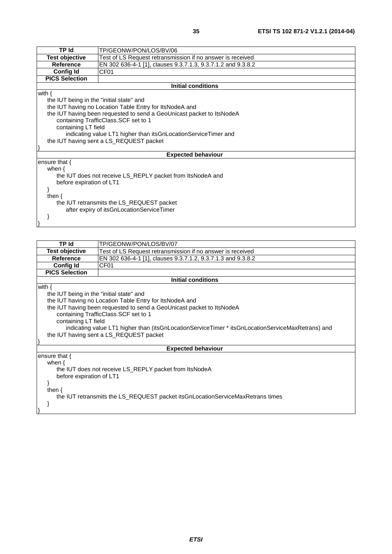| TP Id                                                                        | TP/GEONW/PON/LOS/BV/06                                                                                                                                                                                                                                                                |
|------------------------------------------------------------------------------|---------------------------------------------------------------------------------------------------------------------------------------------------------------------------------------------------------------------------------------------------------------------------------------|
| <b>Test objective</b>                                                        | Test of LS Request retransmission if no answer is received                                                                                                                                                                                                                            |
| <b>Reference</b>                                                             | EN 302 636-4-1 [1], clauses 9.3.7.1.3, 9.3.7.1.2 and 9.3.8.2                                                                                                                                                                                                                          |
| <b>Config Id</b>                                                             | CF <sub>01</sub>                                                                                                                                                                                                                                                                      |
| <b>PICS Selection</b>                                                        |                                                                                                                                                                                                                                                                                       |
|                                                                              | <b>Initial conditions</b>                                                                                                                                                                                                                                                             |
| with $\{$<br>the IUT being in the "initial state" and<br>containing LT field | the IUT having no Location Table Entry for ItsNodeA and<br>the IUT having been requested to send a GeoUnicast packet to ItsNodeA<br>containing TrafficClass.SCF set to 1<br>indicating value LT1 higher than itsGnLocationServiceTimer and<br>the IUT having sent a LS_REQUEST packet |
|                                                                              | <b>Expected behaviour</b>                                                                                                                                                                                                                                                             |
| ensure that {<br>when $\{$<br>before expiration of LT1<br>then $\{$          | the IUT does not receive LS_REPLY packet from ItsNodeA and<br>the IUT retransmits the LS_REQUEST packet<br>after expiry of itsGnLocationServiceTimer                                                                                                                                  |

}

| <b>TP Id</b>                                                                   | TP/GEONW/PON/LOS/BV/07                                                                            |  |  |
|--------------------------------------------------------------------------------|---------------------------------------------------------------------------------------------------|--|--|
| Test objective                                                                 | Test of LS Request retransmission if no answer is received                                        |  |  |
| Reference                                                                      | EN 302 636-4-1 [1], clauses 9.3.7.1.2, 9.3.7.1.3 and 9.3.8.2                                      |  |  |
| <b>Config Id</b>                                                               | CF <sub>01</sub>                                                                                  |  |  |
| <b>PICS Selection</b>                                                          |                                                                                                   |  |  |
|                                                                                | <b>Initial conditions</b>                                                                         |  |  |
| with $\{$                                                                      |                                                                                                   |  |  |
| the IUT being in the "initial state" and                                       |                                                                                                   |  |  |
|                                                                                | the IUT having no Location Table Entry for ItsNodeA and                                           |  |  |
|                                                                                | the IUT having been requested to send a GeoUnicast packet to ItsNodeA                             |  |  |
|                                                                                | containing TrafficClass.SCF set to 1                                                              |  |  |
|                                                                                | containing LT field                                                                               |  |  |
|                                                                                | indicating value LT1 higher than (itsGnLocationServiceTimer * itsGnLocationServiceMaxRetrans) and |  |  |
|                                                                                | the IUT having sent a LS_REQUEST packet                                                           |  |  |
|                                                                                |                                                                                                   |  |  |
|                                                                                | <b>Expected behaviour</b>                                                                         |  |  |
| ensure that $\{$                                                               |                                                                                                   |  |  |
| when $\{$                                                                      |                                                                                                   |  |  |
|                                                                                | the IUT does not receive LS_REPLY packet from ItsNodeA                                            |  |  |
| before expiration of LT1                                                       |                                                                                                   |  |  |
|                                                                                |                                                                                                   |  |  |
| then $\{$                                                                      |                                                                                                   |  |  |
| the IUT retransmits the LS_REQUEST packet itsGnLocationServiceMaxRetrans times |                                                                                                   |  |  |
|                                                                                |                                                                                                   |  |  |
|                                                                                |                                                                                                   |  |  |
|                                                                                |                                                                                                   |  |  |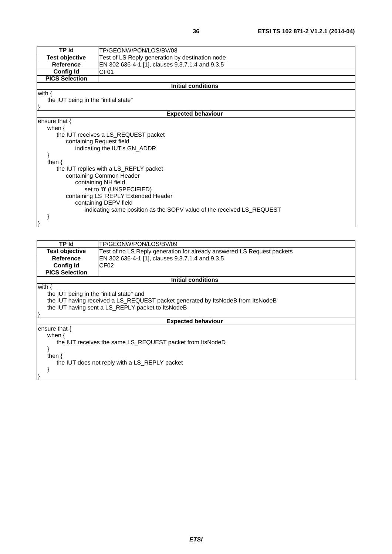| TP Id                                                        | TP/GEONW/PON/LOS/BV/08                                                |  |
|--------------------------------------------------------------|-----------------------------------------------------------------------|--|
| <b>Test objective</b>                                        | Test of LS Reply generation by destination node                       |  |
| <b>Reference</b>                                             | EN 302 636-4-1 [1], clauses 9.3.7.1.4 and 9.3.5                       |  |
| <b>Config Id</b>                                             | CF <sub>01</sub>                                                      |  |
| <b>PICS Selection</b>                                        |                                                                       |  |
|                                                              | Initial conditions                                                    |  |
| with $\{$                                                    |                                                                       |  |
| the IUT being in the "initial state"                         |                                                                       |  |
|                                                              |                                                                       |  |
|                                                              | <b>Expected behaviour</b>                                             |  |
| ensure that $\{$                                             |                                                                       |  |
| when $\{$                                                    |                                                                       |  |
|                                                              | the IUT receives a LS_REQUEST packet                                  |  |
| containing Request field                                     |                                                                       |  |
|                                                              | indicating the IUT's GN ADDR                                          |  |
|                                                              |                                                                       |  |
| then $\{$                                                    |                                                                       |  |
|                                                              | the IUT replies with a LS_REPLY packet                                |  |
| containing Common Header                                     |                                                                       |  |
| containing NH field                                          |                                                                       |  |
| set to '0' (UNSPECIFIED)                                     |                                                                       |  |
| containing LS_REPLY Extended Header<br>containing DEPV field |                                                                       |  |
|                                                              |                                                                       |  |
|                                                              | indicating same position as the SOPV value of the received LS_REQUEST |  |
|                                                              |                                                                       |  |
|                                                              |                                                                       |  |

| TP Id                                                                           | TP/GEONW/PON/LOS/BV/09                                                 |
|---------------------------------------------------------------------------------|------------------------------------------------------------------------|
| Test objective                                                                  | Test of no LS Reply generation for already answered LS Request packets |
| <b>Reference</b>                                                                | EN 302 636-4-1 [1], clauses 9.3.7.1.4 and 9.3.5                        |
| <b>Config Id</b>                                                                | CF <sub>02</sub>                                                       |
| <b>PICS Selection</b>                                                           |                                                                        |
| Initial conditions                                                              |                                                                        |
| with $\{$                                                                       |                                                                        |
| the IUT being in the "initial state" and                                        |                                                                        |
| the IUT having received a LS_REQUEST packet generated by ItsNodeB from ItsNodeB |                                                                        |
| the IUT having sent a LS_REPLY packet to ItsNodeB                               |                                                                        |
|                                                                                 |                                                                        |
| <b>Expected behaviour</b>                                                       |                                                                        |
| ensure that {                                                                   |                                                                        |
| when $\{$                                                                       |                                                                        |
| the IUT receives the same LS REQUEST packet from ItsNodeD                       |                                                                        |
|                                                                                 |                                                                        |
| then $\{$                                                                       |                                                                        |
| the IUT does not reply with a LS_REPLY packet                                   |                                                                        |
|                                                                                 |                                                                        |
|                                                                                 |                                                                        |
|                                                                                 |                                                                        |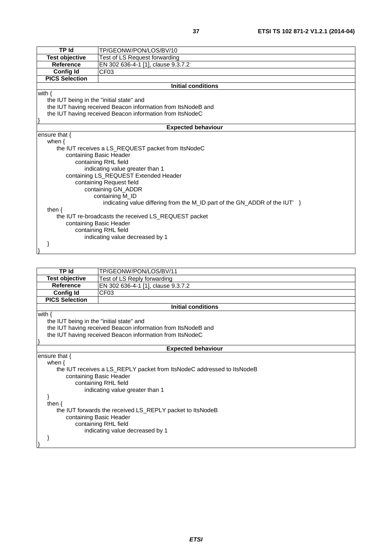| <b>TP Id</b>                                         | TP/GEONW/PON/LOS/BV/10                                                       |  |
|------------------------------------------------------|------------------------------------------------------------------------------|--|
| <b>Test objective</b>                                | Test of LS Request forwarding                                                |  |
| <b>Reference</b>                                     | EN 302 636-4-1 [1], clause 9.3.7.2                                           |  |
| Config Id                                            | CF <sub>03</sub>                                                             |  |
| <b>PICS Selection</b>                                |                                                                              |  |
|                                                      | <b>Initial conditions</b>                                                    |  |
| with $\{$                                            |                                                                              |  |
| the IUT being in the "initial state" and             |                                                                              |  |
|                                                      | the IUT having received Beacon information from ItsNodeB and                 |  |
|                                                      | the IUT having received Beacon information from ItsNodeC                     |  |
|                                                      |                                                                              |  |
|                                                      | <b>Expected behaviour</b>                                                    |  |
| ensure that $\{$                                     |                                                                              |  |
| when $\{$                                            |                                                                              |  |
|                                                      | the IUT receives a LS REQUEST packet from ItsNodeC                           |  |
| containing Basic Header                              |                                                                              |  |
|                                                      | containing RHL field                                                         |  |
|                                                      | indicating value greater than 1                                              |  |
|                                                      | containing LS_REQUEST Extended Header                                        |  |
| containing Request field                             |                                                                              |  |
|                                                      | containing GN_ADDR                                                           |  |
| containing M_ID                                      |                                                                              |  |
|                                                      | indicating value differing from the M ID part of the GN ADDR of the IUT $\}$ |  |
| then $\{$                                            |                                                                              |  |
| the IUT re-broadcasts the received LS_REQUEST packet |                                                                              |  |
| containing Basic Header                              |                                                                              |  |
| containing RHL field                                 |                                                                              |  |
|                                                      | indicating value decreased by 1                                              |  |
|                                                      |                                                                              |  |
|                                                      |                                                                              |  |

| <b>TP</b> Id                                              | TP/GEONW/PON/LOS/BV/11                                                 |  |
|-----------------------------------------------------------|------------------------------------------------------------------------|--|
| <b>Test objective</b>                                     | Test of LS Reply forwarding                                            |  |
| <b>Reference</b>                                          | EN 302 636-4-1 [1], clause 9.3.7.2                                     |  |
| <b>Config Id</b>                                          | CF <sub>03</sub>                                                       |  |
| <b>PICS Selection</b>                                     |                                                                        |  |
|                                                           | <b>Initial conditions</b>                                              |  |
| with $\{$                                                 |                                                                        |  |
| the IUT being in the "initial state" and                  |                                                                        |  |
|                                                           | the IUT having received Beacon information from ItsNodeB and           |  |
|                                                           | the IUT having received Beacon information from ItsNodeC               |  |
|                                                           |                                                                        |  |
|                                                           | <b>Expected behaviour</b>                                              |  |
| ensure that {                                             |                                                                        |  |
| when $\{$                                                 |                                                                        |  |
|                                                           | the IUT receives a LS_REPLY packet from ItsNodeC addressed to ItsNodeB |  |
|                                                           | containing Basic Header                                                |  |
| containing RHL field                                      |                                                                        |  |
|                                                           | indicating value greater than 1                                        |  |
|                                                           |                                                                        |  |
| then $\{$                                                 |                                                                        |  |
| the IUT forwards the received LS_REPLY packet to ItsNodeB |                                                                        |  |
| containing Basic Header                                   |                                                                        |  |
| containing RHL field                                      |                                                                        |  |
|                                                           | indicating value decreased by 1                                        |  |
|                                                           |                                                                        |  |
|                                                           |                                                                        |  |
|                                                           |                                                                        |  |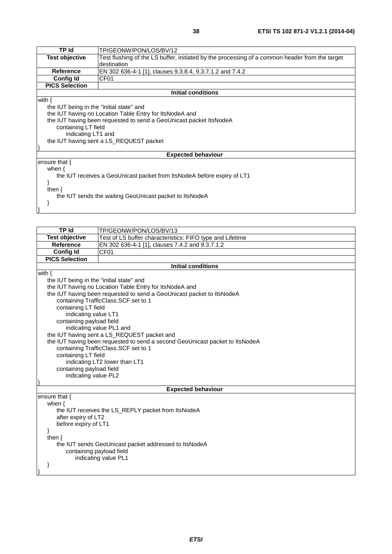| <b>TP Id</b>                                                            | TP/GEONW/PON/LOS/BV/12                                                                         |  |  |
|-------------------------------------------------------------------------|------------------------------------------------------------------------------------------------|--|--|
| <b>Test objective</b>                                                   | Test flushing of the LS buffer, initiated by the processing of a common header from the target |  |  |
|                                                                         | destination                                                                                    |  |  |
| <b>Reference</b>                                                        | EN 302 636-4-1 [1], clauses 9.3.8.4, 9.3.7.1.2 and 7.4.2                                       |  |  |
| Config Id                                                               | CF <sub>01</sub>                                                                               |  |  |
| <b>PICS Selection</b>                                                   |                                                                                                |  |  |
|                                                                         | <b>Initial conditions</b>                                                                      |  |  |
| with $\{$                                                               |                                                                                                |  |  |
| the IUT being in the "initial state" and                                |                                                                                                |  |  |
| the IUT having no Location Table Entry for ItsNodeA and                 |                                                                                                |  |  |
| the IUT having been requested to send a GeoUnicast packet ItsNodeA      |                                                                                                |  |  |
|                                                                         | containing LT field                                                                            |  |  |
| indicating LT1 and                                                      |                                                                                                |  |  |
| the IUT having sent a LS_REQUEST packet                                 |                                                                                                |  |  |
|                                                                         |                                                                                                |  |  |
|                                                                         | <b>Expected behaviour</b>                                                                      |  |  |
| ensure that $\{$                                                        |                                                                                                |  |  |
| when $\{$                                                               |                                                                                                |  |  |
| the IUT receives a GeoUnicast packet from ItsNodeA before expiry of LT1 |                                                                                                |  |  |
|                                                                         |                                                                                                |  |  |
| then $\{$                                                               |                                                                                                |  |  |
| the IUT sends the waiting GeoUnicast packet to ItsNodeA                 |                                                                                                |  |  |
|                                                                         |                                                                                                |  |  |
|                                                                         |                                                                                                |  |  |
|                                                                         |                                                                                                |  |  |

| <b>TP Id</b>                                          | TP/GEONW/PON/LOS/BV/13                                                       |  |
|-------------------------------------------------------|------------------------------------------------------------------------------|--|
| <b>Test objective</b>                                 | Test of LS buffer characteristics: FIFO type and Lifetime                    |  |
| Reference                                             | EN 302 636-4-1 [1], clauses 7.4.2 and 9.3.7.1.2                              |  |
| <b>Config Id</b>                                      | CF <sub>01</sub>                                                             |  |
| <b>PICS Selection</b>                                 |                                                                              |  |
|                                                       | <b>Initial conditions</b>                                                    |  |
| with $\{$                                             |                                                                              |  |
| the IUT being in the "initial state" and              |                                                                              |  |
|                                                       | the IUT having no Location Table Entry for ItsNodeA and                      |  |
|                                                       | the IUT having been requested to send a GeoUnicast packet to ItsNodeA        |  |
|                                                       | containing TrafficClass.SCF set to 1                                         |  |
| containing LT field                                   |                                                                              |  |
| indicating value LT1                                  |                                                                              |  |
| containing payload field                              |                                                                              |  |
| indicating value PL1 and                              |                                                                              |  |
|                                                       | the IUT having sent a LS_REQUEST packet and                                  |  |
|                                                       | the IUT having been requested to send a second GeoUnicast packet to ItsNodeA |  |
| containing TrafficClass.SCF set to 1                  |                                                                              |  |
| containing LT field                                   |                                                                              |  |
| indicating LT2 lower than LT1                         |                                                                              |  |
| containing payload field                              |                                                                              |  |
| indicating value PL2                                  |                                                                              |  |
| <b>Expected behaviour</b>                             |                                                                              |  |
| ensure that $\{$                                      |                                                                              |  |
| when $\{$                                             |                                                                              |  |
|                                                       | the IUT receives the LS_REPLY packet from ItsNodeA                           |  |
| after expiry of LT2                                   |                                                                              |  |
| before expiry of LT1                                  |                                                                              |  |
| $\mathcal{F}$                                         |                                                                              |  |
| then $\{$                                             |                                                                              |  |
| the IUT sends GeoUnicast packet addressed to ItsNodeA |                                                                              |  |
| containing payload field                              |                                                                              |  |
|                                                       | indicating value PL1                                                         |  |
| ł                                                     |                                                                              |  |
|                                                       |                                                                              |  |

*ETSI*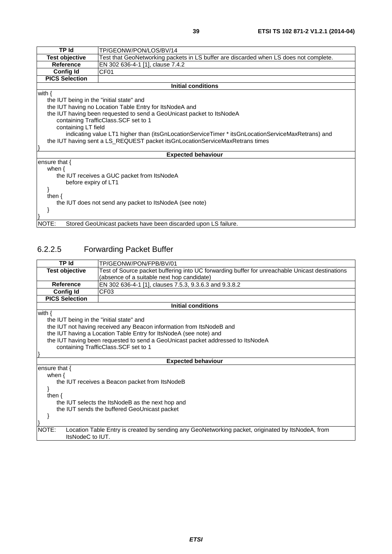| TP Id                                                                        | TP/GEONW/PON/LOS/BV/14                                                                            |  |
|------------------------------------------------------------------------------|---------------------------------------------------------------------------------------------------|--|
| Test objective                                                               | Test that GeoNetworking packets in LS buffer are discarded when LS does not complete.             |  |
| Reference                                                                    | EN 302 636-4-1 [1], clause 7.4.2                                                                  |  |
| <b>Config Id</b>                                                             | CF <sub>01</sub>                                                                                  |  |
| <b>PICS Selection</b>                                                        |                                                                                                   |  |
|                                                                              | <b>Initial conditions</b>                                                                         |  |
| with $\{$                                                                    |                                                                                                   |  |
| the IUT being in the "initial state" and                                     |                                                                                                   |  |
|                                                                              | the IUT having no Location Table Entry for ItsNodeA and                                           |  |
|                                                                              | the IUT having been requested to send a GeoUnicast packet to ItsNodeA                             |  |
|                                                                              | containing TrafficClass. SCF set to 1                                                             |  |
|                                                                              | containing LT field                                                                               |  |
|                                                                              | indicating value LT1 higher than (itsGnLocationServiceTimer * itsGnLocationServiceMaxRetrans) and |  |
| the IUT having sent a LS_REQUEST packet itsGnLocationServiceMaxRetrans times |                                                                                                   |  |
|                                                                              |                                                                                                   |  |
| <b>Expected behaviour</b>                                                    |                                                                                                   |  |
| ensure that $\{$                                                             |                                                                                                   |  |
| when $\{$                                                                    |                                                                                                   |  |
|                                                                              | the IUT receives a GUC packet from ItsNodeA                                                       |  |
| before expiry of LT1                                                         |                                                                                                   |  |
|                                                                              |                                                                                                   |  |
| then $\{$                                                                    |                                                                                                   |  |
| the IUT does not send any packet to ItsNodeA (see note)                      |                                                                                                   |  |
|                                                                              |                                                                                                   |  |
|                                                                              |                                                                                                   |  |
| NOTE:                                                                        | Stored GeoUnicast packets have been discarded upon LS failure.                                    |  |

### 6.2.2.5 Forwarding Packet Buffer

| TP Id                                            | TP/GEONW/PON/FPB/BV/01                                                                            |  |
|--------------------------------------------------|---------------------------------------------------------------------------------------------------|--|
| <b>Test objective</b>                            | Test of Source packet buffering into UC forwarding buffer for unreachable Unicast destinations    |  |
|                                                  | (absence of a suitable next hop candidate)                                                        |  |
| <b>Reference</b>                                 | EN 302 636-4-1 [1], clauses 7.5.3, 9.3.6.3 and 9.3.8.2                                            |  |
| <b>Config Id</b>                                 | CF <sub>03</sub>                                                                                  |  |
| <b>PICS Selection</b>                            |                                                                                                   |  |
|                                                  | <b>Initial conditions</b>                                                                         |  |
| with $\{$                                        |                                                                                                   |  |
| the IUT being in the "initial state" and         |                                                                                                   |  |
|                                                  | the IUT not having received any Beacon information from ItsNodeB and                              |  |
|                                                  | the IUT having a Location Table Entry for ItsNodeA (see note) and                                 |  |
|                                                  | the IUT having been requested to send a GeoUnicast packet addressed to ItsNodeA                   |  |
|                                                  | containing TrafficClass.SCF set to 1                                                              |  |
|                                                  |                                                                                                   |  |
|                                                  | <b>Expected behaviour</b>                                                                         |  |
| ensure that {                                    |                                                                                                   |  |
| when $\{$                                        |                                                                                                   |  |
| the IUT receives a Beacon packet from ItsNodeB   |                                                                                                   |  |
|                                                  |                                                                                                   |  |
| then $\{$                                        |                                                                                                   |  |
| the IUT selects the ItsNodeB as the next hop and |                                                                                                   |  |
| the IUT sends the buffered GeoUnicast packet     |                                                                                                   |  |
|                                                  |                                                                                                   |  |
|                                                  |                                                                                                   |  |
| NOTE:                                            | Location Table Entry is created by sending any GeoNetworking packet, originated by ItsNodeA, from |  |
| ItsNodeC to IUT.                                 |                                                                                                   |  |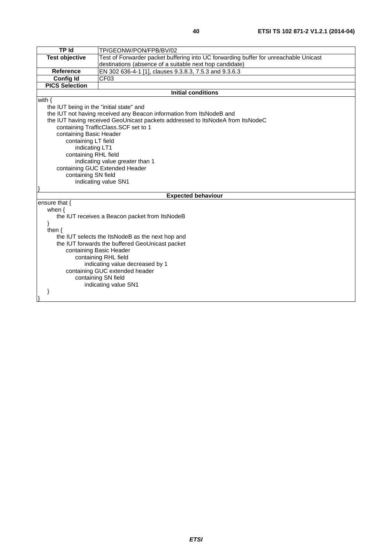| <b>TP Id</b>                                                               | TP/GEONW/PON/FPB/BV/02                                                               |  |
|----------------------------------------------------------------------------|--------------------------------------------------------------------------------------|--|
| <b>Test objective</b>                                                      | Test of Forwarder packet buffering into UC forwarding buffer for unreachable Unicast |  |
|                                                                            | destinations (absence of a suitable next hop candidate)                              |  |
| Reference                                                                  | EN 302 636-4-1 [1], clauses 9.3.8.3, 7.5.3 and 9.3.6.3                               |  |
| <b>Config Id</b>                                                           | CF03                                                                                 |  |
| <b>PICS Selection</b>                                                      |                                                                                      |  |
|                                                                            | <b>Initial conditions</b>                                                            |  |
| with $\{$                                                                  |                                                                                      |  |
| the IUT being in the "initial state" and                                   |                                                                                      |  |
|                                                                            | the IUT not having received any Beacon information from ItsNodeB and                 |  |
|                                                                            | the IUT having received GeoUnicast packets addressed to ItsNodeA from ItsNodeC       |  |
|                                                                            | containing TrafficClass.SCF set to 1                                                 |  |
| containing Basic Header                                                    |                                                                                      |  |
| containing LT field                                                        |                                                                                      |  |
|                                                                            | indicating LT1                                                                       |  |
| containing RHL field                                                       |                                                                                      |  |
|                                                                            | indicating value greater than 1                                                      |  |
|                                                                            | containing GUC Extended Header                                                       |  |
|                                                                            | containing SN field                                                                  |  |
|                                                                            | indicating value SN1                                                                 |  |
|                                                                            |                                                                                      |  |
|                                                                            | <b>Expected behaviour</b>                                                            |  |
| ensure that {                                                              |                                                                                      |  |
| when $\{$                                                                  |                                                                                      |  |
|                                                                            | the IUT receives a Beacon packet from ItsNodeB                                       |  |
|                                                                            | }                                                                                    |  |
| then $\{$                                                                  |                                                                                      |  |
| the IUT selects the ItsNodeB as the next hop and                           |                                                                                      |  |
| the IUT forwards the buffered GeoUnicast packet<br>containing Basic Header |                                                                                      |  |
| containing RHL field                                                       |                                                                                      |  |
| indicating value decreased by 1                                            |                                                                                      |  |
| containing GUC extended header                                             |                                                                                      |  |
| containing SN field                                                        |                                                                                      |  |
|                                                                            | indicating value SN1                                                                 |  |
| ł                                                                          |                                                                                      |  |
|                                                                            |                                                                                      |  |
|                                                                            |                                                                                      |  |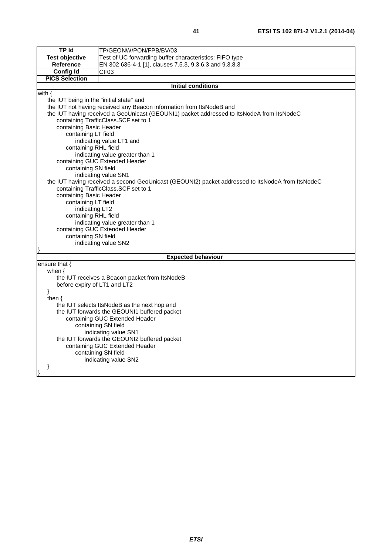| <b>TP Id</b>                                                                                                                              | TP/GEONW/PON/FPB/BV/03                                                                    |  |  |
|-------------------------------------------------------------------------------------------------------------------------------------------|-------------------------------------------------------------------------------------------|--|--|
| <b>Test objective</b>                                                                                                                     | Test of UC forwarding buffer characteristics: FIFO type                                   |  |  |
| <b>Reference</b>                                                                                                                          | EN 302 636-4-1 [1], clauses 7.5.3, 9.3.6.3 and 9.3.8.3                                    |  |  |
| <b>Config Id</b>                                                                                                                          | CFO3                                                                                      |  |  |
| <b>PICS Selection</b>                                                                                                                     |                                                                                           |  |  |
|                                                                                                                                           | <b>Initial conditions</b>                                                                 |  |  |
| with $\{$                                                                                                                                 |                                                                                           |  |  |
| the IUT being in the "initial state" and                                                                                                  |                                                                                           |  |  |
|                                                                                                                                           | the IUT not having received any Beacon information from ItsNodeB and                      |  |  |
|                                                                                                                                           | the IUT having received a GeoUnicast (GEOUNI1) packet addressed to ItsNodeA from ItsNodeC |  |  |
|                                                                                                                                           | containing TrafficClass.SCF set to 1                                                      |  |  |
| containing Basic Header                                                                                                                   |                                                                                           |  |  |
| containing LT field                                                                                                                       |                                                                                           |  |  |
|                                                                                                                                           | indicating value LT1 and                                                                  |  |  |
| containing RHL field                                                                                                                      |                                                                                           |  |  |
|                                                                                                                                           | indicating value greater than 1                                                           |  |  |
|                                                                                                                                           | containing GUC Extended Header                                                            |  |  |
| containing SN field                                                                                                                       |                                                                                           |  |  |
|                                                                                                                                           | indicating value SN1                                                                      |  |  |
| the IUT having received a second GeoUnicast (GEOUNI2) packet addressed to ItsNodeA from ItsNodeC<br>containing TrafficClass. SCF set to 1 |                                                                                           |  |  |
|                                                                                                                                           |                                                                                           |  |  |
|                                                                                                                                           | containing Basic Header                                                                   |  |  |
|                                                                                                                                           | containing LT field<br>indicating LT2                                                     |  |  |
| containing RHL field                                                                                                                      |                                                                                           |  |  |
| indicating value greater than 1                                                                                                           |                                                                                           |  |  |
| containing GUC Extended Header                                                                                                            |                                                                                           |  |  |
| containing SN field                                                                                                                       |                                                                                           |  |  |
| indicating value SN2                                                                                                                      |                                                                                           |  |  |
|                                                                                                                                           |                                                                                           |  |  |
| <b>Expected behaviour</b>                                                                                                                 |                                                                                           |  |  |
| ensure that {                                                                                                                             |                                                                                           |  |  |
| when $\{$                                                                                                                                 |                                                                                           |  |  |
|                                                                                                                                           | the IUT receives a Beacon packet from ItsNodeB                                            |  |  |
| before expiry of LT1 and LT2                                                                                                              |                                                                                           |  |  |
| }                                                                                                                                         |                                                                                           |  |  |
| then $\{$                                                                                                                                 |                                                                                           |  |  |
| the IUT selects ItsNodeB as the next hop and                                                                                              |                                                                                           |  |  |
| the IUT forwards the GEOUNI1 buffered packet<br>containing GUC Extended Header                                                            |                                                                                           |  |  |
| containing SN field                                                                                                                       |                                                                                           |  |  |
| indicating value SN1                                                                                                                      |                                                                                           |  |  |
| the IUT forwards the GEOUNI2 buffered packet                                                                                              |                                                                                           |  |  |
| containing GUC Extended Header                                                                                                            |                                                                                           |  |  |
|                                                                                                                                           | containing SN field                                                                       |  |  |
| indicating value SN2                                                                                                                      |                                                                                           |  |  |
| ł                                                                                                                                         |                                                                                           |  |  |
|                                                                                                                                           |                                                                                           |  |  |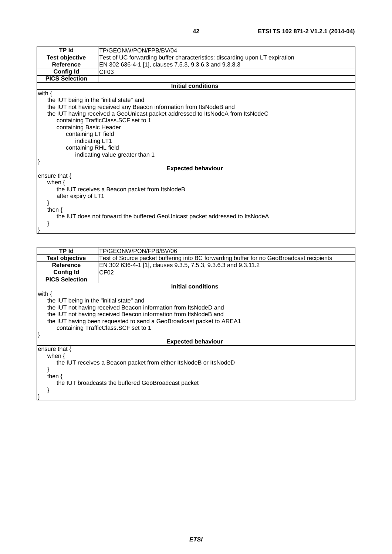| <b>TP</b> Id                                                                  | TP/GEONW/PON/FPB/BV/04                                                          |  |  |
|-------------------------------------------------------------------------------|---------------------------------------------------------------------------------|--|--|
| <b>Test objective</b>                                                         | Test of UC forwarding buffer characteristics: discarding upon LT expiration     |  |  |
| <b>Reference</b>                                                              | EN 302 636-4-1 [1], clauses 7.5.3, 9.3.6.3 and 9.3.8.3                          |  |  |
| <b>Config Id</b>                                                              | CF <sub>03</sub>                                                                |  |  |
| <b>PICS Selection</b>                                                         |                                                                                 |  |  |
|                                                                               | Initial conditions                                                              |  |  |
| with $\{$                                                                     |                                                                                 |  |  |
| the IUT being in the "initial state" and                                      |                                                                                 |  |  |
|                                                                               | the IUT not having received any Beacon information from ItsNodeB and            |  |  |
|                                                                               | the IUT having received a GeoUnicast packet addressed to ItsNodeA from ItsNodeC |  |  |
|                                                                               | containing TrafficClass.SCF set to 1                                            |  |  |
|                                                                               | containing Basic Header                                                         |  |  |
|                                                                               | containing LT field                                                             |  |  |
|                                                                               | indicating LT1                                                                  |  |  |
| containing RHL field                                                          |                                                                                 |  |  |
| indicating value greater than 1                                               |                                                                                 |  |  |
|                                                                               |                                                                                 |  |  |
|                                                                               | <b>Expected behaviour</b>                                                       |  |  |
| ensure that $\{$                                                              |                                                                                 |  |  |
| when $\{$                                                                     |                                                                                 |  |  |
|                                                                               | the IUT receives a Beacon packet from ItsNodeB                                  |  |  |
| after expiry of LT1                                                           |                                                                                 |  |  |
|                                                                               |                                                                                 |  |  |
| then $\{$                                                                     |                                                                                 |  |  |
| the IUT does not forward the buffered GeoUnicast packet addressed to ItsNodeA |                                                                                 |  |  |
|                                                                               |                                                                                 |  |  |
|                                                                               |                                                                                 |  |  |
|                                                                               |                                                                                 |  |  |

| TP Id                                    | TP/GEONW/PON/FPB/BV/06                                                                   |  |
|------------------------------------------|------------------------------------------------------------------------------------------|--|
| Test objective                           | Test of Source packet buffering into BC forwarding buffer for no GeoBroadcast recipients |  |
| <b>Reference</b>                         | EN 302 636-4-1 [1], clauses 9.3.5, 7.5.3, 9.3.6.3 and 9.3.11.2                           |  |
| <b>Config Id</b>                         | CF <sub>02</sub>                                                                         |  |
| <b>PICS Selection</b>                    |                                                                                          |  |
|                                          | <b>Initial conditions</b>                                                                |  |
| with $\{$                                |                                                                                          |  |
| the IUT being in the "initial state" and |                                                                                          |  |
|                                          | the IUT not having received Beacon information from ItsNodeD and                         |  |
|                                          | the IUT not having received Beacon information from ItsNodeB and                         |  |
|                                          | the IUT having been requested to send a GeoBroadcast packet to AREA1                     |  |
| containing TrafficClass. SCF set to 1    |                                                                                          |  |
|                                          |                                                                                          |  |
|                                          | <b>Expected behaviour</b>                                                                |  |
| ensure that $\{$                         |                                                                                          |  |
| when $\{$                                |                                                                                          |  |
|                                          | the IUT receives a Beacon packet from either ItsNodeB or ItsNodeD                        |  |
|                                          |                                                                                          |  |
| then $\{$                                |                                                                                          |  |
|                                          | the IUT broadcasts the buffered GeoBroadcast packet                                      |  |
|                                          |                                                                                          |  |
|                                          |                                                                                          |  |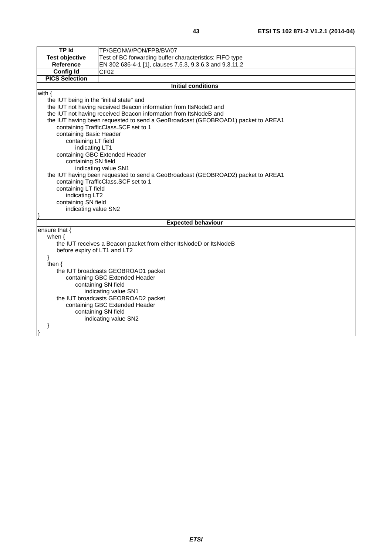| <b>TPId</b>                                                                      | TP/GEONW/PON/FPB/BV/07                                                           |  |
|----------------------------------------------------------------------------------|----------------------------------------------------------------------------------|--|
| <b>Test objective</b>                                                            | Test of BC forwarding buffer characteristics: FIFO type                          |  |
| Reference                                                                        | EN 302 636-4-1 [1], clauses 7.5.3, 9.3.6.3 and 9.3.11.2                          |  |
| <b>Config Id</b>                                                                 | CF <sub>02</sub>                                                                 |  |
| <b>PICS Selection</b>                                                            |                                                                                  |  |
|                                                                                  | <b>Initial conditions</b>                                                        |  |
| with $\{$                                                                        |                                                                                  |  |
| the IUT being in the "initial state" and                                         |                                                                                  |  |
|                                                                                  | the IUT not having received Beacon information from ItsNodeD and                 |  |
|                                                                                  | the IUT not having received Beacon information from ItsNodeB and                 |  |
|                                                                                  | the IUT having been requested to send a GeoBroadcast (GEOBROAD1) packet to AREA1 |  |
|                                                                                  | containing TrafficClass.SCF set to 1                                             |  |
| containing Basic Header                                                          |                                                                                  |  |
| containing LT field                                                              |                                                                                  |  |
| indicating LT1                                                                   |                                                                                  |  |
|                                                                                  | containing GBC Extended Header                                                   |  |
| containing SN field                                                              |                                                                                  |  |
| indicating value SN1                                                             |                                                                                  |  |
| the IUT having been requested to send a GeoBroadcast (GEOBROAD2) packet to AREA1 |                                                                                  |  |
|                                                                                  | containing TrafficClass.SCF set to 1                                             |  |
| containing LT field                                                              |                                                                                  |  |
| indicating LT2                                                                   |                                                                                  |  |
| containing SN field                                                              |                                                                                  |  |
|                                                                                  | indicating value SN2                                                             |  |
|                                                                                  | <b>Expected behaviour</b>                                                        |  |
| ensure that {                                                                    |                                                                                  |  |
| when $\{$                                                                        |                                                                                  |  |
| the IUT receives a Beacon packet from either ItsNodeD or ItsNodeB                |                                                                                  |  |
| before expiry of LT1 and LT2                                                     |                                                                                  |  |
| ł                                                                                |                                                                                  |  |
| then $\{$                                                                        |                                                                                  |  |
| the IUT broadcasts GEOBROAD1 packet                                              |                                                                                  |  |
| containing GBC Extended Header                                                   |                                                                                  |  |
| containing SN field                                                              |                                                                                  |  |
| indicating value SN1                                                             |                                                                                  |  |
| the IUT broadcasts GEOBROAD2 packet                                              |                                                                                  |  |
| containing GBC Extended Header<br>containing SN field                            |                                                                                  |  |
|                                                                                  | indicating value SN2                                                             |  |
|                                                                                  |                                                                                  |  |
| ł                                                                                |                                                                                  |  |
|                                                                                  |                                                                                  |  |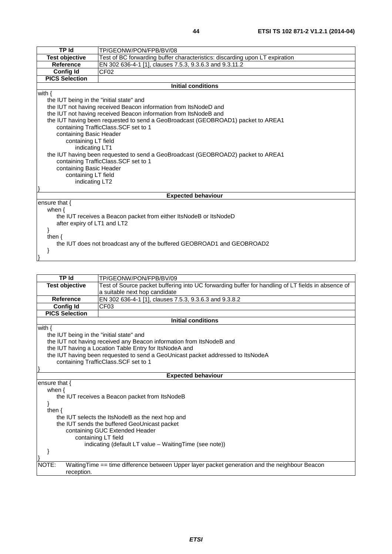| TP Id                                                                            | TP/GEONW/PON/FPB/BV/08                                                           |  |
|----------------------------------------------------------------------------------|----------------------------------------------------------------------------------|--|
| <b>Test objective</b>                                                            | Test of BC forwarding buffer characteristics: discarding upon LT expiration      |  |
| <b>Reference</b>                                                                 | EN 302 636-4-1 [1], clauses 7.5.3, 9.3.6.3 and 9.3.11.2                          |  |
| <b>Config Id</b>                                                                 | CF <sub>02</sub>                                                                 |  |
| <b>PICS Selection</b>                                                            |                                                                                  |  |
|                                                                                  | <b>Initial conditions</b>                                                        |  |
| with $\{$                                                                        |                                                                                  |  |
| the IUT being in the "initial state" and                                         |                                                                                  |  |
|                                                                                  | the IUT not having received Beacon information from ItsNodeD and                 |  |
|                                                                                  | the IUT not having received Beacon information from ItsNodeB and                 |  |
|                                                                                  | the IUT having been requested to send a GeoBroadcast (GEOBROAD1) packet to AREA1 |  |
|                                                                                  | containing TrafficClass.SCF set to 1                                             |  |
| containing Basic Header                                                          |                                                                                  |  |
|                                                                                  | containing LT field                                                              |  |
|                                                                                  | indicating LT1                                                                   |  |
| the IUT having been requested to send a GeoBroadcast (GEOBROAD2) packet to AREA1 |                                                                                  |  |
| containing TrafficClass.SCF set to 1                                             |                                                                                  |  |
| containing Basic Header                                                          |                                                                                  |  |
| containing LT field                                                              |                                                                                  |  |
|                                                                                  | indicating LT2                                                                   |  |
|                                                                                  |                                                                                  |  |
|                                                                                  | <b>Expected behaviour</b>                                                        |  |
| ensure that $\{$                                                                 |                                                                                  |  |
| when $\{$                                                                        |                                                                                  |  |
| the IUT receives a Beacon packet from either ItsNodeB or ItsNodeD                |                                                                                  |  |
| after expiry of LT1 and LT2                                                      |                                                                                  |  |
| <sup>}</sup>                                                                     |                                                                                  |  |
| then $\{$                                                                        |                                                                                  |  |
| the IUT does not broadcast any of the buffered GEOBROAD1 and GEOBROAD2           |                                                                                  |  |
|                                                                                  |                                                                                  |  |
|                                                                                  |                                                                                  |  |

| <b>TP Id</b>                                            | TP/GEONW/PON/FPB/BV/09                                                                            |  |
|---------------------------------------------------------|---------------------------------------------------------------------------------------------------|--|
| <b>Test objective</b>                                   | Test of Source packet buffering into UC forwarding buffer for handling of LT fields in absence of |  |
|                                                         |                                                                                                   |  |
|                                                         | a suitable next hop candidate                                                                     |  |
| <b>Reference</b>                                        | EN 302 636-4-1 [1], clauses 7.5.3, 9.3.6.3 and 9.3.8.2                                            |  |
| <b>Config Id</b>                                        | CF <sub>03</sub>                                                                                  |  |
| <b>PICS Selection</b>                                   |                                                                                                   |  |
|                                                         | Initial conditions                                                                                |  |
| with $\{$                                               |                                                                                                   |  |
| the IUT being in the "initial state" and                |                                                                                                   |  |
|                                                         | the IUT not having received any Beacon information from ItsNodeB and                              |  |
|                                                         | the IUT having a Location Table Entry for ItsNodeA and                                            |  |
|                                                         | the IUT having been requested to send a GeoUnicast packet addressed to ItsNodeA                   |  |
| containing TrafficClass.SCF set to 1                    |                                                                                                   |  |
|                                                         |                                                                                                   |  |
|                                                         | <b>Expected behaviour</b>                                                                         |  |
| ensure that {                                           |                                                                                                   |  |
| when $\{$                                               |                                                                                                   |  |
|                                                         | the IUT receives a Beacon packet from ItsNodeB                                                    |  |
|                                                         |                                                                                                   |  |
| then $\{$                                               |                                                                                                   |  |
| the IUT selects the ItsNodeB as the next hop and        |                                                                                                   |  |
| the IUT sends the buffered GeoUnicast packet            |                                                                                                   |  |
| containing GUC Extended Header                          |                                                                                                   |  |
| containing LT field                                     |                                                                                                   |  |
| indicating (default LT value - Waiting Time (see note)) |                                                                                                   |  |
|                                                         |                                                                                                   |  |
|                                                         |                                                                                                   |  |
| NOTE:                                                   | Waiting Time == time difference between Upper layer packet generation and the neighbour Beacon    |  |
| reception.                                              |                                                                                                   |  |
|                                                         |                                                                                                   |  |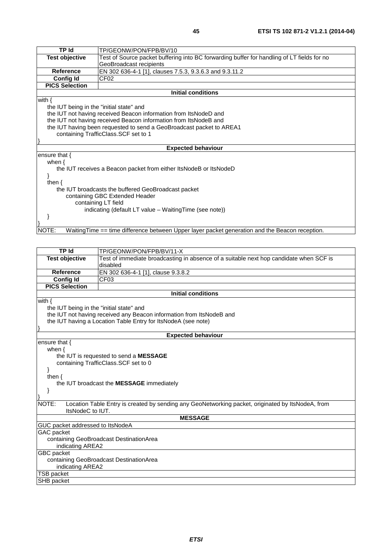| TP Id                                                   | TP/GEONW/PON/FPB/BV/10                                                                                                |  |
|---------------------------------------------------------|-----------------------------------------------------------------------------------------------------------------------|--|
| <b>Test objective</b>                                   | Test of Source packet buffering into BC forwarding buffer for handling of LT fields for no<br>GeoBroadcast recipients |  |
| <b>Reference</b>                                        | EN 302 636-4-1 [1], clauses 7.5.3, 9.3.6.3 and 9.3.11.2                                                               |  |
| <b>Config Id</b>                                        | CF <sub>02</sub>                                                                                                      |  |
| <b>PICS Selection</b>                                   |                                                                                                                       |  |
|                                                         | Initial conditions                                                                                                    |  |
| with $\{$                                               |                                                                                                                       |  |
| the IUT being in the "initial state" and                |                                                                                                                       |  |
|                                                         | the IUT not having received Beacon information from ItsNodeD and                                                      |  |
|                                                         | the IUT not having received Beacon information from ItsNodeB and                                                      |  |
|                                                         | the IUT having been requested to send a GeoBroadcast packet to AREA1                                                  |  |
|                                                         | containing TrafficClass.SCF set to 1                                                                                  |  |
|                                                         |                                                                                                                       |  |
|                                                         | <b>Expected behaviour</b>                                                                                             |  |
| ensure that {                                           |                                                                                                                       |  |
| when $\{$                                               |                                                                                                                       |  |
|                                                         | the IUT receives a Beacon packet from either ItsNodeB or ItsNodeD                                                     |  |
|                                                         |                                                                                                                       |  |
| then $\{$                                               |                                                                                                                       |  |
|                                                         | the IUT broadcasts the buffered GeoBroadcast packet                                                                   |  |
| containing GBC Extended Header                          |                                                                                                                       |  |
| containing LT field                                     |                                                                                                                       |  |
| indicating (default LT value - Waiting Time (see note)) |                                                                                                                       |  |
|                                                         |                                                                                                                       |  |
|                                                         |                                                                                                                       |  |
| NOTE:                                                   | WaitingTime == time difference between Upper layer packet generation and the Beacon reception.                        |  |
|                                                         |                                                                                                                       |  |
|                                                         |                                                                                                                       |  |
| <b>TP Id</b>                                            | TP/GEONW/PON/FPB/BV/11-X                                                                                              |  |
| <b>Test objective</b>                                   | Test of immediate broadcasting in absence of a suitable next hop candidate when SCF is                                |  |
|                                                         | disabled                                                                                                              |  |
| <b>Reference</b>                                        | EN 302 636-4-1 [1], clause 9.3.8.2                                                                                    |  |
| <b>Config Id</b>                                        | CF <sub>03</sub>                                                                                                      |  |

**PICS Selection**

the IUT being in the "initial state" and

the IUT not having received any Beacon information from ItsNodeB and

the IUT having a Location Table Entry for ItsNodeA (see note)

#### **Expected behaviour**

**Initial conditions**

ensure that { when { the IUT is requested to send a **MESSAGE** containing TrafficClass.SCF set to 0 } then { the IUT broadcast the **MESSAGE** immediately }  $NOTE:$ Location Table Entry is created by sending any GeoNetworking packet, originated by ItsNodeA, from ItsNodeC to IUT. **MESSAGE** GUC packet addressed to ItsNodeA GAC packet containing GeoBroadcast DestinationArea indicating AREA2 GBC packet containing GeoBroadcast DestinationArea indicating AREA2

TSB packet

SHB packet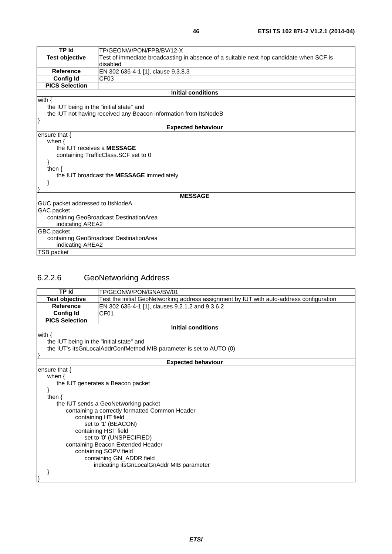| <b>TP Id</b>                             | TP/GEONW/PON/FPB/BV/12-X                                                               |  |
|------------------------------------------|----------------------------------------------------------------------------------------|--|
| <b>Test objective</b>                    | Test of immediate broadcasting in absence of a suitable next hop candidate when SCF is |  |
|                                          | disabled                                                                               |  |
| <b>Reference</b>                         | EN 302 636-4-1 [1], clause 9.3.8.3                                                     |  |
| <b>Config Id</b>                         | CF <sub>03</sub>                                                                       |  |
| <b>PICS Selection</b>                    |                                                                                        |  |
|                                          | <b>Initial conditions</b>                                                              |  |
| with $\{$                                |                                                                                        |  |
| the IUT being in the "initial state" and |                                                                                        |  |
|                                          | the IUT not having received any Beacon information from ItsNodeB                       |  |
|                                          |                                                                                        |  |
|                                          | <b>Expected behaviour</b>                                                              |  |
| ensure that $\{$                         |                                                                                        |  |
| when $\{$                                |                                                                                        |  |
| the IUT receives a MESSAGE               |                                                                                        |  |
| containing TrafficClass.SCF set to 0     |                                                                                        |  |
|                                          |                                                                                        |  |
| then $\{$                                |                                                                                        |  |
|                                          | the IUT broadcast the MESSAGE immediately                                              |  |
|                                          |                                                                                        |  |
|                                          |                                                                                        |  |
|                                          | <b>MESSAGE</b>                                                                         |  |
| GUC packet addressed to ItsNodeA         |                                                                                        |  |
| GAC packet                               |                                                                                        |  |
| containing GeoBroadcast DestinationArea  |                                                                                        |  |
| indicating AREA2                         |                                                                                        |  |
| GBC packet                               |                                                                                        |  |
|                                          | containing GeoBroadcast DestinationArea                                                |  |
| indicating AREA2                         |                                                                                        |  |
| TSB packet                               |                                                                                        |  |

## 6.2.2.6 GeoNetworking Address

TSB packet

| <b>TP Id</b>                             | TP/GEONW/PON/GNA/BV/01                                                                   |  |
|------------------------------------------|------------------------------------------------------------------------------------------|--|
| <b>Test objective</b>                    | Test the initial GeoNetworking address assignment by IUT with auto-address configuration |  |
| <b>Reference</b>                         | EN 302 636-4-1 [1], clauses 9.2.1.2 and 9.3.6.2                                          |  |
| <b>Config Id</b>                         | CF <sub>01</sub>                                                                         |  |
| <b>PICS Selection</b>                    |                                                                                          |  |
|                                          | <b>Initial conditions</b>                                                                |  |
| with $\{$                                |                                                                                          |  |
| the IUT being in the "initial state" and |                                                                                          |  |
|                                          | the IUT's itsGnLocalAddrConfMethod MIB parameter is set to AUTO (0)                      |  |
|                                          |                                                                                          |  |
|                                          | <b>Expected behaviour</b>                                                                |  |
| ensure that $\{$                         |                                                                                          |  |
| when $\{$                                |                                                                                          |  |
| the IUT generates a Beacon packet        |                                                                                          |  |
|                                          |                                                                                          |  |
| then $\{$                                |                                                                                          |  |
|                                          | the IUT sends a GeoNetworking packet                                                     |  |
|                                          | containing a correctly formatted Common Header                                           |  |
|                                          | containing HT field                                                                      |  |
|                                          | set to '1' (BEACON)                                                                      |  |
|                                          | containing HST field                                                                     |  |
|                                          | set to '0' (UNSPECIFIED)                                                                 |  |
| containing Beacon Extended Header        |                                                                                          |  |
| containing SOPV field                    |                                                                                          |  |
|                                          | containing GN_ADDR field                                                                 |  |
|                                          | indicating its GnLocal GnAddr MIB parameter                                              |  |
|                                          |                                                                                          |  |
|                                          |                                                                                          |  |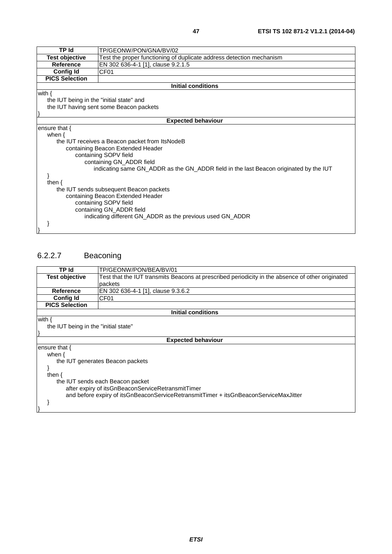| <b>TP Id</b>                             | TP/GEONW/PON/GNA/BV/02                                                                |  |
|------------------------------------------|---------------------------------------------------------------------------------------|--|
| <b>Test objective</b>                    | Test the proper functioning of duplicate address detection mechanism                  |  |
| <b>Reference</b>                         | EN 302 636-4-1 [1], clause 9.2.1.5                                                    |  |
| <b>Config Id</b>                         | CF <sub>01</sub>                                                                      |  |
| <b>PICS Selection</b>                    |                                                                                       |  |
|                                          | <b>Initial conditions</b>                                                             |  |
| with $\{$                                |                                                                                       |  |
| the IUT being in the "initial state" and |                                                                                       |  |
|                                          | the IUT having sent some Beacon packets                                               |  |
|                                          |                                                                                       |  |
|                                          | <b>Expected behaviour</b>                                                             |  |
| ensure that $\{$                         |                                                                                       |  |
| when $\{$                                |                                                                                       |  |
|                                          | the IUT receives a Beacon packet from ItsNodeB                                        |  |
|                                          | containing Beacon Extended Header                                                     |  |
|                                          | containing SOPV field                                                                 |  |
| containing GN_ADDR field                 |                                                                                       |  |
|                                          | indicating same GN_ADDR as the GN_ADDR field in the last Beacon originated by the IUT |  |
|                                          |                                                                                       |  |
| then $\{$                                |                                                                                       |  |
| the IUT sends subsequent Beacon packets  |                                                                                       |  |
| containing Beacon Extended Header        |                                                                                       |  |
| containing SOPV field                    |                                                                                       |  |
|                                          | containing GN_ADDR field                                                              |  |
|                                          | indicating different GN_ADDR as the previous used GN_ADDR                             |  |
|                                          |                                                                                       |  |
|                                          |                                                                                       |  |

## 6.2.2.7 Beaconing

| TP Id                                                                                | TP/GEONW/PON/BEA/BV/01                                                                           |
|--------------------------------------------------------------------------------------|--------------------------------------------------------------------------------------------------|
| <b>Test objective</b>                                                                | Test that the IUT transmits Beacons at prescribed periodicity in the absence of other originated |
|                                                                                      | packets                                                                                          |
| <b>Reference</b>                                                                     | EN 302 636-4-1 [1], clause 9.3.6.2                                                               |
| <b>Config Id</b>                                                                     | CF <sub>01</sub>                                                                                 |
| <b>PICS Selection</b>                                                                |                                                                                                  |
|                                                                                      | Initial conditions                                                                               |
| with $\{$                                                                            |                                                                                                  |
| the IUT being in the "initial state"                                                 |                                                                                                  |
|                                                                                      |                                                                                                  |
|                                                                                      | <b>Expected behaviour</b>                                                                        |
| ensure that {                                                                        |                                                                                                  |
| when $\{$                                                                            |                                                                                                  |
| the IUT generates Beacon packets                                                     |                                                                                                  |
|                                                                                      |                                                                                                  |
| then $\{$                                                                            |                                                                                                  |
| the IUT sends each Beacon packet                                                     |                                                                                                  |
| after expiry of itsGnBeaconServiceRetransmitTimer                                    |                                                                                                  |
| and before expiry of itsGnBeaconServiceRetransmitTimer + itsGnBeaconServiceMaxJitter |                                                                                                  |
|                                                                                      |                                                                                                  |
|                                                                                      |                                                                                                  |
|                                                                                      |                                                                                                  |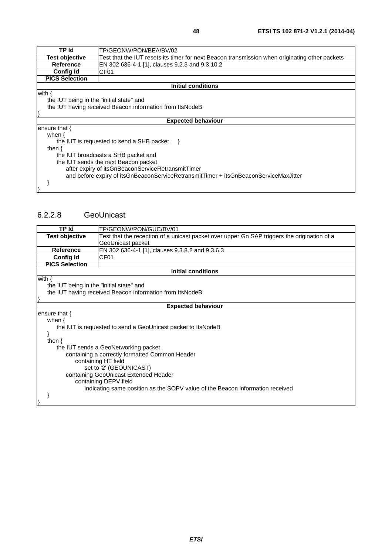| TP Id                                                    | TP/GEONW/PON/BEA/BV/02                                                                         |  |
|----------------------------------------------------------|------------------------------------------------------------------------------------------------|--|
| Test objective                                           | Test that the IUT resets its timer for next Beacon transmission when originating other packets |  |
| <b>Reference</b>                                         | EN 302 636-4-1 [1], clauses 9.2.3 and 9.3.10.2                                                 |  |
| <b>Config Id</b>                                         | CF <sub>01</sub>                                                                               |  |
| <b>PICS Selection</b>                                    |                                                                                                |  |
|                                                          | Initial conditions                                                                             |  |
| with $\{$                                                |                                                                                                |  |
| the IUT being in the "initial state" and                 |                                                                                                |  |
| the IUT having received Beacon information from ItsNodeB |                                                                                                |  |
|                                                          |                                                                                                |  |
| <b>Expected behaviour</b>                                |                                                                                                |  |
| ensure that $\{$                                         |                                                                                                |  |
| when $\{$                                                |                                                                                                |  |
|                                                          | the IUT is requested to send a SHB packet                                                      |  |
| then $\{$                                                |                                                                                                |  |
|                                                          | the IUT broadcasts a SHB packet and                                                            |  |
| the IUT sends the next Beacon packet                     |                                                                                                |  |
| after expiry of itsGnBeaconServiceRetransmitTimer        |                                                                                                |  |
|                                                          | and before expiry of itsGnBeaconServiceRetransmitTimer + itsGnBeaconServiceMaxJitter           |  |
|                                                          |                                                                                                |  |
|                                                          |                                                                                                |  |

#### 6.2.2.8 GeoUnicast

| TP Id                                          | TP/GEONW/PON/GUC/BV/01                                                                      |  |  |
|------------------------------------------------|---------------------------------------------------------------------------------------------|--|--|
| <b>Test objective</b>                          | Test that the reception of a unicast packet over upper Gn SAP triggers the origination of a |  |  |
|                                                | GeoUnicast packet                                                                           |  |  |
| Reference                                      | EN 302 636-4-1 [1], clauses 9.3.8.2 and 9.3.6.3                                             |  |  |
| <b>Config Id</b>                               | CF <sub>01</sub>                                                                            |  |  |
| <b>PICS Selection</b>                          |                                                                                             |  |  |
|                                                | <b>Initial conditions</b>                                                                   |  |  |
| with $\{$                                      |                                                                                             |  |  |
| the IUT being in the "initial state" and       |                                                                                             |  |  |
|                                                | the IUT having received Beacon information from ItsNodeB                                    |  |  |
|                                                |                                                                                             |  |  |
|                                                | <b>Expected behaviour</b>                                                                   |  |  |
| ensure that $\{$                               |                                                                                             |  |  |
| when $\{$                                      |                                                                                             |  |  |
|                                                | the IUT is requested to send a GeoUnicast packet to ItsNodeB                                |  |  |
|                                                |                                                                                             |  |  |
| then $\{$                                      |                                                                                             |  |  |
|                                                | the IUT sends a GeoNetworking packet                                                        |  |  |
| containing a correctly formatted Common Header |                                                                                             |  |  |
| containing HT field                            |                                                                                             |  |  |
| set to '2' (GEOUNICAST)                        |                                                                                             |  |  |
| containing GeoUnicast Extended Header          |                                                                                             |  |  |
|                                                | containing DEPV field                                                                       |  |  |
|                                                | indicating same position as the SOPV value of the Beacon information received               |  |  |
|                                                |                                                                                             |  |  |
|                                                |                                                                                             |  |  |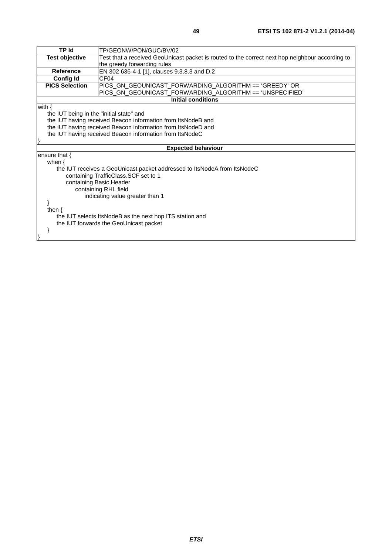| TP Id                                                    | TP/GEONW/PON/GUC/BV/02                                                                          |  |
|----------------------------------------------------------|-------------------------------------------------------------------------------------------------|--|
| <b>Test objective</b>                                    | Test that a received GeoUnicast packet is routed to the correct next hop neighbour according to |  |
|                                                          | the greedy forwarding rules                                                                     |  |
| <b>Reference</b>                                         | EN 302 636-4-1 [1], clauses 9.3.8.3 and D.2                                                     |  |
| <b>Config Id</b>                                         | CF <sub>04</sub>                                                                                |  |
| <b>PICS Selection</b>                                    | PICS_GN_GEOUNICAST_FORWARDING_ALGORITHM == 'GREEDY' OR                                          |  |
|                                                          | PICS_GN_GEOUNICAST_FORWARDING_ALGORITHM == 'UNSPECIFIED'                                        |  |
|                                                          | <b>Initial conditions</b>                                                                       |  |
| with $\{$                                                |                                                                                                 |  |
| the IUT being in the "initial state" and                 |                                                                                                 |  |
|                                                          | the IUT having received Beacon information from ItsNodeB and                                    |  |
|                                                          | the IUT having received Beacon information from ItsNodeD and                                    |  |
| the IUT having received Beacon information from ItsNodeC |                                                                                                 |  |
|                                                          |                                                                                                 |  |
|                                                          | <b>Expected behaviour</b>                                                                       |  |
| ensure that $\{$                                         |                                                                                                 |  |
| when $\{$                                                |                                                                                                 |  |
|                                                          | the IUT receives a GeoUnicast packet addressed to ItsNodeA from ItsNodeC                        |  |
|                                                          | containing TrafficClass.SCF set to 1                                                            |  |
| containing Basic Header                                  |                                                                                                 |  |
| containing RHL field                                     |                                                                                                 |  |
| indicating value greater than 1                          |                                                                                                 |  |
|                                                          |                                                                                                 |  |
| then $\{$                                                |                                                                                                 |  |
|                                                          | the IUT selects ItsNodeB as the next hop ITS station and                                        |  |
|                                                          | the IUT forwards the GeoUnicast packet                                                          |  |
|                                                          |                                                                                                 |  |
|                                                          |                                                                                                 |  |
|                                                          |                                                                                                 |  |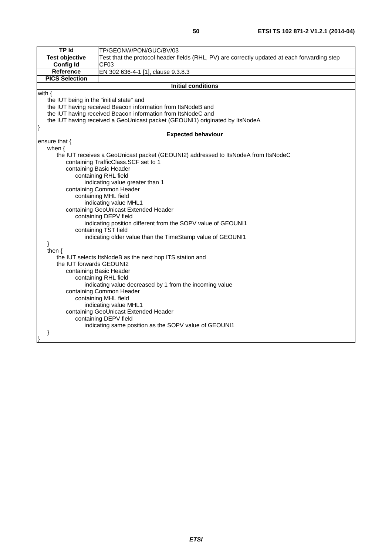| <b>TP Id</b>                                                 |                                                                                                                             |  |  |
|--------------------------------------------------------------|-----------------------------------------------------------------------------------------------------------------------------|--|--|
|                                                              | TP/GEONW/PON/GUC/BV/03                                                                                                      |  |  |
| <b>Test objective</b>                                        | Test that the protocol header fields (RHL, PV) are correctly updated at each forwarding step                                |  |  |
| <b>Config Id</b>                                             | CF <sub>03</sub>                                                                                                            |  |  |
| Reference                                                    | EN 302 636-4-1 [1], clause 9.3.8.3                                                                                          |  |  |
| <b>PICS Selection</b>                                        |                                                                                                                             |  |  |
|                                                              | <b>Initial conditions</b>                                                                                                   |  |  |
| with $\{$                                                    |                                                                                                                             |  |  |
|                                                              | the IUT being in the "initial state" and                                                                                    |  |  |
| the IUT having received Beacon information from ItsNodeB and |                                                                                                                             |  |  |
|                                                              | the IUT having received Beacon information from ItsNodeC and                                                                |  |  |
|                                                              | the IUT having received a GeoUnicast packet (GEOUNI1) originated by ItsNodeA                                                |  |  |
|                                                              |                                                                                                                             |  |  |
|                                                              | <b>Expected behaviour</b>                                                                                                   |  |  |
| ensure that $\{$                                             |                                                                                                                             |  |  |
| when $\{$                                                    |                                                                                                                             |  |  |
|                                                              | the IUT receives a GeoUnicast packet (GEOUNI2) addressed to ItsNodeA from ItsNodeC<br>containing TrafficClass. SCF set to 1 |  |  |
|                                                              | containing Basic Header                                                                                                     |  |  |
|                                                              | containing RHL field                                                                                                        |  |  |
|                                                              | indicating value greater than 1                                                                                             |  |  |
|                                                              | containing Common Header                                                                                                    |  |  |
|                                                              |                                                                                                                             |  |  |
|                                                              | containing MHL field                                                                                                        |  |  |
|                                                              | indicating value MHL1<br>containing GeoUnicast Extended Header                                                              |  |  |
|                                                              |                                                                                                                             |  |  |
|                                                              | containing DEPV field<br>indicating position different from the SOPV value of GEOUNI1                                       |  |  |
| containing TST field                                         |                                                                                                                             |  |  |
| indicating older value than the TimeStamp value of GEOUNI1   |                                                                                                                             |  |  |
|                                                              |                                                                                                                             |  |  |
| then $\{$                                                    |                                                                                                                             |  |  |
|                                                              | the IUT selects ItsNodeB as the next hop ITS station and                                                                    |  |  |
| the IUT forwards GEOUNI2                                     |                                                                                                                             |  |  |
| containing Basic Header                                      |                                                                                                                             |  |  |
| containing RHL field                                         |                                                                                                                             |  |  |
| indicating value decreased by 1 from the incoming value      |                                                                                                                             |  |  |
| containing Common Header                                     |                                                                                                                             |  |  |
|                                                              | containing MHL field                                                                                                        |  |  |
|                                                              | indicating value MHL1                                                                                                       |  |  |
|                                                              | containing GeoUnicast Extended Header                                                                                       |  |  |
|                                                              | containing DEPV field                                                                                                       |  |  |
|                                                              | indicating same position as the SOPV value of GEOUNI1                                                                       |  |  |
| ł                                                            |                                                                                                                             |  |  |
|                                                              |                                                                                                                             |  |  |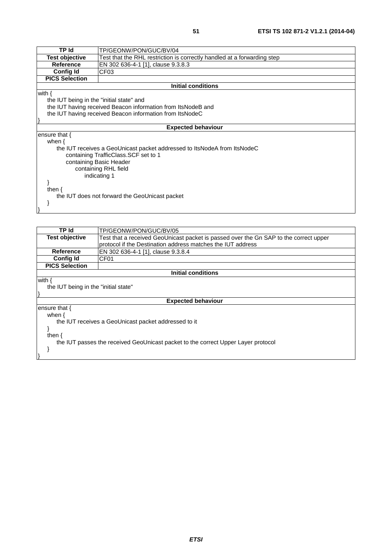| TP Id                                                    | TP/GEONW/PON/GUC/BV/04                                                   |  |
|----------------------------------------------------------|--------------------------------------------------------------------------|--|
| <b>Test objective</b>                                    | Test that the RHL restriction is correctly handled at a forwarding step  |  |
| <b>Reference</b>                                         | EN 302 636-4-1 [1], clause 9.3.8.3                                       |  |
| <b>Config Id</b>                                         | CF <sub>03</sub>                                                         |  |
| <b>PICS Selection</b>                                    |                                                                          |  |
|                                                          | <b>Initial conditions</b>                                                |  |
| with $\{$                                                |                                                                          |  |
| the IUT being in the "initial state" and                 |                                                                          |  |
|                                                          | the IUT having received Beacon information from ItsNodeB and             |  |
| the IUT having received Beacon information from ItsNodeC |                                                                          |  |
|                                                          |                                                                          |  |
|                                                          | <b>Expected behaviour</b>                                                |  |
| ensure that $\{$                                         |                                                                          |  |
| when $\{$                                                |                                                                          |  |
|                                                          | the IUT receives a GeoUnicast packet addressed to ItsNodeA from ItsNodeC |  |
|                                                          | containing TrafficClass. SCF set to 1                                    |  |
|                                                          | containing Basic Header                                                  |  |
| containing RHL field                                     |                                                                          |  |
|                                                          | indicating 1                                                             |  |
|                                                          |                                                                          |  |
| then $\{$                                                |                                                                          |  |
|                                                          | the IUT does not forward the GeoUnicast packet                           |  |
|                                                          |                                                                          |  |
|                                                          |                                                                          |  |

| TP Id                                                                             | TP/GEONW/PON/GUC/BV/05                                                                |  |  |
|-----------------------------------------------------------------------------------|---------------------------------------------------------------------------------------|--|--|
| <b>Test objective</b>                                                             | Test that a received GeoUnicast packet is passed over the Gn SAP to the correct upper |  |  |
|                                                                                   | protocol if the Destination address matches the IUT address                           |  |  |
| Reference                                                                         | EN 302 636-4-1 [1], clause 9.3.8.4                                                    |  |  |
| <b>Config Id</b>                                                                  | CF <sub>01</sub>                                                                      |  |  |
| <b>PICS Selection</b>                                                             |                                                                                       |  |  |
|                                                                                   | Initial conditions                                                                    |  |  |
| with {                                                                            |                                                                                       |  |  |
| the IUT being in the "initial state"                                              |                                                                                       |  |  |
|                                                                                   |                                                                                       |  |  |
|                                                                                   | <b>Expected behaviour</b>                                                             |  |  |
| ensure that {                                                                     |                                                                                       |  |  |
| when $\{$                                                                         |                                                                                       |  |  |
|                                                                                   | the IUT receives a GeoUnicast packet addressed to it                                  |  |  |
|                                                                                   |                                                                                       |  |  |
| then $\{$                                                                         |                                                                                       |  |  |
| the IUT passes the received GeoUnicast packet to the correct Upper Layer protocol |                                                                                       |  |  |
|                                                                                   |                                                                                       |  |  |
|                                                                                   |                                                                                       |  |  |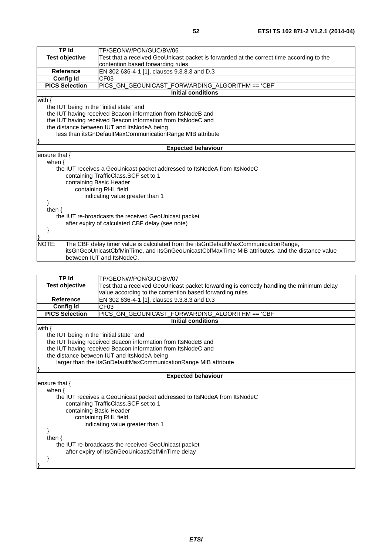| <b>TP Id</b>                                    | TP/GEONW/PON/GUC/BV/06                                                                          |  |
|-------------------------------------------------|-------------------------------------------------------------------------------------------------|--|
| <b>Test objective</b>                           | Test that a received GeoUnicast packet is forwarded at the correct time according to the        |  |
|                                                 | contention based forwarding rules                                                               |  |
| <b>Reference</b>                                | EN 302 636-4-1 [1], clauses 9.3.8.3 and D.3                                                     |  |
| <b>Config Id</b>                                | CF <sub>03</sub>                                                                                |  |
| <b>PICS Selection</b>                           | PICS_GN_GEOUNICAST_FORWARDING_ALGORITHM == 'CBF'                                                |  |
|                                                 | <b>Initial conditions</b>                                                                       |  |
| with $\{$                                       |                                                                                                 |  |
| the IUT being in the "initial state" and        |                                                                                                 |  |
|                                                 | the IUT having received Beacon information from ItsNodeB and                                    |  |
|                                                 | the IUT having received Beacon information from ItsNodeC and                                    |  |
|                                                 | the distance between IUT and ItsNodeA being                                                     |  |
|                                                 | less than itsGnDefaultMaxCommunicationRange MIB attribute                                       |  |
|                                                 |                                                                                                 |  |
|                                                 | <b>Expected behaviour</b>                                                                       |  |
| ensure that {                                   |                                                                                                 |  |
| when $\{$                                       |                                                                                                 |  |
|                                                 | the IUT receives a GeoUnicast packet addressed to ItsNodeA from ItsNodeC                        |  |
|                                                 | containing TrafficClass.SCF set to 1                                                            |  |
|                                                 | containing Basic Header                                                                         |  |
| containing RHL field                            |                                                                                                 |  |
|                                                 | indicating value greater than 1                                                                 |  |
|                                                 |                                                                                                 |  |
| then $\{$                                       |                                                                                                 |  |
|                                                 | the IUT re-broadcasts the received GeoUnicast packet                                            |  |
| after expiry of calculated CBF delay (see note) |                                                                                                 |  |
|                                                 |                                                                                                 |  |
|                                                 |                                                                                                 |  |
| NOTE:                                           | The CBF delay timer value is calculated from the itsGnDefaultMaxCommunicationRange,             |  |
|                                                 | itsGnGeoUnicastCbfMinTime, and itsGnGeoUnicastCbfMaxTime MIB attributes, and the distance value |  |
|                                                 | between IUT and ItsNodeC.                                                                       |  |
|                                                 |                                                                                                 |  |

| TP Id                                                           | TP/GEONW/PON/GUC/BV/07                                                                    |  |
|-----------------------------------------------------------------|-------------------------------------------------------------------------------------------|--|
| <b>Test objective</b>                                           | Test that a received GeoUnicast packet forwarding is correctly handling the minimum delay |  |
|                                                                 | value according to the contention based forwarding rules                                  |  |
| <b>Reference</b>                                                | EN 302 636-4-1 [1], clauses 9.3.8.3 and D.3                                               |  |
| <b>Config Id</b>                                                | CF <sub>03</sub>                                                                          |  |
| <b>PICS Selection</b>                                           | PICS_GN_GEOUNICAST_FORWARDING_ALGORITHM == 'CBF'                                          |  |
|                                                                 | <b>Initial conditions</b>                                                                 |  |
| with $\{$                                                       |                                                                                           |  |
| the IUT being in the "initial state" and                        |                                                                                           |  |
|                                                                 | the IUT having received Beacon information from ItsNodeB and                              |  |
|                                                                 | the IUT having received Beacon information from ItsNodeC and                              |  |
|                                                                 | the distance between IUT and ItsNodeA being                                               |  |
| larger than the itsGnDefaultMaxCommunicationRange MIB attribute |                                                                                           |  |
|                                                                 |                                                                                           |  |
|                                                                 | <b>Expected behaviour</b>                                                                 |  |
| ensure that {                                                   |                                                                                           |  |
| when $\{$                                                       |                                                                                           |  |
|                                                                 | the IUT receives a GeoUnicast packet addressed to ItsNodeA from ItsNodeC                  |  |
|                                                                 | containing TrafficClass. SCF set to 1                                                     |  |
|                                                                 | containing Basic Header                                                                   |  |
|                                                                 | containing RHL field                                                                      |  |
|                                                                 | indicating value greater than 1                                                           |  |
|                                                                 |                                                                                           |  |
| then $\{$                                                       |                                                                                           |  |
| the IUT re-broadcasts the received GeoUnicast packet            |                                                                                           |  |
|                                                                 | after expiry of itsGnGeoUnicastCbfMinTime delay                                           |  |
|                                                                 |                                                                                           |  |
|                                                                 |                                                                                           |  |
|                                                                 |                                                                                           |  |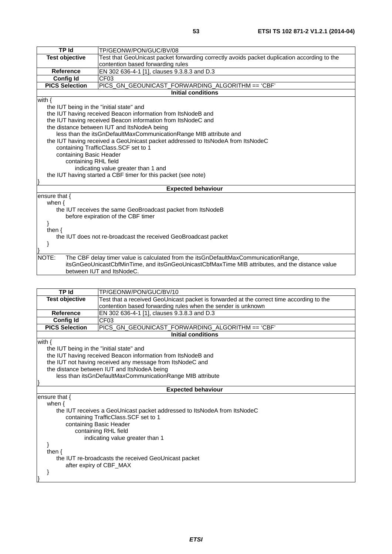| <b>TP Id</b>                                                   | TP/GEONW/PON/GUC/BV/08                                                                          |  |
|----------------------------------------------------------------|-------------------------------------------------------------------------------------------------|--|
| <b>Test objective</b>                                          | Test that GeoUnicast packet forwarding correctly avoids packet duplication according to the     |  |
|                                                                | contention based forwarding rules                                                               |  |
| <b>Reference</b>                                               | EN 302 636-4-1 [1], clauses 9.3.8.3 and D.3                                                     |  |
| <b>Config Id</b>                                               | CF <sub>03</sub>                                                                                |  |
| <b>PICS Selection</b>                                          | PICS_GN_GEOUNICAST_FORWARDING_ALGORITHM == 'CBF'                                                |  |
|                                                                | <b>Initial conditions</b>                                                                       |  |
| with $\{$                                                      |                                                                                                 |  |
| the IUT being in the "initial state" and                       |                                                                                                 |  |
|                                                                | the IUT having received Beacon information from ItsNodeB and                                    |  |
|                                                                | the IUT having received Beacon information from ItsNodeC and                                    |  |
|                                                                | the distance between IUT and ItsNodeA being                                                     |  |
|                                                                | less than the itsGnDefaultMaxCommunicationRange MIB attribute and                               |  |
|                                                                | the IUT having received a GeoUnicast packet addressed to ItsNodeA from ItsNodeC                 |  |
|                                                                | containing TrafficClass. SCF set to 1                                                           |  |
|                                                                | containing Basic Header                                                                         |  |
| containing RHL field                                           |                                                                                                 |  |
| indicating value greater than 1 and                            |                                                                                                 |  |
| the IUT having started a CBF timer for this packet (see note)  |                                                                                                 |  |
|                                                                | <b>Expected behaviour</b>                                                                       |  |
| ensure that {                                                  |                                                                                                 |  |
| when $\{$                                                      |                                                                                                 |  |
|                                                                | the IUT receives the same GeoBroadcast packet from ItsNodeB                                     |  |
| before expiration of the CBF timer                             |                                                                                                 |  |
|                                                                |                                                                                                 |  |
| then $\{$                                                      |                                                                                                 |  |
| the IUT does not re-broadcast the received GeoBroadcast packet |                                                                                                 |  |
| ł                                                              |                                                                                                 |  |
|                                                                |                                                                                                 |  |
| NOTE:                                                          | The CBF delay timer value is calculated from the itsGnDefaultMaxCommunicationRange,             |  |
|                                                                | itsGnGeoUnicastCbfMinTime, and itsGnGeoUnicastCbfMaxTime MIB attributes, and the distance value |  |
|                                                                | between IUT and ItsNodeC.                                                                       |  |

| <b>TP Id</b>                                                             | TP/GEONW/PON/GUC/BV/10                                                                   |  |
|--------------------------------------------------------------------------|------------------------------------------------------------------------------------------|--|
| <b>Test objective</b>                                                    | Test that a received GeoUnicast packet is forwarded at the correct time according to the |  |
|                                                                          | contention based forwarding rules when the sender is unknown                             |  |
| <b>Reference</b>                                                         | EN 302 636-4-1 [1], clauses 9.3.8.3 and D.3                                              |  |
| <b>Config Id</b>                                                         | CF <sub>03</sub>                                                                         |  |
| <b>PICS Selection</b>                                                    | PICS_GN_GEOUNICAST_FORWARDING_ALGORITHM == 'CBF'                                         |  |
|                                                                          | <b>Initial conditions</b>                                                                |  |
| with $\{$                                                                |                                                                                          |  |
| the IUT being in the "initial state" and                                 |                                                                                          |  |
|                                                                          | the IUT having received Beacon information from ItsNodeB and                             |  |
|                                                                          | the IUT not having received any message from ItsNodeC and                                |  |
|                                                                          | the distance between IUT and ItsNodeA being                                              |  |
| less than itsGnDefaultMaxCommunicationRange MIB attribute                |                                                                                          |  |
|                                                                          |                                                                                          |  |
|                                                                          | <b>Expected behaviour</b>                                                                |  |
| ensure that {                                                            |                                                                                          |  |
| when $\{$                                                                |                                                                                          |  |
| the IUT receives a GeoUnicast packet addressed to ItsNodeA from ItsNodeC |                                                                                          |  |
| containing TrafficClass.SCF set to 1                                     |                                                                                          |  |
| containing Basic Header                                                  |                                                                                          |  |
|                                                                          | containing RHL field                                                                     |  |
|                                                                          | indicating value greater than 1                                                          |  |
|                                                                          |                                                                                          |  |
| then $\{$                                                                |                                                                                          |  |
| the IUT re-broadcasts the received GeoUnicast packet                     |                                                                                          |  |
|                                                                          | after expiry of CBF_MAX                                                                  |  |
|                                                                          |                                                                                          |  |
|                                                                          |                                                                                          |  |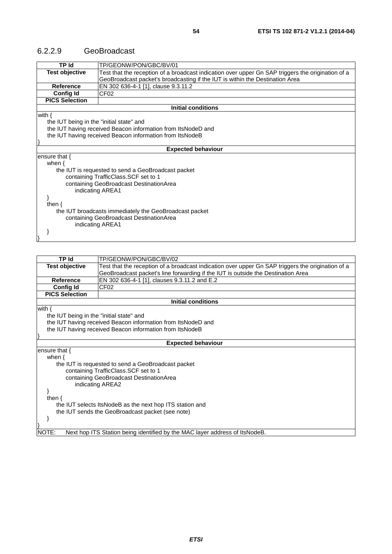#### 6.2.2.9 GeoBroadcast

| <b>TP Id</b>                             | TP/GEONW/PON/GBC/BV/01                                                                            |  |
|------------------------------------------|---------------------------------------------------------------------------------------------------|--|
| <b>Test objective</b>                    | Test that the reception of a broadcast indication over upper Gn SAP triggers the origination of a |  |
|                                          | GeoBroadcast packet's broadcasting if the IUT is within the Destination Area                      |  |
| <b>Reference</b>                         | EN 302 636-4-1 [1], clause 9.3.11.2                                                               |  |
| <b>Config Id</b>                         | CF02                                                                                              |  |
| <b>PICS Selection</b>                    |                                                                                                   |  |
|                                          | Initial conditions                                                                                |  |
| with $\{$                                |                                                                                                   |  |
| the IUT being in the "initial state" and |                                                                                                   |  |
|                                          | the IUT having received Beacon information from ItsNodeD and                                      |  |
|                                          | the IUT having received Beacon information from ItsNodeB                                          |  |
|                                          |                                                                                                   |  |
|                                          | <b>Expected behaviour</b>                                                                         |  |
| ensure that $\{$                         |                                                                                                   |  |
| when $\{$                                |                                                                                                   |  |
|                                          | the IUT is requested to send a GeoBroadcast packet                                                |  |
|                                          | containing TrafficClass.SCF set to 1                                                              |  |
|                                          | containing GeoBroadcast DestinationArea                                                           |  |
| indicating AREA1                         |                                                                                                   |  |
|                                          |                                                                                                   |  |
| then $\{$                                |                                                                                                   |  |
|                                          | the IUT broadcasts immediately the GeoBroadcast packet                                            |  |
|                                          | containing GeoBroadcast DestinationArea                                                           |  |
| indicating AREA1                         |                                                                                                   |  |
|                                          |                                                                                                   |  |
|                                          |                                                                                                   |  |

| <b>TP Id</b>                                             | TP/GEONW/PON/GBC/BV/02                                                                            |  |
|----------------------------------------------------------|---------------------------------------------------------------------------------------------------|--|
| <b>Test objective</b>                                    | Test that the reception of a broadcast indication over upper Gn SAP triggers the origination of a |  |
|                                                          | GeoBroadcast packet's line forwarding if the IUT is outside the Destination Area                  |  |
| <b>Reference</b>                                         | EN 302 636-4-1 [1], clauses 9.3.11.2 and E.2                                                      |  |
| <b>Config Id</b>                                         | CF <sub>02</sub>                                                                                  |  |
| <b>PICS Selection</b>                                    |                                                                                                   |  |
|                                                          | <b>Initial conditions</b>                                                                         |  |
| with $\{$                                                |                                                                                                   |  |
| the IUT being in the "initial state" and                 |                                                                                                   |  |
|                                                          | the IUT having received Beacon information from ItsNodeD and                                      |  |
|                                                          | the IUT having received Beacon information from ItsNodeB                                          |  |
|                                                          |                                                                                                   |  |
|                                                          | <b>Expected behaviour</b>                                                                         |  |
| ensure that $\{$                                         |                                                                                                   |  |
| when $\{$                                                |                                                                                                   |  |
|                                                          | the IUT is requested to send a GeoBroadcast packet                                                |  |
|                                                          | containing TrafficClass. SCF set to 1                                                             |  |
|                                                          | containing GeoBroadcast DestinationArea                                                           |  |
|                                                          | indicating AREA2                                                                                  |  |
|                                                          |                                                                                                   |  |
| then $\{$                                                |                                                                                                   |  |
| the IUT selects ItsNodeB as the next hop ITS station and |                                                                                                   |  |
| the IUT sends the GeoBroadcast packet (see note)         |                                                                                                   |  |
|                                                          |                                                                                                   |  |
|                                                          |                                                                                                   |  |
| NOTE:                                                    | Next hop ITS Station being identified by the MAC layer address of ItsNodeB.                       |  |
|                                                          |                                                                                                   |  |

*ETSI*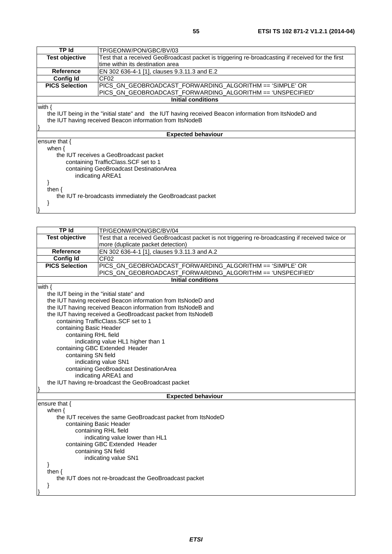| TP Id                 | TP/GEONW/PON/GBC/BV/03                                                                                |  |
|-----------------------|-------------------------------------------------------------------------------------------------------|--|
| <b>Test objective</b> | Test that a received GeoBroadcast packet is triggering re-broadcasting if received for the first      |  |
|                       | time within its destination area                                                                      |  |
| <b>Reference</b>      | EN 302 636-4-1 [1], clauses 9.3.11.3 and E.2                                                          |  |
| Config Id             | CF <sub>02</sub>                                                                                      |  |
| <b>PICS Selection</b> | PICS_GN_GEOBROADCAST_FORWARDING_ALGORITHM == 'SIMPLE' OR                                              |  |
|                       | PICS GN_GEOBROADCAST_FORWARDING_ALGORITHM == 'UNSPECIFIED'                                            |  |
|                       | <b>Initial conditions</b>                                                                             |  |
| with $\{$             |                                                                                                       |  |
|                       | the IUT being in the "initial state" and the IUT having received Beacon information from ItsNodeD and |  |
|                       | the IUT having received Beacon information from ItsNodeB                                              |  |
|                       |                                                                                                       |  |
|                       | <b>Expected behaviour</b>                                                                             |  |
| ensure that $\{$      |                                                                                                       |  |
| when $\{$             |                                                                                                       |  |
|                       | the IUT receives a GeoBroadcast packet                                                                |  |
|                       | containing TrafficClass.SCF set to 1                                                                  |  |
|                       | containing GeoBroadcast DestinationArea                                                               |  |
|                       | indicating AREA1                                                                                      |  |
|                       |                                                                                                       |  |
| then $\{$             |                                                                                                       |  |
|                       | the IUT re-broadcasts immediately the GeoBroadcast packet                                             |  |
|                       |                                                                                                       |  |
|                       |                                                                                                       |  |

| <b>TP Id</b>                                                                | TP/GEONW/PON/GBC/BV/04                                                                          |  |
|-----------------------------------------------------------------------------|-------------------------------------------------------------------------------------------------|--|
| <b>Test objective</b>                                                       | Test that a received GeoBroadcast packet is not triggering re-broadcasting if received twice or |  |
|                                                                             | more (duplicate packet detection)                                                               |  |
| <b>Reference</b>                                                            | EN 302 636-4-1 [1], clauses 9.3.11.3 and A.2                                                    |  |
| <b>Config Id</b>                                                            | CF <sub>02</sub>                                                                                |  |
| <b>PICS Selection</b>                                                       | PICS_GN_GEOBROADCAST_FORWARDING_ALGORITHM == 'SIMPLE' OR                                        |  |
|                                                                             | PICS_GN_GEOBROADCAST_FORWARDING_ALGORITHM == 'UNSPECIFIED'                                      |  |
|                                                                             | <b>Initial conditions</b>                                                                       |  |
| with $\{$                                                                   |                                                                                                 |  |
| the IUT being in the "initial state" and                                    |                                                                                                 |  |
|                                                                             | the IUT having received Beacon information from ItsNodeD and                                    |  |
|                                                                             | the IUT having received Beacon information from ItsNodeB and                                    |  |
|                                                                             | the IUT having received a GeoBroadcast packet from ItsNodeB                                     |  |
|                                                                             | containing TrafficClass.SCF set to 1                                                            |  |
| containing Basic Header                                                     |                                                                                                 |  |
| containing RHL field                                                        |                                                                                                 |  |
|                                                                             | indicating value HL1 higher than 1                                                              |  |
|                                                                             | containing GBC Extended Header<br>containing SN field                                           |  |
|                                                                             |                                                                                                 |  |
|                                                                             | indicating value SN1<br>containing GeoBroadcast DestinationArea                                 |  |
|                                                                             |                                                                                                 |  |
| indicating AREA1 and<br>the IUT having re-broadcast the GeoBroadcast packet |                                                                                                 |  |
|                                                                             |                                                                                                 |  |
|                                                                             | <b>Expected behaviour</b>                                                                       |  |
| ensure that {                                                               |                                                                                                 |  |
| when $\{$                                                                   |                                                                                                 |  |
|                                                                             | the IUT receives the same GeoBroadcast packet from ItsNodeD                                     |  |
|                                                                             | containing Basic Header                                                                         |  |
| containing RHL field                                                        |                                                                                                 |  |
| indicating value lower than HL1                                             |                                                                                                 |  |
| containing GBC Extended Header                                              |                                                                                                 |  |
| containing SN field                                                         |                                                                                                 |  |
| indicating value SN1                                                        |                                                                                                 |  |
|                                                                             |                                                                                                 |  |
| then $\{$                                                                   |                                                                                                 |  |
|                                                                             | the IUT does not re-broadcast the GeoBroadcast packet                                           |  |
| }                                                                           |                                                                                                 |  |
|                                                                             |                                                                                                 |  |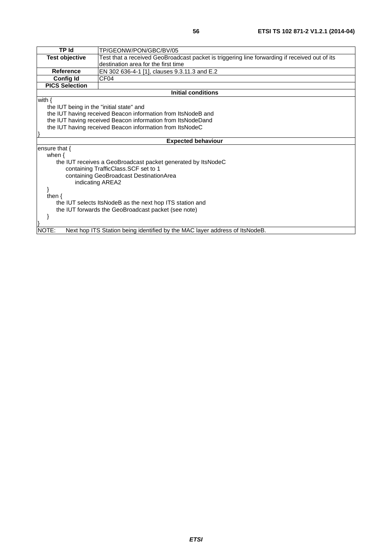| TP Id                                    | TP/GEONW/PON/GBC/BV/05                                                                        |  |
|------------------------------------------|-----------------------------------------------------------------------------------------------|--|
| <b>Test objective</b>                    | Test that a received GeoBroadcast packet is triggering line forwarding if received out of its |  |
|                                          | destination area for the first time                                                           |  |
| <b>Reference</b>                         | EN 302 636-4-1 [1], clauses 9.3.11.3 and E.2                                                  |  |
| <b>Config Id</b>                         | CF <sub>04</sub>                                                                              |  |
| <b>PICS Selection</b>                    |                                                                                               |  |
|                                          | <b>Initial conditions</b>                                                                     |  |
| with $\{$                                |                                                                                               |  |
| the IUT being in the "initial state" and |                                                                                               |  |
|                                          | the IUT having received Beacon information from ItsNodeB and                                  |  |
|                                          | the IUT having received Beacon information from ItsNodeDand                                   |  |
|                                          | the IUT having received Beacon information from ItsNodeC                                      |  |
|                                          |                                                                                               |  |
|                                          | <b>Expected behaviour</b>                                                                     |  |
| ensure that $\{$                         |                                                                                               |  |
| when $\{$                                |                                                                                               |  |
|                                          | the IUT receives a GeoBroadcast packet generated by ItsNodeC                                  |  |
|                                          | containing TrafficClass.SCF set to 1                                                          |  |
|                                          | containing GeoBroadcast DestinationArea                                                       |  |
|                                          | indicating AREA2                                                                              |  |
|                                          |                                                                                               |  |
| then $\{$                                |                                                                                               |  |
|                                          | the IUT selects ItsNodeB as the next hop ITS station and                                      |  |
|                                          | the IUT forwards the GeoBroadcast packet (see note)                                           |  |
| <sup>}</sup>                             |                                                                                               |  |
|                                          |                                                                                               |  |
| NOTE:                                    | Next hop ITS Station being identified by the MAC layer address of ItsNodeB.                   |  |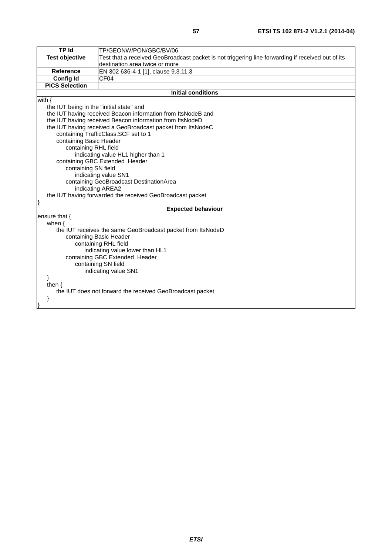| TP Id                                                     | TP/GEONW/PON/GBC/BV/06                                                                            |  |
|-----------------------------------------------------------|---------------------------------------------------------------------------------------------------|--|
| <b>Test objective</b>                                     | Test that a received GeoBroadcast packet is not triggering line forwarding if received out of its |  |
|                                                           | destination area twice or more                                                                    |  |
| <b>Reference</b>                                          | EN 302 636-4-1 [1], clause 9.3.11.3                                                               |  |
| <b>Config Id</b>                                          | CF04                                                                                              |  |
| <b>PICS Selection</b>                                     |                                                                                                   |  |
|                                                           | <b>Initial conditions</b>                                                                         |  |
| with $\{$                                                 |                                                                                                   |  |
| the IUT being in the "initial state" and                  |                                                                                                   |  |
|                                                           | the IUT having received Beacon information from ItsNodeB and                                      |  |
|                                                           | the IUT having received Beacon information from ItsNodeD                                          |  |
|                                                           | the IUT having received a GeoBroadcast packet from ItsNodeC                                       |  |
|                                                           | containing TrafficClass.SCF set to 1                                                              |  |
| containing Basic Header                                   |                                                                                                   |  |
| containing RHL field                                      |                                                                                                   |  |
|                                                           | indicating value HL1 higher than 1                                                                |  |
|                                                           | containing GBC Extended Header                                                                    |  |
|                                                           | containing SN field                                                                               |  |
|                                                           | indicating value SN1                                                                              |  |
|                                                           | containing GeoBroadcast DestinationArea                                                           |  |
|                                                           | indicating AREA2                                                                                  |  |
|                                                           | the IUT having forwarded the received GeoBroadcast packet                                         |  |
|                                                           |                                                                                                   |  |
| <b>Expected behaviour</b>                                 |                                                                                                   |  |
| ensure that {                                             |                                                                                                   |  |
|                                                           | when $\{$                                                                                         |  |
|                                                           | the IUT receives the same GeoBroadcast packet from ItsNodeD                                       |  |
| containing Basic Header                                   |                                                                                                   |  |
| containing RHL field                                      |                                                                                                   |  |
| indicating value lower than HL1                           |                                                                                                   |  |
| containing GBC Extended Header                            |                                                                                                   |  |
| containing SN field                                       |                                                                                                   |  |
| indicating value SN1                                      |                                                                                                   |  |
| ł                                                         |                                                                                                   |  |
| then $\{$                                                 |                                                                                                   |  |
| the IUT does not forward the received GeoBroadcast packet |                                                                                                   |  |
| ł                                                         |                                                                                                   |  |
|                                                           |                                                                                                   |  |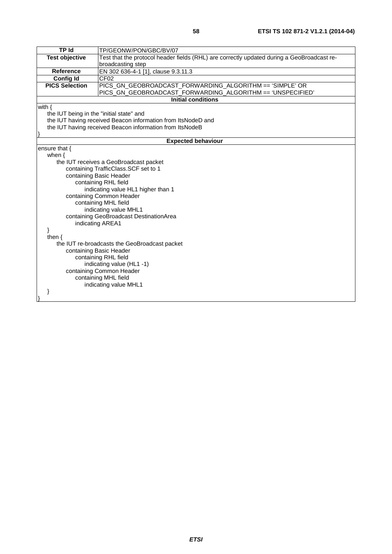| <b>TP Id</b>                             | TP/GEONW/PON/GBC/BV/07                                                                     |  |
|------------------------------------------|--------------------------------------------------------------------------------------------|--|
| <b>Test objective</b>                    | Test that the protocol header fields (RHL) are correctly updated during a GeoBroadcast re- |  |
|                                          | broadcasting step                                                                          |  |
| <b>Reference</b>                         | EN 302 636-4-1 [1], clause 9.3.11.3                                                        |  |
| <b>Config Id</b>                         | CF <sub>02</sub>                                                                           |  |
| <b>PICS Selection</b>                    | PICS_GN_GEOBROADCAST_FORWARDING_ALGORITHM == 'SIMPLE' OR                                   |  |
|                                          | PICS_GN_GEOBROADCAST_FORWARDING_ALGORITHM == 'UNSPECIFIED'                                 |  |
|                                          | <b>Initial conditions</b>                                                                  |  |
| with $\{$                                |                                                                                            |  |
| the IUT being in the "initial state" and |                                                                                            |  |
|                                          | the IUT having received Beacon information from ItsNodeD and                               |  |
|                                          | the IUT having received Beacon information from ItsNodeB                                   |  |
|                                          |                                                                                            |  |
|                                          | <b>Expected behaviour</b>                                                                  |  |
| ensure that {                            |                                                                                            |  |
| when $\{$                                |                                                                                            |  |
|                                          | the IUT receives a GeoBroadcast packet                                                     |  |
|                                          | containing TrafficClass.SCF set to 1                                                       |  |
|                                          | containing Basic Header                                                                    |  |
|                                          | containing RHL field                                                                       |  |
| indicating value HL1 higher than 1       |                                                                                            |  |
|                                          | containing Common Header                                                                   |  |
|                                          | containing MHL field                                                                       |  |
|                                          | indicating value MHL1                                                                      |  |
|                                          | containing GeoBroadcast DestinationArea                                                    |  |
| indicating AREA1                         |                                                                                            |  |
| then $\{$                                |                                                                                            |  |
|                                          | the IUT re-broadcasts the GeoBroadcast packet                                              |  |
|                                          |                                                                                            |  |
|                                          | containing Basic Header                                                                    |  |
|                                          | containing RHL field<br>indicating value (HL1 -1)                                          |  |
|                                          | containing Common Header                                                                   |  |
|                                          | containing MHL field                                                                       |  |
|                                          | indicating value MHL1                                                                      |  |
|                                          |                                                                                            |  |
|                                          |                                                                                            |  |
|                                          |                                                                                            |  |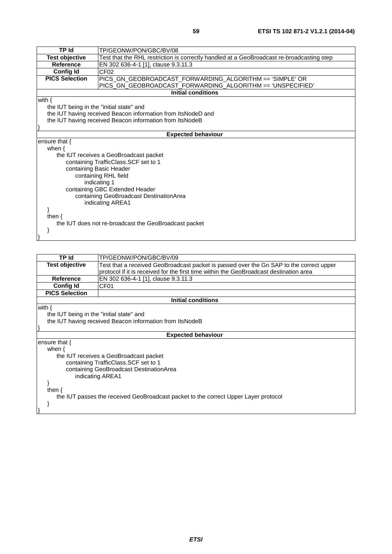| <b>TP Id</b>                                          | TP/GEONW/PON/GBC/BV/08                                                                    |  |
|-------------------------------------------------------|-------------------------------------------------------------------------------------------|--|
| <b>Test objective</b>                                 | Test that the RHL restriction is correctly handled at a GeoBroadcast re-broadcasting step |  |
| <b>Reference</b>                                      | EN 302 636-4-1 [1], clause 9.3.11.3                                                       |  |
| <b>Config Id</b>                                      | CF <sub>02</sub>                                                                          |  |
| <b>PICS Selection</b>                                 | PICS_GN_GEOBROADCAST_FORWARDING_ALGORITHM == 'SIMPLE' OR                                  |  |
|                                                       | PICS_GN_GEOBROADCAST_FORWARDING_ALGORITHM == 'UNSPECIFIED'<br>Initial conditions          |  |
|                                                       |                                                                                           |  |
| with $\{$                                             |                                                                                           |  |
| the IUT being in the "initial state" and              |                                                                                           |  |
|                                                       | the IUT having received Beacon information from ItsNodeD and                              |  |
|                                                       | the IUT having received Beacon information from ItsNodeB                                  |  |
|                                                       |                                                                                           |  |
|                                                       | <b>Expected behaviour</b>                                                                 |  |
| ensure that $\{$                                      |                                                                                           |  |
| when $\{$                                             |                                                                                           |  |
|                                                       | the IUT receives a GeoBroadcast packet                                                    |  |
|                                                       | containing TrafficClass. SCF set to 1                                                     |  |
|                                                       | containing Basic Header                                                                   |  |
|                                                       | containing RHL field                                                                      |  |
|                                                       | indicating 1                                                                              |  |
| containing GBC Extended Header                        |                                                                                           |  |
| containing GeoBroadcast DestinationArea               |                                                                                           |  |
| indicating AREA1                                      |                                                                                           |  |
|                                                       |                                                                                           |  |
| then $\{$                                             |                                                                                           |  |
| the IUT does not re-broadcast the GeoBroadcast packet |                                                                                           |  |
|                                                       |                                                                                           |  |
|                                                       |                                                                                           |  |
|                                                       |                                                                                           |  |

| TP Id                                                                               | TP/GEONW/PON/GBC/BV/09                                                                  |  |  |
|-------------------------------------------------------------------------------------|-----------------------------------------------------------------------------------------|--|--|
| <b>Test objective</b>                                                               | Test that a received GeoBroadcast packet is passed over the Gn SAP to the correct upper |  |  |
|                                                                                     | protocol if it is received for the first time within the GeoBroadcast destination area  |  |  |
| Reference                                                                           | EN 302 636-4-1 [1], clause 9.3.11.3                                                     |  |  |
| <b>Config Id</b>                                                                    | CF <sub>01</sub>                                                                        |  |  |
| <b>PICS Selection</b>                                                               |                                                                                         |  |  |
| <b>Initial conditions</b>                                                           |                                                                                         |  |  |
| with $\{$                                                                           |                                                                                         |  |  |
|                                                                                     | the IUT being in the "initial state" and                                                |  |  |
|                                                                                     | the IUT having received Beacon information from ItsNodeB                                |  |  |
|                                                                                     |                                                                                         |  |  |
| <b>Expected behaviour</b>                                                           |                                                                                         |  |  |
| ensure that $\{$                                                                    |                                                                                         |  |  |
| when $\{$                                                                           |                                                                                         |  |  |
|                                                                                     | the IUT receives a GeoBroadcast packet                                                  |  |  |
|                                                                                     | containing TrafficClass. SCF set to 1                                                   |  |  |
| containing GeoBroadcast DestinationArea                                             |                                                                                         |  |  |
| indicating AREA1                                                                    |                                                                                         |  |  |
|                                                                                     |                                                                                         |  |  |
| then $\{$                                                                           |                                                                                         |  |  |
| the IUT passes the received GeoBroadcast packet to the correct Upper Layer protocol |                                                                                         |  |  |
|                                                                                     |                                                                                         |  |  |
|                                                                                     |                                                                                         |  |  |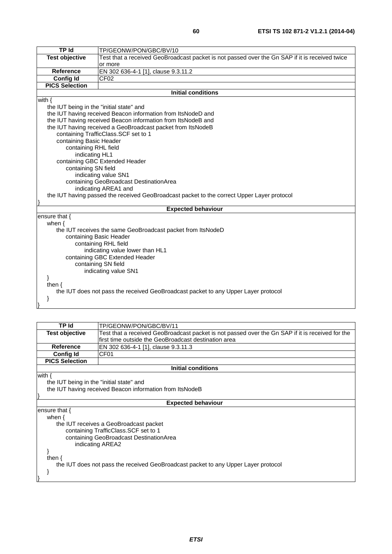| <b>TP Id</b>                                                                       | TP/GEONW/PON/GBC/BV/10                                                                         |  |
|------------------------------------------------------------------------------------|------------------------------------------------------------------------------------------------|--|
| <b>Test objective</b>                                                              | Test that a received GeoBroadcast packet is not passed over the Gn SAP if it is received twice |  |
|                                                                                    | or more                                                                                        |  |
| <b>Reference</b>                                                                   | EN 302 636-4-1 [1], clause 9.3.11.2                                                            |  |
| <b>Config Id</b>                                                                   | CF <sub>02</sub>                                                                               |  |
| <b>PICS Selection</b>                                                              |                                                                                                |  |
|                                                                                    | <b>Initial conditions</b>                                                                      |  |
| with $\{$                                                                          |                                                                                                |  |
| the IUT being in the "initial state" and                                           |                                                                                                |  |
|                                                                                    | the IUT having received Beacon information from ItsNodeD and                                   |  |
|                                                                                    | the IUT having received Beacon information from ItsNodeB and                                   |  |
|                                                                                    | the IUT having received a GeoBroadcast packet from ItsNodeB                                    |  |
|                                                                                    | containing TrafficClass.SCF set to 1                                                           |  |
| containing Basic Header                                                            |                                                                                                |  |
| containing RHL field                                                               |                                                                                                |  |
| indicating HL1                                                                     |                                                                                                |  |
|                                                                                    | containing GBC Extended Header                                                                 |  |
|                                                                                    | containing SN field                                                                            |  |
|                                                                                    | indicating value SN1                                                                           |  |
|                                                                                    | containing GeoBroadcast DestinationArea                                                        |  |
|                                                                                    | indicating AREA1 and                                                                           |  |
|                                                                                    | the IUT having passed the received GeoBroadcast packet to the correct Upper Layer protocol     |  |
|                                                                                    | <b>Expected behaviour</b>                                                                      |  |
| ensure that {                                                                      |                                                                                                |  |
| when $\{$                                                                          |                                                                                                |  |
|                                                                                    | the IUT receives the same GeoBroadcast packet from ItsNodeD                                    |  |
|                                                                                    | containing Basic Header                                                                        |  |
| containing RHL field                                                               |                                                                                                |  |
| indicating value lower than HL1                                                    |                                                                                                |  |
| containing GBC Extended Header                                                     |                                                                                                |  |
| containing SN field                                                                |                                                                                                |  |
| indicating value SN1                                                               |                                                                                                |  |
|                                                                                    |                                                                                                |  |
| then $\{$                                                                          |                                                                                                |  |
| the IUT does not pass the received GeoBroadcast packet to any Upper Layer protocol |                                                                                                |  |
| }                                                                                  |                                                                                                |  |
|                                                                                    |                                                                                                |  |

| TP Id                                                                              | TP/GEONW/PON/GBC/BV/11                                                                           |  |
|------------------------------------------------------------------------------------|--------------------------------------------------------------------------------------------------|--|
| Test objective                                                                     | Test that a received GeoBroadcast packet is not passed over the Gn SAP if it is received for the |  |
|                                                                                    | first time outside the GeoBroadcast destination area                                             |  |
| <b>Reference</b>                                                                   | EN 302 636-4-1 [1], clause 9.3.11.3                                                              |  |
| <b>Config Id</b>                                                                   | CF <sub>01</sub>                                                                                 |  |
| <b>PICS Selection</b>                                                              |                                                                                                  |  |
|                                                                                    | <b>Initial conditions</b>                                                                        |  |
| with $\{$                                                                          |                                                                                                  |  |
|                                                                                    | the IUT being in the "initial state" and                                                         |  |
|                                                                                    | the IUT having received Beacon information from ItsNodeB                                         |  |
|                                                                                    |                                                                                                  |  |
| <b>Expected behaviour</b>                                                          |                                                                                                  |  |
| ensure that $\{$                                                                   |                                                                                                  |  |
| when $\{$                                                                          |                                                                                                  |  |
| the IUT receives a GeoBroadcast packet                                             |                                                                                                  |  |
|                                                                                    | containing TrafficClass. SCF set to 1                                                            |  |
| containing GeoBroadcast DestinationArea                                            |                                                                                                  |  |
| indicating AREA2                                                                   |                                                                                                  |  |
|                                                                                    |                                                                                                  |  |
| then $\{$                                                                          |                                                                                                  |  |
| the IUT does not pass the received GeoBroadcast packet to any Upper Layer protocol |                                                                                                  |  |
|                                                                                    |                                                                                                  |  |
|                                                                                    |                                                                                                  |  |
|                                                                                    |                                                                                                  |  |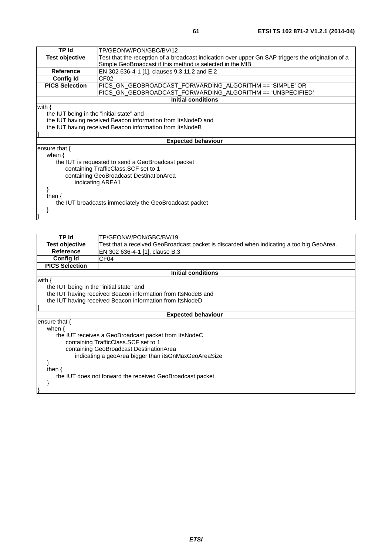| <b>TP Id</b>                                           | TP/GEONW/PON/GBC/BV/12                                                                            |  |
|--------------------------------------------------------|---------------------------------------------------------------------------------------------------|--|
| <b>Test objective</b>                                  | Test that the reception of a broadcast indication over upper Gn SAP triggers the origination of a |  |
|                                                        | Simple GeoBroadcast if this method is selected in the MIB                                         |  |
| <b>Reference</b>                                       | EN 302 636-4-1 [1], clauses 9.3.11.2 and E.2                                                      |  |
| <b>Config Id</b>                                       | CF <sub>02</sub>                                                                                  |  |
| <b>PICS Selection</b>                                  | PICS GN GEOBROADCAST FORWARDING ALGORITHM == 'SIMPLE' OR                                          |  |
|                                                        | PICS_GN_GEOBROADCAST_FORWARDING_ALGORITHM == 'UNSPECIFIED'                                        |  |
|                                                        | <b>Initial conditions</b>                                                                         |  |
| with $\{$                                              |                                                                                                   |  |
| the IUT being in the "initial state" and               |                                                                                                   |  |
|                                                        | the IUT having received Beacon information from ItsNodeD and                                      |  |
|                                                        | the IUT having received Beacon information from ItsNodeB                                          |  |
|                                                        |                                                                                                   |  |
| <b>Expected behaviour</b>                              |                                                                                                   |  |
| ensure that $\{$                                       |                                                                                                   |  |
| when $\{$                                              |                                                                                                   |  |
| the IUT is requested to send a GeoBroadcast packet     |                                                                                                   |  |
|                                                        | containing TrafficClass. SCF set to 1                                                             |  |
| containing GeoBroadcast DestinationArea                |                                                                                                   |  |
| indicating AREA1                                       |                                                                                                   |  |
|                                                        |                                                                                                   |  |
| then $\{$                                              |                                                                                                   |  |
| the IUT broadcasts immediately the GeoBroadcast packet |                                                                                                   |  |
|                                                        |                                                                                                   |  |
|                                                        |                                                                                                   |  |
|                                                        |                                                                                                   |  |

| TP Id                                                     | TP/GEONW/PON/GBC/BV/19                                                                   |  |  |
|-----------------------------------------------------------|------------------------------------------------------------------------------------------|--|--|
| <b>Test objective</b>                                     | Test that a received GeoBroadcast packet is discarded when indicating a too big GeoArea. |  |  |
| Reference                                                 | EN 302 636-4-1 [1], clause B.3                                                           |  |  |
| <b>Config Id</b>                                          | CF <sub>04</sub>                                                                         |  |  |
| <b>PICS Selection</b>                                     |                                                                                          |  |  |
|                                                           | <b>Initial conditions</b>                                                                |  |  |
| with $\{$                                                 |                                                                                          |  |  |
| the IUT being in the "initial state" and                  |                                                                                          |  |  |
|                                                           | the IUT having received Beacon information from ItsNodeB and                             |  |  |
|                                                           | the IUT having received Beacon information from ItsNodeD                                 |  |  |
|                                                           |                                                                                          |  |  |
|                                                           | <b>Expected behaviour</b>                                                                |  |  |
| ensure that {                                             |                                                                                          |  |  |
| when $\{$                                                 |                                                                                          |  |  |
|                                                           | the IUT receives a GeoBroadcast packet from ItsNodeC                                     |  |  |
|                                                           | containing TrafficClass. SCF set to 1                                                    |  |  |
| containing GeoBroadcast DestinationArea                   |                                                                                          |  |  |
| indicating a geoArea bigger than itsGnMaxGeoAreaSize      |                                                                                          |  |  |
|                                                           |                                                                                          |  |  |
| then $\{$                                                 |                                                                                          |  |  |
| the IUT does not forward the received GeoBroadcast packet |                                                                                          |  |  |
|                                                           |                                                                                          |  |  |
|                                                           |                                                                                          |  |  |
|                                                           |                                                                                          |  |  |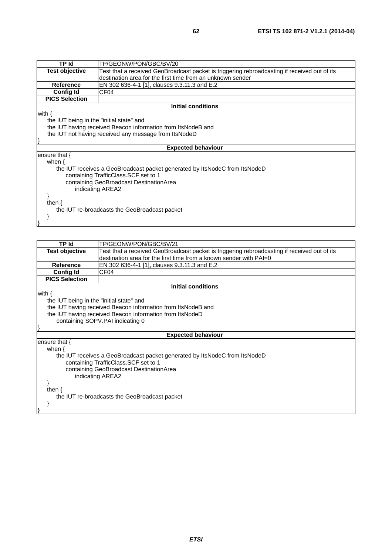| <b>TP Id</b>                                  | TP/GEONW/PON/GBC/BV/20                                                                       |  |  |
|-----------------------------------------------|----------------------------------------------------------------------------------------------|--|--|
| <b>Test objective</b>                         | Test that a received GeoBroadcast packet is triggering rebroadcasting if received out of its |  |  |
|                                               | destination area for the first time from an unknown sender                                   |  |  |
| <b>Reference</b>                              | EN 302 636-4-1 [1], clauses 9.3.11.3 and E.2                                                 |  |  |
| <b>Config Id</b>                              | CF <sub>04</sub>                                                                             |  |  |
| <b>PICS Selection</b>                         |                                                                                              |  |  |
|                                               | <b>Initial conditions</b>                                                                    |  |  |
| with $\{$                                     |                                                                                              |  |  |
|                                               | the IUT being in the "initial state" and                                                     |  |  |
|                                               | the IUT having received Beacon information from ItsNodeB and                                 |  |  |
|                                               | the IUT not having received any message from ItsNodeD                                        |  |  |
|                                               |                                                                                              |  |  |
|                                               | <b>Expected behaviour</b>                                                                    |  |  |
| ensure that {                                 |                                                                                              |  |  |
| when $\{$                                     |                                                                                              |  |  |
|                                               | the IUT receives a GeoBroadcast packet generated by ItsNodeC from ItsNodeD                   |  |  |
|                                               | containing TrafficClass. SCF set to 1                                                        |  |  |
| containing GeoBroadcast DestinationArea       |                                                                                              |  |  |
| indicating AREA2                              |                                                                                              |  |  |
|                                               |                                                                                              |  |  |
| then $\{$                                     |                                                                                              |  |  |
| the IUT re-broadcasts the GeoBroadcast packet |                                                                                              |  |  |
|                                               |                                                                                              |  |  |
|                                               |                                                                                              |  |  |
|                                               |                                                                                              |  |  |

| <b>TP</b> Id                             | TP/GEONW/PON/GBC/BV/21                                                                       |  |
|------------------------------------------|----------------------------------------------------------------------------------------------|--|
| <b>Test objective</b>                    | Test that a received GeoBroadcast packet is triggering rebroadcasting if received out of its |  |
|                                          | destination area for the first time from a known sender with PAI=0                           |  |
| <b>Reference</b>                         | EN 302 636-4-1 [1], clauses 9.3.11.3 and E.2                                                 |  |
| <b>Config Id</b>                         | CF <sub>04</sub>                                                                             |  |
| <b>PICS Selection</b>                    |                                                                                              |  |
|                                          | <b>Initial conditions</b>                                                                    |  |
| with $\{$                                |                                                                                              |  |
| the IUT being in the "initial state" and |                                                                                              |  |
|                                          | the IUT having received Beacon information from ItsNodeB and                                 |  |
|                                          | the IUT having received Beacon information from ItsNodeD                                     |  |
| containing SOPV.PAI indicating 0         |                                                                                              |  |
|                                          |                                                                                              |  |
|                                          | <b>Expected behaviour</b>                                                                    |  |
| ensure that $\{$                         |                                                                                              |  |
| when $\{$                                |                                                                                              |  |
|                                          | the IUT receives a GeoBroadcast packet generated by ItsNodeC from ItsNodeD                   |  |
|                                          | containing TrafficClass. SCF set to 1                                                        |  |
| containing GeoBroadcast DestinationArea  |                                                                                              |  |
| indicating AREA2                         |                                                                                              |  |
|                                          |                                                                                              |  |
| then $\{$                                |                                                                                              |  |
|                                          | the IUT re-broadcasts the GeoBroadcast packet                                                |  |
|                                          |                                                                                              |  |
|                                          |                                                                                              |  |
|                                          |                                                                                              |  |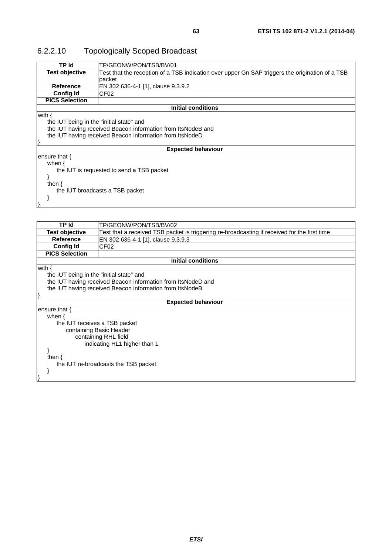# 6.2.2.10 Topologically Scoped Broadcast

| TP Id                                     | TP/GEONW/PON/TSB/BV/01                                                                          |  |
|-------------------------------------------|-------------------------------------------------------------------------------------------------|--|
| <b>Test objective</b>                     | Test that the reception of a TSB indication over upper Gn SAP triggers the origination of a TSB |  |
|                                           | packet                                                                                          |  |
| <b>Reference</b>                          | EN 302 636-4-1 [1], clause 9.3.9.2                                                              |  |
| <b>Config Id</b>                          | CF <sub>02</sub>                                                                                |  |
| <b>PICS Selection</b>                     |                                                                                                 |  |
|                                           | <b>Initial conditions</b>                                                                       |  |
| with $\{$                                 |                                                                                                 |  |
| the IUT being in the "initial state" and  |                                                                                                 |  |
|                                           | the IUT having received Beacon information from ItsNodeB and                                    |  |
|                                           | the IUT having received Beacon information from ItsNodeD                                        |  |
|                                           |                                                                                                 |  |
|                                           | <b>Expected behaviour</b>                                                                       |  |
| ensure that $\{$                          |                                                                                                 |  |
| when $\{$                                 |                                                                                                 |  |
| the IUT is requested to send a TSB packet |                                                                                                 |  |
|                                           |                                                                                                 |  |
| then $\{$                                 |                                                                                                 |  |
| the IUT broadcasts a TSB packet           |                                                                                                 |  |
|                                           |                                                                                                 |  |
|                                           |                                                                                                 |  |
|                                           |                                                                                                 |  |
|                                           |                                                                                                 |  |
| TP Id                                     | TP/GEONW/PON/TSB/BV/02                                                                          |  |
| Tant alaberthua                           | Toot that a reactived TOD modest is trippedience broadcosting if reactived for the first time.  |  |

| 1 P 10                                   | I P/GEUNW/PUN/TSB/BV/UZ                                                                      |  |
|------------------------------------------|----------------------------------------------------------------------------------------------|--|
| <b>Test objective</b>                    | Test that a received TSB packet is triggering re-broadcasting if received for the first time |  |
| <b>Reference</b>                         | EN 302 636-4-1 [1], clause 9.3.9.3                                                           |  |
| <b>Config Id</b>                         | CF <sub>02</sub>                                                                             |  |
| <b>PICS Selection</b>                    |                                                                                              |  |
|                                          | <b>Initial conditions</b>                                                                    |  |
| with $\{$                                |                                                                                              |  |
| the IUT being in the "initial state" and |                                                                                              |  |
|                                          | the IUT having received Beacon information from ItsNodeD and                                 |  |
|                                          | the IUT having received Beacon information from ItsNodeB                                     |  |
|                                          |                                                                                              |  |
| <b>Expected behaviour</b>                |                                                                                              |  |
| ensure that $\{$                         |                                                                                              |  |
| when $\{$                                |                                                                                              |  |
| the IUT receives a TSB packet            |                                                                                              |  |
|                                          | containing Basic Header                                                                      |  |
| containing RHL field                     |                                                                                              |  |
| indicating HL1 higher than 1             |                                                                                              |  |
|                                          |                                                                                              |  |
| then $\{$                                |                                                                                              |  |
|                                          | the IUT re-broadcasts the TSB packet                                                         |  |
|                                          |                                                                                              |  |
|                                          |                                                                                              |  |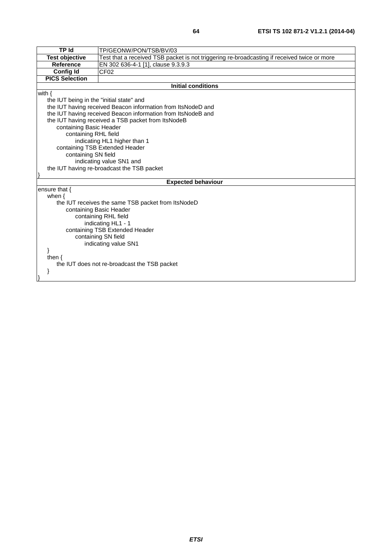| <b>TP Id</b>                                    | TP/GEONW/PON/TSB/BV/03                                                                      |  |
|-------------------------------------------------|---------------------------------------------------------------------------------------------|--|
| <b>Test objective</b>                           | Test that a received TSB packet is not triggering re-broadcasting if received twice or more |  |
| <b>Reference</b>                                | EN 302 636-4-1 [1], clause 9.3.9.3                                                          |  |
| <b>Config Id</b>                                | CF <sub>02</sub>                                                                            |  |
| <b>PICS Selection</b>                           |                                                                                             |  |
|                                                 | <b>Initial conditions</b>                                                                   |  |
| with $\{$                                       |                                                                                             |  |
| the IUT being in the "initial state" and        |                                                                                             |  |
|                                                 | the IUT having received Beacon information from ItsNodeD and                                |  |
|                                                 | the IUT having received Beacon information from ItsNodeB and                                |  |
|                                                 | the IUT having received a TSB packet from ItsNodeB                                          |  |
| containing Basic Header                         |                                                                                             |  |
| containing RHL field                            |                                                                                             |  |
|                                                 | indicating HL1 higher than 1                                                                |  |
|                                                 | containing TSB Extended Header                                                              |  |
| containing SN field                             |                                                                                             |  |
|                                                 | indicating value SN1 and                                                                    |  |
|                                                 | the IUT having re-broadcast the TSB packet                                                  |  |
|                                                 |                                                                                             |  |
|                                                 | <b>Expected behaviour</b>                                                                   |  |
| ensure that {                                   |                                                                                             |  |
|                                                 | when $\{$                                                                                   |  |
|                                                 | the IUT receives the same TSB packet from ItsNodeD                                          |  |
| containing Basic Header<br>containing RHL field |                                                                                             |  |
| indicating HL1 - 1                              |                                                                                             |  |
| containing TSB Extended Header                  |                                                                                             |  |
| containing SN field                             |                                                                                             |  |
| indicating value SN1                            |                                                                                             |  |
|                                                 |                                                                                             |  |
| then $\{$                                       |                                                                                             |  |
| the IUT does not re-broadcast the TSB packet    |                                                                                             |  |
|                                                 |                                                                                             |  |
|                                                 |                                                                                             |  |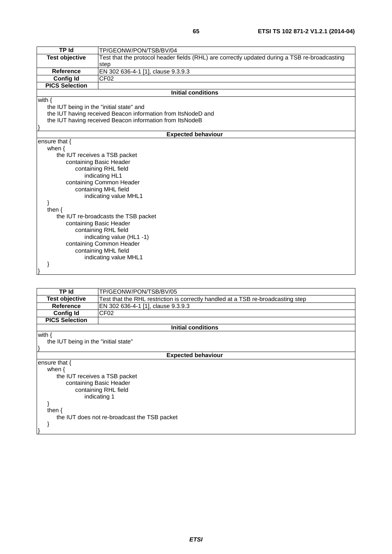| <b>TP Id</b>                             | TP/GEONW/PON/TSB/BV/04                                                                        |  |
|------------------------------------------|-----------------------------------------------------------------------------------------------|--|
|                                          |                                                                                               |  |
| <b>Test objective</b>                    | Test that the protocol header fields (RHL) are correctly updated during a TSB re-broadcasting |  |
|                                          | step                                                                                          |  |
| Reference                                | EN 302 636-4-1 [1], clause 9.3.9.3                                                            |  |
| <b>Config Id</b>                         | CF <sub>02</sub>                                                                              |  |
| <b>PICS Selection</b>                    |                                                                                               |  |
|                                          | <b>Initial conditions</b>                                                                     |  |
| with $\{$                                |                                                                                               |  |
| the IUT being in the "initial state" and |                                                                                               |  |
|                                          | the IUT having received Beacon information from ItsNodeD and                                  |  |
|                                          | the IUT having received Beacon information from ItsNodeB                                      |  |
|                                          |                                                                                               |  |
|                                          | <b>Expected behaviour</b>                                                                     |  |
| ensure that {                            |                                                                                               |  |
| when $\{$                                |                                                                                               |  |
| the IUT receives a TSB packet            |                                                                                               |  |
|                                          | containing Basic Header                                                                       |  |
|                                          | containing RHL field                                                                          |  |
|                                          | indicating HL1                                                                                |  |
|                                          | containing Common Header                                                                      |  |
|                                          | containing MHL field                                                                          |  |
|                                          | indicating value MHL1                                                                         |  |
|                                          |                                                                                               |  |
| then $\{$                                |                                                                                               |  |
|                                          |                                                                                               |  |
|                                          | the IUT re-broadcasts the TSB packet                                                          |  |
| containing Basic Header                  |                                                                                               |  |
| containing RHL field                     |                                                                                               |  |
| indicating value (HL1-1)                 |                                                                                               |  |
|                                          | containing Common Header                                                                      |  |
|                                          | containing MHL field                                                                          |  |
|                                          | indicating value MHL1                                                                         |  |
|                                          |                                                                                               |  |
|                                          |                                                                                               |  |

| TP Id                                        | TP/GEONW/PON/TSB/BV/05                                                           |  |
|----------------------------------------------|----------------------------------------------------------------------------------|--|
| <b>Test objective</b>                        | Test that the RHL restriction is correctly handled at a TSB re-broadcasting step |  |
| Reference                                    | EN 302 636-4-1 [1], clause 9.3.9.3                                               |  |
| <b>Config Id</b>                             | CF <sub>02</sub>                                                                 |  |
| <b>PICS Selection</b>                        |                                                                                  |  |
|                                              | <b>Initial conditions</b>                                                        |  |
| with $\{$                                    |                                                                                  |  |
| the IUT being in the "initial state"         |                                                                                  |  |
|                                              |                                                                                  |  |
| <b>Expected behaviour</b>                    |                                                                                  |  |
| ensure that $\{$                             |                                                                                  |  |
| when $\{$                                    |                                                                                  |  |
| the IUT receives a TSB packet                |                                                                                  |  |
|                                              | containing Basic Header                                                          |  |
|                                              | containing RHL field                                                             |  |
|                                              | indicating 1                                                                     |  |
|                                              |                                                                                  |  |
| then $\{$                                    |                                                                                  |  |
| the IUT does not re-broadcast the TSB packet |                                                                                  |  |
|                                              |                                                                                  |  |
|                                              |                                                                                  |  |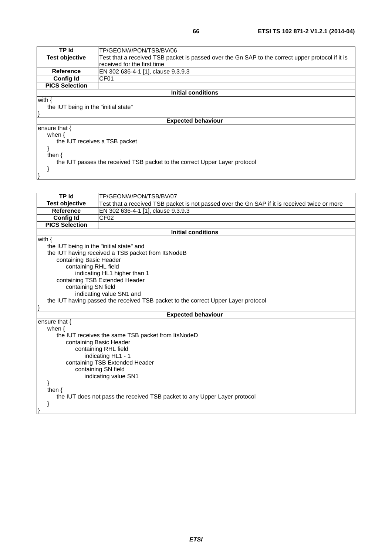| TP Id                                                                      | TP/GEONW/PON/TSB/BV/06                                                                           |  |
|----------------------------------------------------------------------------|--------------------------------------------------------------------------------------------------|--|
| <b>Test objective</b>                                                      | Test that a received TSB packet is passed over the Gn SAP to the correct upper protocol if it is |  |
|                                                                            | received for the first time                                                                      |  |
| <b>Reference</b>                                                           | EN 302 636-4-1 [1], clause 9.3.9.3                                                               |  |
| Config Id                                                                  | CF <sub>01</sub>                                                                                 |  |
| <b>PICS Selection</b>                                                      |                                                                                                  |  |
|                                                                            | Initial conditions                                                                               |  |
| with {                                                                     |                                                                                                  |  |
| the IUT being in the "initial state"                                       |                                                                                                  |  |
|                                                                            |                                                                                                  |  |
|                                                                            | <b>Expected behaviour</b>                                                                        |  |
| ensure that {                                                              |                                                                                                  |  |
| when $\{$                                                                  |                                                                                                  |  |
|                                                                            | the IUT receives a TSB packet                                                                    |  |
|                                                                            |                                                                                                  |  |
| then $\{$                                                                  |                                                                                                  |  |
| the IUT passes the received TSB packet to the correct Upper Layer protocol |                                                                                                  |  |
|                                                                            |                                                                                                  |  |
|                                                                            |                                                                                                  |  |

| TP Id                                    | TP/GEONW/PON/TSB/BV/07                                                                        |  |
|------------------------------------------|-----------------------------------------------------------------------------------------------|--|
| <b>Test objective</b>                    | Test that a received TSB packet is not passed over the Gn SAP if it is received twice or more |  |
| <b>Reference</b>                         | EN 302 636-4-1 [1], clause 9.3.9.3                                                            |  |
| <b>Config Id</b>                         | CF <sub>02</sub>                                                                              |  |
| <b>PICS Selection</b>                    |                                                                                               |  |
|                                          | <b>Initial conditions</b>                                                                     |  |
| with $\{$                                |                                                                                               |  |
| the IUT being in the "initial state" and |                                                                                               |  |
|                                          | the IUT having received a TSB packet from ItsNodeB                                            |  |
| containing Basic Header                  |                                                                                               |  |
| containing RHL field                     |                                                                                               |  |
|                                          | indicating HL1 higher than 1                                                                  |  |
|                                          | containing TSB Extended Header                                                                |  |
| containing SN field                      |                                                                                               |  |
|                                          | indicating value SN1 and                                                                      |  |
|                                          | the IUT having passed the received TSB packet to the correct Upper Layer protocol             |  |
|                                          |                                                                                               |  |
|                                          | <b>Expected behaviour</b>                                                                     |  |
| ensure that $\{$                         |                                                                                               |  |
| when $\{$                                |                                                                                               |  |
|                                          | the IUT receives the same TSB packet from ItsNodeD                                            |  |
|                                          | containing Basic Header                                                                       |  |
|                                          | containing RHL field                                                                          |  |
| indicating HL1 - 1                       |                                                                                               |  |
| containing TSB Extended Header           |                                                                                               |  |
| containing SN field                      |                                                                                               |  |
|                                          | indicating value SN1                                                                          |  |
|                                          |                                                                                               |  |
| then $\{$                                |                                                                                               |  |
|                                          | the IUT does not pass the received TSB packet to any Upper Layer protocol                     |  |
|                                          |                                                                                               |  |
|                                          |                                                                                               |  |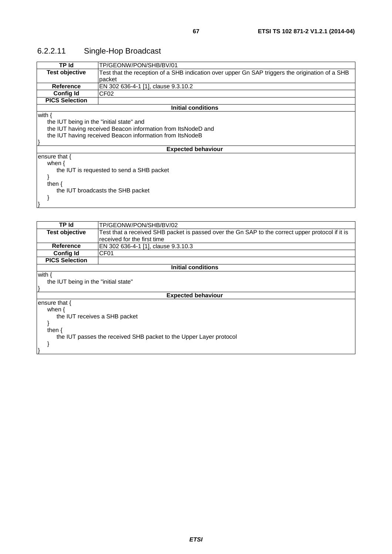# 6.2.2.11 Single-Hop Broadcast

| TP Id                                     | TP/GEONW/PON/SHB/BV/01                                                                          |  |
|-------------------------------------------|-------------------------------------------------------------------------------------------------|--|
| <b>Test objective</b>                     | Test that the reception of a SHB indication over upper Gn SAP triggers the origination of a SHB |  |
|                                           | packet                                                                                          |  |
| <b>Reference</b>                          | EN 302 636-4-1 [1], clause 9.3.10.2                                                             |  |
| <b>Config Id</b>                          | CF <sub>02</sub>                                                                                |  |
| <b>PICS Selection</b>                     |                                                                                                 |  |
|                                           | <b>Initial conditions</b>                                                                       |  |
| with $\{$                                 |                                                                                                 |  |
| the IUT being in the "initial state" and  |                                                                                                 |  |
|                                           | the IUT having received Beacon information from ItsNodeD and                                    |  |
|                                           | the IUT having received Beacon information from ItsNodeB                                        |  |
|                                           |                                                                                                 |  |
| <b>Expected behaviour</b>                 |                                                                                                 |  |
| ensure that $\{$                          |                                                                                                 |  |
| when $\{$                                 |                                                                                                 |  |
| the IUT is requested to send a SHB packet |                                                                                                 |  |
|                                           |                                                                                                 |  |
| then $\{$                                 |                                                                                                 |  |
| the IUT broadcasts the SHB packet         |                                                                                                 |  |
|                                           |                                                                                                 |  |
|                                           |                                                                                                 |  |
|                                           |                                                                                                 |  |
|                                           |                                                                                                 |  |

| TP Id                                                              | TP/GEONW/PON/SHB/BV/02                                                                           |  |
|--------------------------------------------------------------------|--------------------------------------------------------------------------------------------------|--|
| <b>Test objective</b>                                              | Test that a received SHB packet is passed over the Gn SAP to the correct upper protocol if it is |  |
|                                                                    | received for the first time                                                                      |  |
| <b>Reference</b>                                                   | EN 302 636-4-1 [1], clause 9.3.10.3                                                              |  |
| <b>Config Id</b>                                                   | CF <sub>01</sub>                                                                                 |  |
| <b>PICS Selection</b>                                              |                                                                                                  |  |
|                                                                    | Initial conditions                                                                               |  |
| with {                                                             |                                                                                                  |  |
| the IUT being in the "initial state"                               |                                                                                                  |  |
|                                                                    |                                                                                                  |  |
|                                                                    | <b>Expected behaviour</b>                                                                        |  |
| ensure that {                                                      |                                                                                                  |  |
| when $\{$                                                          |                                                                                                  |  |
| the IUT receives a SHB packet                                      |                                                                                                  |  |
|                                                                    |                                                                                                  |  |
| then $\{$                                                          |                                                                                                  |  |
| the IUT passes the received SHB packet to the Upper Layer protocol |                                                                                                  |  |
|                                                                    |                                                                                                  |  |
|                                                                    |                                                                                                  |  |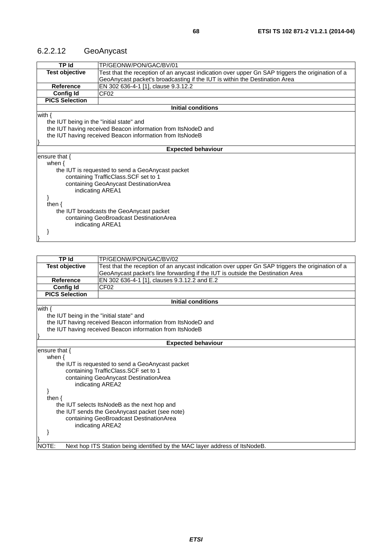## 6.2.2.12 GeoAnycast

| <b>TP Id</b>                             | TP/GEONW/PON/GAC/BV/01                                                                           |  |
|------------------------------------------|--------------------------------------------------------------------------------------------------|--|
| <b>Test objective</b>                    | Test that the reception of an anycast indication over upper Gn SAP triggers the origination of a |  |
|                                          | GeoAnycast packet's broadcasting if the IUT is within the Destination Area                       |  |
| <b>Reference</b>                         | EN 302 636-4-1 [1], clause 9.3.12.2                                                              |  |
| <b>Config Id</b>                         | CF02                                                                                             |  |
| <b>PICS Selection</b>                    |                                                                                                  |  |
|                                          | <b>Initial conditions</b>                                                                        |  |
| with $\{$                                |                                                                                                  |  |
| the IUT being in the "initial state" and |                                                                                                  |  |
|                                          | the IUT having received Beacon information from ItsNodeD and                                     |  |
|                                          | the IUT having received Beacon information from ItsNodeB                                         |  |
|                                          |                                                                                                  |  |
|                                          | <b>Expected behaviour</b>                                                                        |  |
| ensure that $\{$                         |                                                                                                  |  |
| when $\{$                                |                                                                                                  |  |
|                                          | the IUT is requested to send a GeoAnycast packet                                                 |  |
|                                          | containing TrafficClass. SCF set to 1                                                            |  |
| containing GeoAnycast DestinationArea    |                                                                                                  |  |
| indicating AREA1                         |                                                                                                  |  |
|                                          |                                                                                                  |  |
| then $\{$                                |                                                                                                  |  |
|                                          | the IUT broadcasts the GeoAnycast packet                                                         |  |
| containing GeoBroadcast DestinationArea  |                                                                                                  |  |
| indicating AREA1                         |                                                                                                  |  |
|                                          |                                                                                                  |  |
|                                          |                                                                                                  |  |

| TP Id                                    | TP/GEONW/PON/GAC/BV/02                                                                           |  |
|------------------------------------------|--------------------------------------------------------------------------------------------------|--|
| <b>Test objective</b>                    | Test that the reception of an anycast indication over upper Gn SAP triggers the origination of a |  |
|                                          | GeoAnycast packet's line forwarding if the IUT is outside the Destination Area                   |  |
| <b>Reference</b>                         | EN 302 636-4-1 [1], clauses 9.3.12.2 and E.2                                                     |  |
| <b>Config Id</b>                         | CF <sub>02</sub>                                                                                 |  |
| <b>PICS Selection</b>                    |                                                                                                  |  |
|                                          | <b>Initial conditions</b>                                                                        |  |
| with $\{$                                |                                                                                                  |  |
| the IUT being in the "initial state" and |                                                                                                  |  |
|                                          | the IUT having received Beacon information from ItsNodeD and                                     |  |
|                                          | the IUT having received Beacon information from ItsNodeB                                         |  |
|                                          |                                                                                                  |  |
|                                          | <b>Expected behaviour</b>                                                                        |  |
| ensure that {                            |                                                                                                  |  |
| when $\{$                                |                                                                                                  |  |
|                                          | the IUT is requested to send a GeoAnycast packet                                                 |  |
|                                          | containing TrafficClass. SCF set to 1                                                            |  |
|                                          | containing GeoAnycast DestinationArea                                                            |  |
|                                          | indicating AREA2                                                                                 |  |
|                                          |                                                                                                  |  |
| then $\{$                                |                                                                                                  |  |
|                                          | the IUT selects ItsNodeB as the next hop and                                                     |  |
|                                          | the IUT sends the GeoAnycast packet (see note)                                                   |  |
|                                          | containing GeoBroadcast DestinationArea                                                          |  |
|                                          | indicating AREA2                                                                                 |  |
|                                          |                                                                                                  |  |
|                                          |                                                                                                  |  |
| NOTE:                                    | Next hop ITS Station being identified by the MAC layer address of ItsNodeB.                      |  |
|                                          |                                                                                                  |  |
|                                          |                                                                                                  |  |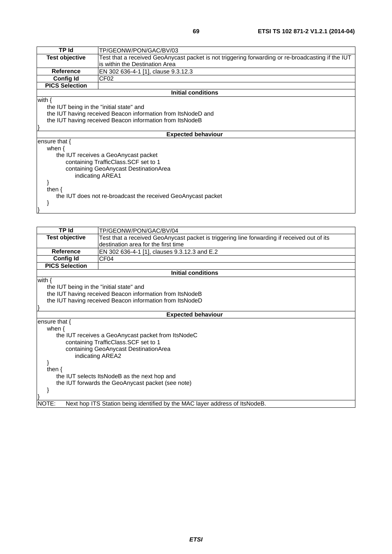| <b>TP Id</b>                                                 | TP/GEONW/PON/GAC/BV/03                                                                            |  |
|--------------------------------------------------------------|---------------------------------------------------------------------------------------------------|--|
| <b>Test objective</b>                                        | Test that a received GeoAnycast packet is not triggering forwarding or re-broadcasting if the IUT |  |
|                                                              | is within the Destination Area                                                                    |  |
| Reference                                                    | EN 302 636-4-1 [1], clause 9.3.12.3                                                               |  |
| <b>Config Id</b>                                             | CF <sub>02</sub>                                                                                  |  |
| <b>PICS Selection</b>                                        |                                                                                                   |  |
|                                                              | <b>Initial conditions</b>                                                                         |  |
| with $\{$                                                    |                                                                                                   |  |
| the IUT being in the "initial state" and                     |                                                                                                   |  |
|                                                              | the IUT having received Beacon information from ItsNodeD and                                      |  |
|                                                              | the IUT having received Beacon information from ItsNodeB                                          |  |
|                                                              |                                                                                                   |  |
| <b>Expected behaviour</b>                                    |                                                                                                   |  |
| ensure that {                                                |                                                                                                   |  |
| when $\{$                                                    |                                                                                                   |  |
|                                                              | the IUT receives a GeoAnycast packet                                                              |  |
|                                                              | containing TrafficClass. SCF set to 1                                                             |  |
| containing GeoAnycast DestinationArea                        |                                                                                                   |  |
|                                                              | indicating AREA1                                                                                  |  |
|                                                              |                                                                                                   |  |
| then $\{$                                                    |                                                                                                   |  |
| the IUT does not re-broadcast the received GeoAnycast packet |                                                                                                   |  |
|                                                              |                                                                                                   |  |
|                                                              |                                                                                                   |  |

| TP Id                                        | TP/GEONW/PON/GAC/BV/04                                                                      |  |
|----------------------------------------------|---------------------------------------------------------------------------------------------|--|
| <b>Test objective</b>                        | Test that a received GeoAnycast packet is triggering line forwarding if received out of its |  |
|                                              | destination area for the first time                                                         |  |
| <b>Reference</b>                             | EN 302 636-4-1 [1], clauses 9.3.12.3 and E.2                                                |  |
| <b>Config Id</b>                             | CF04                                                                                        |  |
| <b>PICS Selection</b>                        |                                                                                             |  |
|                                              | <b>Initial conditions</b>                                                                   |  |
| with $\{$                                    |                                                                                             |  |
| the IUT being in the "initial state" and     |                                                                                             |  |
|                                              | the IUT having received Beacon information from ItsNodeB                                    |  |
|                                              | the IUT having received Beacon information from ItsNodeD                                    |  |
|                                              |                                                                                             |  |
|                                              | <b>Expected behaviour</b>                                                                   |  |
| ensure that $\{$                             |                                                                                             |  |
| when $\{$                                    |                                                                                             |  |
|                                              | the IUT receives a GeoAnycast packet from ItsNodeC                                          |  |
|                                              | containing TrafficClass.SCF set to 1                                                        |  |
|                                              | containing GeoAnycast DestinationArea                                                       |  |
|                                              | indicating AREA2                                                                            |  |
|                                              |                                                                                             |  |
| then $\{$                                    |                                                                                             |  |
| the IUT selects ItsNodeB as the next hop and |                                                                                             |  |
|                                              | the IUT forwards the GeoAnycast packet (see note)                                           |  |
|                                              |                                                                                             |  |
|                                              |                                                                                             |  |
| NOTE:                                        | Next hop ITS Station being identified by the MAC layer address of ItsNodeB.                 |  |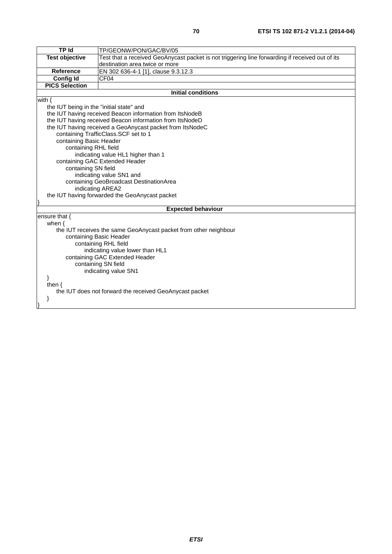| TP Id                                                            | TP/GEONW/PON/GAC/BV/05                                                                          |
|------------------------------------------------------------------|-------------------------------------------------------------------------------------------------|
| <b>Test objective</b>                                            | Test that a received GeoAnycast packet is not triggering line forwarding if received out of its |
|                                                                  | destination area twice or more                                                                  |
| <b>Reference</b>                                                 | EN 302 636-4-1 [1], clause 9.3.12.3                                                             |
| <b>Config Id</b>                                                 | CF04                                                                                            |
| <b>PICS Selection</b>                                            |                                                                                                 |
|                                                                  | <b>Initial conditions</b>                                                                       |
| with $\{$                                                        |                                                                                                 |
| the IUT being in the "initial state" and                         |                                                                                                 |
|                                                                  | the IUT having received Beacon information from ItsNodeB                                        |
|                                                                  | the IUT having received Beacon information from ItsNodeD                                        |
|                                                                  | the IUT having received a GeoAnycast packet from ItsNodeC                                       |
|                                                                  | containing TrafficClass.SCF set to 1                                                            |
| containing Basic Header                                          |                                                                                                 |
| containing RHL field                                             |                                                                                                 |
|                                                                  | indicating value HL1 higher than 1                                                              |
| containing GAC Extended Header                                   |                                                                                                 |
| containing SN field                                              |                                                                                                 |
| indicating value SN1 and                                         |                                                                                                 |
| containing GeoBroadcast DestinationArea                          |                                                                                                 |
| indicating AREA2                                                 |                                                                                                 |
| the IUT having forwarded the GeoAnycast packet                   |                                                                                                 |
|                                                                  |                                                                                                 |
|                                                                  | <b>Expected behaviour</b>                                                                       |
| ensure that {                                                    |                                                                                                 |
| when $\{$                                                        |                                                                                                 |
| the IUT receives the same GeoAnycast packet from other neighbour |                                                                                                 |
| containing Basic Header                                          |                                                                                                 |
| containing RHL field                                             |                                                                                                 |
| indicating value lower than HL1                                  |                                                                                                 |
| containing GAC Extended Header                                   |                                                                                                 |
| containing SN field                                              |                                                                                                 |
| indicating value SN1                                             |                                                                                                 |
|                                                                  |                                                                                                 |
| then $\{$                                                        |                                                                                                 |
| the IUT does not forward the received GeoAnycast packet          |                                                                                                 |
| }                                                                |                                                                                                 |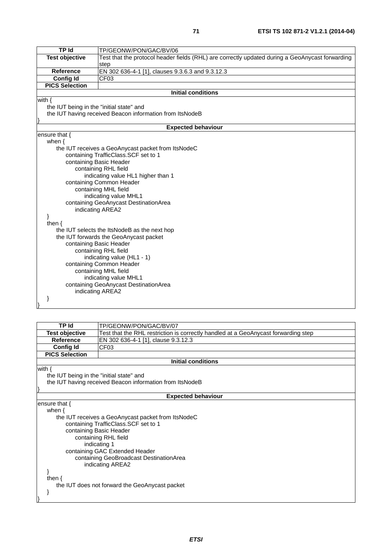| <b>TP Id</b>                                     | TP/GEONW/PON/GAC/BV/06                                                                          |  |
|--------------------------------------------------|-------------------------------------------------------------------------------------------------|--|
| <b>Test objective</b>                            | Test that the protocol header fields (RHL) are correctly updated during a GeoAnycast forwarding |  |
| <b>Reference</b>                                 | step<br>EN 302 636-4-1 [1], clauses 9.3.6.3 and 9.3.12.3                                        |  |
|                                                  |                                                                                                 |  |
| <b>Config Id</b><br><b>PICS Selection</b>        | CF <sub>03</sub>                                                                                |  |
|                                                  |                                                                                                 |  |
|                                                  | <b>Initial conditions</b>                                                                       |  |
| with $\{$                                        |                                                                                                 |  |
| the IUT being in the "initial state" and         |                                                                                                 |  |
|                                                  | the IUT having received Beacon information from ItsNodeB                                        |  |
|                                                  | <b>Expected behaviour</b>                                                                       |  |
| ensure that $\{$                                 |                                                                                                 |  |
| when $\{$                                        |                                                                                                 |  |
|                                                  | the IUT receives a GeoAnycast packet from ItsNodeC                                              |  |
|                                                  | containing TrafficClass.SCF set to 1                                                            |  |
|                                                  | containing Basic Header                                                                         |  |
|                                                  | containing RHL field                                                                            |  |
|                                                  | indicating value HL1 higher than 1                                                              |  |
|                                                  |                                                                                                 |  |
| containing Common Header<br>containing MHL field |                                                                                                 |  |
|                                                  | indicating value MHL1                                                                           |  |
|                                                  | containing GeoAnycast DestinationArea                                                           |  |
|                                                  | indicating AREA2                                                                                |  |
| }                                                |                                                                                                 |  |
| then $\{$                                        |                                                                                                 |  |
|                                                  | the IUT selects the ItsNodeB as the next hop                                                    |  |
|                                                  | the IUT forwards the GeoAnycast packet                                                          |  |
|                                                  | containing Basic Header                                                                         |  |
| containing RHL field                             |                                                                                                 |  |
| indicating value (HL1 - 1)                       |                                                                                                 |  |
| containing Common Header                         |                                                                                                 |  |
|                                                  | containing MHL field                                                                            |  |
|                                                  | indicating value MHL1                                                                           |  |
|                                                  | containing GeoAnycast DestinationArea                                                           |  |
|                                                  | indicating AREA2                                                                                |  |
|                                                  |                                                                                                 |  |
|                                                  |                                                                                                 |  |

| <b>TP Id</b>                             | TP/GEONW/PON/GAC/BV/07                                                             |  |
|------------------------------------------|------------------------------------------------------------------------------------|--|
| <b>Test objective</b>                    | Test that the RHL restriction is correctly handled at a GeoAnycast forwarding step |  |
| <b>Reference</b>                         | EN 302 636-4-1 [1], clause 9.3.12.3                                                |  |
| <b>Config Id</b>                         | CF <sub>03</sub>                                                                   |  |
| <b>PICS Selection</b>                    |                                                                                    |  |
|                                          | <b>Initial conditions</b>                                                          |  |
| with $\{$                                |                                                                                    |  |
| the IUT being in the "initial state" and |                                                                                    |  |
|                                          | the IUT having received Beacon information from ItsNodeB                           |  |
|                                          |                                                                                    |  |
|                                          | <b>Expected behaviour</b>                                                          |  |
| ensure that {                            |                                                                                    |  |
| when $\{$                                |                                                                                    |  |
|                                          | the IUT receives a GeoAnycast packet from ItsNodeC                                 |  |
|                                          | containing TrafficClass.SCF set to 1                                               |  |
| containing Basic Header                  |                                                                                    |  |
|                                          | containing RHL field                                                               |  |
|                                          | indicating 1                                                                       |  |
|                                          | containing GAC Extended Header                                                     |  |
| containing GeoBroadcast DestinationArea  |                                                                                    |  |
|                                          | indicating AREA2                                                                   |  |
|                                          |                                                                                    |  |
| then $\{$                                |                                                                                    |  |
|                                          | the IUT does not forward the GeoAnycast packet                                     |  |
|                                          |                                                                                    |  |
|                                          |                                                                                    |  |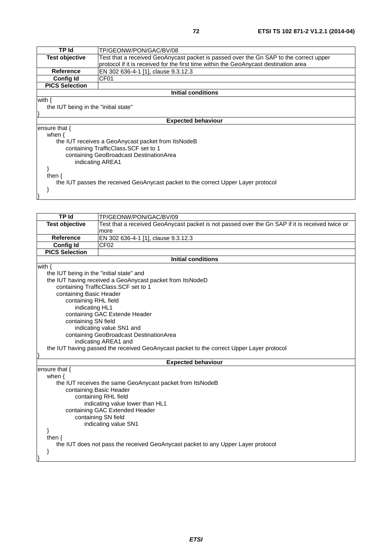| TP Id                                                                             | TP/GEONW/PON/GAC/BV/08                                                                |  |
|-----------------------------------------------------------------------------------|---------------------------------------------------------------------------------------|--|
| <b>Test objective</b>                                                             | Test that a received GeoAnycast packet is passed over the Gn SAP to the correct upper |  |
|                                                                                   | protocol if it is received for the first time within the GeoAnycast destination area  |  |
| <b>Reference</b>                                                                  | EN 302 636-4-1 [1], clause 9.3.12.3                                                   |  |
| <b>Config Id</b>                                                                  | CF <sub>01</sub>                                                                      |  |
| <b>PICS Selection</b>                                                             |                                                                                       |  |
| Initial conditions                                                                |                                                                                       |  |
| with $\{$                                                                         |                                                                                       |  |
| the IUT being in the "initial state"                                              |                                                                                       |  |
|                                                                                   |                                                                                       |  |
| <b>Expected behaviour</b>                                                         |                                                                                       |  |
| ensure that {                                                                     |                                                                                       |  |
| when $\{$                                                                         |                                                                                       |  |
| the IUT receives a GeoAnycast packet from ItsNodeB                                |                                                                                       |  |
| containing TrafficClass.SCF set to 1                                              |                                                                                       |  |
| containing GeoBroadcast DestinationArea                                           |                                                                                       |  |
| indicating AREA1                                                                  |                                                                                       |  |
|                                                                                   |                                                                                       |  |
| then $\langle$                                                                    |                                                                                       |  |
| the IUT passes the received GeoAnycast packet to the correct Upper Layer protocol |                                                                                       |  |

}

| <b>TP Id</b>                                                                             | TP/GEONW/PON/GAC/BV/09                                                                          |  |
|------------------------------------------------------------------------------------------|-------------------------------------------------------------------------------------------------|--|
| <b>Test objective</b>                                                                    | Test that a received GeoAnycast packet is not passed over the Gn SAP if it is received twice or |  |
|                                                                                          | more                                                                                            |  |
| <b>Reference</b>                                                                         | EN 302 636-4-1 [1], clause 9.3.12.3                                                             |  |
| Config Id                                                                                | CF <sub>02</sub>                                                                                |  |
| <b>PICS Selection</b>                                                                    |                                                                                                 |  |
| <b>Initial conditions</b>                                                                |                                                                                                 |  |
| with $\{$                                                                                |                                                                                                 |  |
| the IUT being in the "initial state" and                                                 |                                                                                                 |  |
| the IUT having received a GeoAnycast packet from ItsNodeD                                |                                                                                                 |  |
| containing TrafficClass.SCF set to 1                                                     |                                                                                                 |  |
| containing Basic Header                                                                  |                                                                                                 |  |
| containing RHL field                                                                     |                                                                                                 |  |
| indicating HL1                                                                           |                                                                                                 |  |
| containing GAC Extende Header<br>containing SN field                                     |                                                                                                 |  |
| indicating value SN1 and                                                                 |                                                                                                 |  |
| containing GeoBroadcast DestinationArea                                                  |                                                                                                 |  |
| indicating AREA1 and                                                                     |                                                                                                 |  |
| the IUT having passed the received GeoAnycast packet to the correct Upper Layer protocol |                                                                                                 |  |
|                                                                                          |                                                                                                 |  |
| <b>Expected behaviour</b>                                                                |                                                                                                 |  |
| ensure that {                                                                            |                                                                                                 |  |
| when $\{$                                                                                |                                                                                                 |  |
| the IUT receives the same GeoAnycast packet from ItsNodeB                                |                                                                                                 |  |
| containing Basic Header                                                                  |                                                                                                 |  |
| containing RHL field                                                                     |                                                                                                 |  |
| indicating value lower than HL1                                                          |                                                                                                 |  |
| containing GAC Extended Header                                                           |                                                                                                 |  |
|                                                                                          | containing SN field                                                                             |  |
|                                                                                          | indicating value SN1                                                                            |  |
|                                                                                          |                                                                                                 |  |
| then $\{$                                                                                |                                                                                                 |  |
| the IUT does not pass the received GeoAnycast packet to any Upper Layer protocol         |                                                                                                 |  |
|                                                                                          |                                                                                                 |  |
|                                                                                          |                                                                                                 |  |
|                                                                                          |                                                                                                 |  |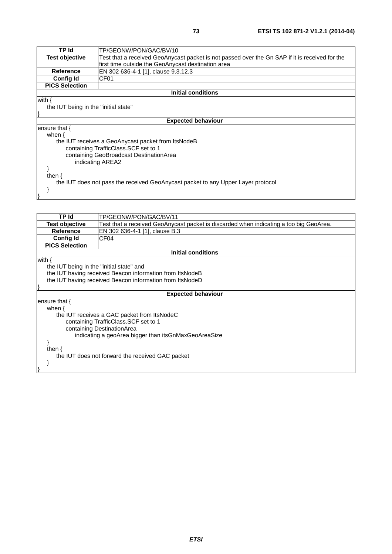| TP Id                                   | TP/GEONW/PON/GAC/BV/10                                                                         |  |
|-----------------------------------------|------------------------------------------------------------------------------------------------|--|
| <b>Test objective</b>                   | Test that a received GeoAnycast packet is not passed over the Gn SAP if it is received for the |  |
|                                         | first time outside the GeoAnycast destination area                                             |  |
| <b>Reference</b>                        | EN 302 636-4-1 [1], clause 9.3.12.3                                                            |  |
| <b>Config Id</b>                        | CF <sub>01</sub>                                                                               |  |
| <b>PICS Selection</b>                   |                                                                                                |  |
|                                         | <b>Initial conditions</b>                                                                      |  |
| with $\{$                               |                                                                                                |  |
| the IUT being in the "initial state"    |                                                                                                |  |
|                                         |                                                                                                |  |
| <b>Expected behaviour</b>               |                                                                                                |  |
| ensure that $\{$                        |                                                                                                |  |
| when $\{$                               |                                                                                                |  |
|                                         | the IUT receives a GeoAnycast packet from ItsNodeB                                             |  |
|                                         | containing TrafficClass. SCF set to 1                                                          |  |
| containing GeoBroadcast DestinationArea |                                                                                                |  |
| indicating AREA2                        |                                                                                                |  |
|                                         |                                                                                                |  |
| then ∤                                  |                                                                                                |  |
|                                         | the IUT does not pass the received GeoAnycast packet to any Upper Layer protocol               |  |

}

}

| TP Id<br>TP/GEONW/PON/GAC/BV/11                                                                                 |  |
|-----------------------------------------------------------------------------------------------------------------|--|
| <b>Test objective</b><br>Test that a received GeoAnycast packet is discarded when indicating a too big GeoArea. |  |
| <b>Reference</b><br>EN 302 636-4-1 [1], clause B.3                                                              |  |
| <b>Config Id</b><br>CF <sub>04</sub>                                                                            |  |
| <b>PICS Selection</b>                                                                                           |  |
| <b>Initial conditions</b>                                                                                       |  |
| with {                                                                                                          |  |
| the IUT being in the "initial state" and                                                                        |  |
| the IUT having received Beacon information from ItsNodeB                                                        |  |
| the IUT having received Beacon information from ItsNodeD                                                        |  |
|                                                                                                                 |  |
| <b>Expected behaviour</b>                                                                                       |  |
| ensure that {                                                                                                   |  |
| when $\{$                                                                                                       |  |
| the IUT receives a GAC packet from ItsNodeC                                                                     |  |
| containing TrafficClass. SCF set to 1                                                                           |  |
| containing DestinationArea                                                                                      |  |
| indicating a geoArea bigger than itsGnMaxGeoAreaSize                                                            |  |
|                                                                                                                 |  |
| then $\{$                                                                                                       |  |
| the IUT does not forward the received GAC packet                                                                |  |
|                                                                                                                 |  |
|                                                                                                                 |  |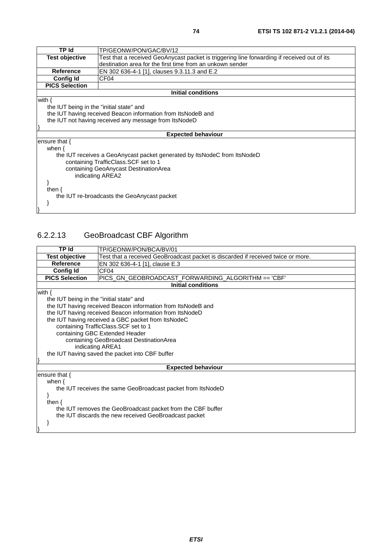| TP Id                                       | TP/GEONW/PON/GAC/BV/12                                                                      |  |  |
|---------------------------------------------|---------------------------------------------------------------------------------------------|--|--|
| <b>Test objective</b>                       | Test that a received GeoAnycast packet is triggering line forwarding if received out of its |  |  |
|                                             | destination area for the first time from an unkown sender                                   |  |  |
| Reference                                   | EN 302 636-4-1 [1], clauses 9.3.11.3 and E.2                                                |  |  |
| Config Id                                   | CF <sub>04</sub>                                                                            |  |  |
| <b>PICS Selection</b>                       |                                                                                             |  |  |
|                                             | <b>Initial conditions</b>                                                                   |  |  |
| with $\{$                                   |                                                                                             |  |  |
| the IUT being in the "initial state" and    |                                                                                             |  |  |
|                                             | the IUT having received Beacon information from ItsNodeB and                                |  |  |
|                                             | the IUT not having received any message from ItsNodeD                                       |  |  |
|                                             |                                                                                             |  |  |
|                                             | <b>Expected behaviour</b>                                                                   |  |  |
| ensure that {                               |                                                                                             |  |  |
| when $\{$                                   |                                                                                             |  |  |
|                                             | the IUT receives a GeoAnycast packet generated by ItsNodeC from ItsNodeD                    |  |  |
|                                             | containing TrafficClass. SCF set to 1                                                       |  |  |
| containing GeoAnycast DestinationArea       |                                                                                             |  |  |
|                                             | indicating AREA2                                                                            |  |  |
|                                             |                                                                                             |  |  |
| then $\{$                                   |                                                                                             |  |  |
| the IUT re-broadcasts the GeoAnycast packet |                                                                                             |  |  |
|                                             |                                                                                             |  |  |
|                                             |                                                                                             |  |  |

## 6.2.2.13 GeoBroadcast CBF Algorithm

| <b>TP Id</b>                                                | TP/GEONW/PON/BCA/BV/01                                                           |  |  |
|-------------------------------------------------------------|----------------------------------------------------------------------------------|--|--|
| <b>Test objective</b>                                       | Test that a received GeoBroadcast packet is discarded if received twice or more. |  |  |
| <b>Reference</b>                                            | EN 302 636-4-1 [1], clause E.3                                                   |  |  |
| Config Id                                                   | CF04                                                                             |  |  |
| <b>PICS Selection</b>                                       | PICS_GN_GEOBROADCAST_FORWARDING_ALGORITHM == 'CBF'                               |  |  |
|                                                             | <b>Initial conditions</b>                                                        |  |  |
| with $\{$                                                   |                                                                                  |  |  |
| the IUT being in the "initial state" and                    |                                                                                  |  |  |
|                                                             | the IUT having received Beacon information from ItsNodeB and                     |  |  |
|                                                             | the IUT having received Beacon information from ItsNodeD                         |  |  |
|                                                             | the IUT having received a GBC packet from ItsNodeC                               |  |  |
|                                                             | containing TrafficClass. SCF set to 1                                            |  |  |
|                                                             | containing GBC Extended Header                                                   |  |  |
|                                                             | containing GeoBroadcast DestinationArea                                          |  |  |
| indicating AREA1                                            |                                                                                  |  |  |
| the IUT having saved the packet into CBF buffer             |                                                                                  |  |  |
|                                                             |                                                                                  |  |  |
| <b>Expected behaviour</b>                                   |                                                                                  |  |  |
| ensure that $\{$                                            |                                                                                  |  |  |
| when $\{$                                                   |                                                                                  |  |  |
|                                                             | the IUT receives the same GeoBroadcast packet from ItsNodeD                      |  |  |
|                                                             |                                                                                  |  |  |
| then $\{$                                                   |                                                                                  |  |  |
| the IUT removes the GeoBroadcast packet from the CBF buffer |                                                                                  |  |  |
| the IUT discards the new received GeoBroadcast packet       |                                                                                  |  |  |
|                                                             |                                                                                  |  |  |
|                                                             |                                                                                  |  |  |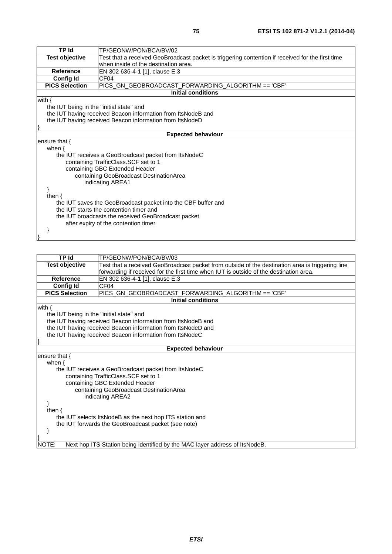| TP Id                                                         | TP/GEONW/PON/BCA/BV/02                                                                           |  |  |
|---------------------------------------------------------------|--------------------------------------------------------------------------------------------------|--|--|
| <b>Test objective</b>                                         | Test that a received GeoBroadcast packet is triggering contention if received for the first time |  |  |
|                                                               | when inside of the destination area.                                                             |  |  |
| <b>Reference</b>                                              | EN 302 636-4-1 [1], clause E.3                                                                   |  |  |
| <b>Config Id</b>                                              | CF <sub>04</sub>                                                                                 |  |  |
| <b>PICS Selection</b>                                         | PICS_GN_GEOBROADCAST_FORWARDING_ALGORITHM == 'CBF'                                               |  |  |
|                                                               | <b>Initial conditions</b>                                                                        |  |  |
| with $\{$                                                     |                                                                                                  |  |  |
| the IUT being in the "initial state" and                      |                                                                                                  |  |  |
|                                                               | the IUT having received Beacon information from ItsNodeB and                                     |  |  |
|                                                               | the IUT having received Beacon information from ItsNodeD                                         |  |  |
|                                                               |                                                                                                  |  |  |
|                                                               | <b>Expected behaviour</b>                                                                        |  |  |
| ensure that $\{$                                              |                                                                                                  |  |  |
| when $\{$                                                     |                                                                                                  |  |  |
|                                                               | the IUT receives a GeoBroadcast packet from ItsNodeC                                             |  |  |
|                                                               | containing TrafficClass.SCF set to 1                                                             |  |  |
|                                                               | containing GBC Extended Header                                                                   |  |  |
| containing GeoBroadcast DestinationArea                       |                                                                                                  |  |  |
|                                                               | indicating AREA1                                                                                 |  |  |
|                                                               |                                                                                                  |  |  |
| then $\{$                                                     |                                                                                                  |  |  |
| the IUT saves the GeoBroadcast packet into the CBF buffer and |                                                                                                  |  |  |
| the IUT starts the contention timer and                       |                                                                                                  |  |  |
| the IUT broadcasts the received GeoBroadcast packet           |                                                                                                  |  |  |
|                                                               | after expiry of the contention timer                                                             |  |  |
|                                                               |                                                                                                  |  |  |
|                                                               |                                                                                                  |  |  |
|                                                               |                                                                                                  |  |  |

| <b>TP Id</b>                                             | TP/GEONW/PON/BCA/BV/03                                                                           |  |
|----------------------------------------------------------|--------------------------------------------------------------------------------------------------|--|
| Test objective                                           | Test that a received GeoBroadcast packet from outside of the destination area is triggering line |  |
|                                                          | forwarding if received for the first time when IUT is outside of the destination area.           |  |
| <b>Reference</b>                                         | EN 302 636-4-1 [1], clause E.3                                                                   |  |
| <b>Config Id</b>                                         | CF <sub>04</sub>                                                                                 |  |
| <b>PICS Selection</b>                                    | PICS_GN_GEOBROADCAST_FORWARDING_ALGORITHM == 'CBF'                                               |  |
|                                                          | <b>Initial conditions</b>                                                                        |  |
| with $\{$                                                |                                                                                                  |  |
| the IUT being in the "initial state" and                 |                                                                                                  |  |
|                                                          | the IUT having received Beacon information from ItsNodeB and                                     |  |
|                                                          | the IUT having received Beacon information from ItsNodeD and                                     |  |
|                                                          | the IUT having received Beacon information from ItsNodeC                                         |  |
|                                                          |                                                                                                  |  |
|                                                          | <b>Expected behaviour</b>                                                                        |  |
| ensure that $\{$                                         |                                                                                                  |  |
| when $\{$                                                |                                                                                                  |  |
|                                                          | the IUT receives a GeoBroadcast packet from ItsNodeC                                             |  |
|                                                          | containing TrafficClass.SCF set to 1                                                             |  |
|                                                          | containing GBC Extended Header                                                                   |  |
|                                                          | containing GeoBroadcast DestinationArea                                                          |  |
|                                                          | indicating AREA2                                                                                 |  |
|                                                          |                                                                                                  |  |
| then $\{$                                                |                                                                                                  |  |
| the IUT selects ItsNodeB as the next hop ITS station and |                                                                                                  |  |
|                                                          | the IUT forwards the GeoBroadcast packet (see note)                                              |  |
|                                                          |                                                                                                  |  |
|                                                          |                                                                                                  |  |
| NOTE:                                                    | Next hop ITS Station being identified by the MAC layer address of ItsNodeB.                      |  |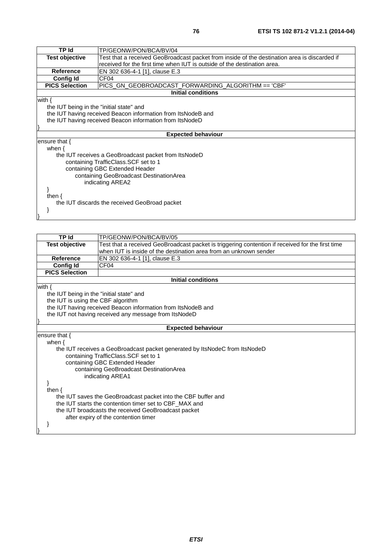| <b>TP Id</b>                             | TP/GEONW/PON/BCA/BV/04                                                                           |  |
|------------------------------------------|--------------------------------------------------------------------------------------------------|--|
| <b>Test objective</b>                    | Test that a received GeoBroadcast packet from inside of the destination area is discarded if     |  |
|                                          | received for the first time when IUT is outside of the destination area.                         |  |
| <b>Reference</b>                         | EN 302 636-4-1 [1], clause E.3                                                                   |  |
| <b>Config Id</b>                         | CF <sub>04</sub>                                                                                 |  |
| <b>PICS Selection</b>                    | PICS_GN_GEOBROADCAST_FORWARDING_ALGORITHM == 'CBF'                                               |  |
|                                          | <b>Initial conditions</b>                                                                        |  |
| with $\{$                                |                                                                                                  |  |
| the IUT being in the "initial state" and |                                                                                                  |  |
|                                          | the IUT having received Beacon information from ItsNodeB and                                     |  |
|                                          | the IUT having received Beacon information from ItsNodeD                                         |  |
|                                          |                                                                                                  |  |
|                                          | <b>Expected behaviour</b>                                                                        |  |
| ensure that $\{$                         |                                                                                                  |  |
| when $\{$                                |                                                                                                  |  |
|                                          | the IUT receives a GeoBroadcast packet from ItsNodeD                                             |  |
|                                          | containing TrafficClass.SCF set to 1                                                             |  |
|                                          | containing GBC Extended Header                                                                   |  |
|                                          | containing GeoBroadcast DestinationArea                                                          |  |
|                                          | indicating AREA2                                                                                 |  |
|                                          |                                                                                                  |  |
| then $\{$                                |                                                                                                  |  |
|                                          | the IUT discards the received GeoBroad packet                                                    |  |
|                                          |                                                                                                  |  |
|                                          |                                                                                                  |  |
|                                          |                                                                                                  |  |
|                                          |                                                                                                  |  |
| <b>TP Id</b>                             | TP/GEONW/PON/BCA/BV/05                                                                           |  |
| <b>Test objective</b>                    | Test that a received GeoBroadcast packet is triggering contention if received for the first time |  |

| <b>Test objective</b>                                         | Test that a received GeoBroadcast packet is triggering contention if received for the first time |  |  |
|---------------------------------------------------------------|--------------------------------------------------------------------------------------------------|--|--|
|                                                               | when IUT is inside of the destination area from an unknown sender                                |  |  |
| <b>Reference</b>                                              | EN 302 636-4-1 [1], clause E.3                                                                   |  |  |
| <b>Config Id</b>                                              | CF <sub>04</sub>                                                                                 |  |  |
| <b>PICS Selection</b>                                         |                                                                                                  |  |  |
|                                                               | <b>Initial conditions</b>                                                                        |  |  |
| with $\{$                                                     |                                                                                                  |  |  |
| the IUT being in the "initial state" and                      |                                                                                                  |  |  |
| the IUT is using the CBF algorithm                            |                                                                                                  |  |  |
|                                                               | the IUT having received Beacon information from ItsNodeB and                                     |  |  |
|                                                               | the IUT not having received any message from ItsNodeD                                            |  |  |
|                                                               |                                                                                                  |  |  |
|                                                               | <b>Expected behaviour</b>                                                                        |  |  |
| ensure that $\{$                                              |                                                                                                  |  |  |
| when $\{$                                                     |                                                                                                  |  |  |
|                                                               | the IUT receives a GeoBroadcast packet generated by ItsNodeC from ItsNodeD                       |  |  |
|                                                               | containing TrafficClass. SCF set to 1                                                            |  |  |
|                                                               | containing GBC Extended Header                                                                   |  |  |
| containing GeoBroadcast DestinationArea                       |                                                                                                  |  |  |
|                                                               | indicating AREA1                                                                                 |  |  |
|                                                               |                                                                                                  |  |  |
| then $\{$                                                     |                                                                                                  |  |  |
| the IUT saves the GeoBroadcast packet into the CBF buffer and |                                                                                                  |  |  |
| the IUT starts the contention timer set to CBF_MAX and        |                                                                                                  |  |  |
|                                                               | the IUT broadcasts the received GeoBroadcast packet                                              |  |  |
|                                                               | after expiry of the contention timer                                                             |  |  |
|                                                               |                                                                                                  |  |  |
|                                                               |                                                                                                  |  |  |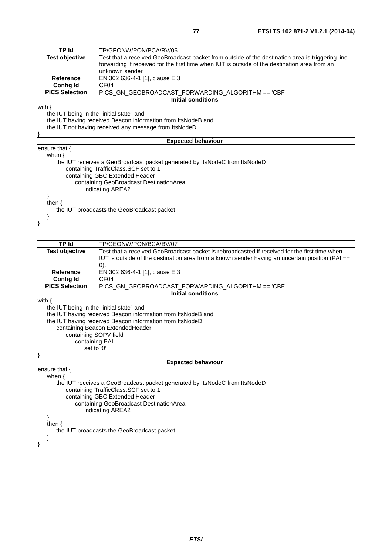| TP Id                                      | TP/GEONW/PON/BCA/BV/06                                                                           |  |
|--------------------------------------------|--------------------------------------------------------------------------------------------------|--|
| <b>Test objective</b>                      | Test that a received GeoBroadcast packet from outside of the destination area is triggering line |  |
|                                            | forwarding if received for the first time when IUT is outside of the destination area from an    |  |
|                                            | unknown sender                                                                                   |  |
| Reference                                  | EN 302 636-4-1 [1], clause E.3                                                                   |  |
| <b>Config Id</b>                           | CF <sub>04</sub>                                                                                 |  |
| <b>PICS Selection</b>                      | PICS_GN_GEOBROADCAST_FORWARDING_ALGORITHM == 'CBF'                                               |  |
|                                            | <b>Initial conditions</b>                                                                        |  |
| with $\{$                                  |                                                                                                  |  |
| the IUT being in the "initial state" and   |                                                                                                  |  |
|                                            | the IUT having received Beacon information from ItsNodeB and                                     |  |
|                                            | the IUT not having received any message from ItsNodeD                                            |  |
|                                            |                                                                                                  |  |
|                                            | <b>Expected behaviour</b>                                                                        |  |
| ensure that {                              |                                                                                                  |  |
| when $\{$                                  |                                                                                                  |  |
|                                            | the IUT receives a GeoBroadcast packet generated by ItsNodeC from ItsNodeD                       |  |
|                                            | containing TrafficClass.SCF set to 1                                                             |  |
| containing GBC Extended Header             |                                                                                                  |  |
| containing GeoBroadcast DestinationArea    |                                                                                                  |  |
| indicating AREA2                           |                                                                                                  |  |
|                                            |                                                                                                  |  |
| then $\{$                                  |                                                                                                  |  |
| the IUT broadcasts the GeoBroadcast packet |                                                                                                  |  |
|                                            |                                                                                                  |  |
|                                            |                                                                                                  |  |

}

| <b>TP Id</b>                               | TP/GEONW/PON/BCA/BV/07                                                                          |  |
|--------------------------------------------|-------------------------------------------------------------------------------------------------|--|
| <b>Test objective</b>                      | Test that a received GeoBroadcast packet is rebroadcasted if received for the first time when   |  |
|                                            | IUT is outside of the destination area from a known sender having an uncertain position (PAI == |  |
|                                            | (0).                                                                                            |  |
| <b>Reference</b>                           | EN 302 636-4-1 [1], clause E.3                                                                  |  |
| <b>Config Id</b>                           | CF <sub>04</sub>                                                                                |  |
| <b>PICS Selection</b>                      | PICS_GN_GEOBROADCAST_FORWARDING_ALGORITHM == 'CBF'                                              |  |
|                                            | <b>Initial conditions</b>                                                                       |  |
| with $\{$                                  |                                                                                                 |  |
| the IUT being in the "initial state" and   |                                                                                                 |  |
|                                            | the IUT having received Beacon information from ItsNodeB and                                    |  |
|                                            | the IUT having received Beacon information from ItsNodeD                                        |  |
|                                            | containing Beacon ExtendedHeader                                                                |  |
|                                            | containing SOPV field                                                                           |  |
| containing PAI                             |                                                                                                 |  |
| set to '0'                                 |                                                                                                 |  |
|                                            | <b>Expected behaviour</b>                                                                       |  |
| ensure that {                              |                                                                                                 |  |
| when $\{$                                  |                                                                                                 |  |
|                                            | the IUT receives a GeoBroadcast packet generated by ItsNodeC from ItsNodeD                      |  |
| containing TrafficClass. SCF set to 1      |                                                                                                 |  |
| containing GBC Extended Header             |                                                                                                 |  |
| containing GeoBroadcast DestinationArea    |                                                                                                 |  |
| indicating AREA2                           |                                                                                                 |  |
|                                            |                                                                                                 |  |
| then $\{$                                  |                                                                                                 |  |
| the IUT broadcasts the GeoBroadcast packet |                                                                                                 |  |
|                                            |                                                                                                 |  |
|                                            |                                                                                                 |  |
|                                            |                                                                                                 |  |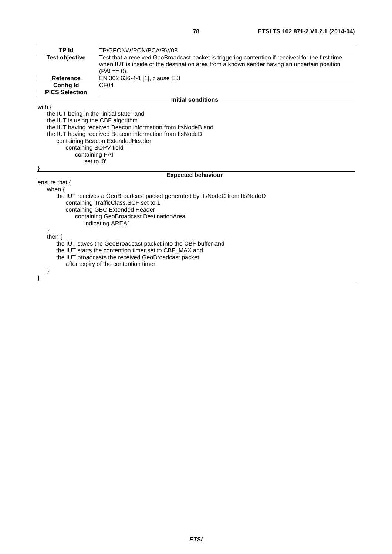| <b>TP Id</b>                                                  | TP/GEONW/PON/BCA/BV/08                                                                           |  |
|---------------------------------------------------------------|--------------------------------------------------------------------------------------------------|--|
| <b>Test objective</b>                                         | Test that a received GeoBroadcast packet is triggering contention if received for the first time |  |
|                                                               | when IUT is inside of the destination area from a known sender having an uncertain position      |  |
|                                                               | $(PAI == 0).$                                                                                    |  |
| <b>Reference</b>                                              | EN 302 636-4-1 [1], clause E.3                                                                   |  |
| <b>Config Id</b>                                              | CF <sub>04</sub>                                                                                 |  |
| <b>PICS Selection</b>                                         |                                                                                                  |  |
|                                                               | <b>Initial conditions</b>                                                                        |  |
| with $\{$                                                     |                                                                                                  |  |
| the IUT being in the "initial state" and                      |                                                                                                  |  |
| the IUT is using the CBF algorithm                            |                                                                                                  |  |
|                                                               | the IUT having received Beacon information from ItsNodeB and                                     |  |
|                                                               | the IUT having received Beacon information from ItsNodeD                                         |  |
|                                                               | containing Beacon ExtendedHeader                                                                 |  |
|                                                               | containing SOPV field                                                                            |  |
| containing PAI<br>set to '0'                                  |                                                                                                  |  |
|                                                               |                                                                                                  |  |
|                                                               | <b>Expected behaviour</b>                                                                        |  |
| ensure that {                                                 |                                                                                                  |  |
| when $\{$                                                     |                                                                                                  |  |
|                                                               | the IUT receives a GeoBroadcast packet generated by ItsNodeC from ItsNodeD                       |  |
| containing TrafficClass.SCF set to 1                          |                                                                                                  |  |
|                                                               | containing GBC Extended Header                                                                   |  |
| containing GeoBroadcast DestinationArea                       |                                                                                                  |  |
| indicating AREA1                                              |                                                                                                  |  |
|                                                               |                                                                                                  |  |
| then $\{$                                                     |                                                                                                  |  |
| the IUT saves the GeoBroadcast packet into the CBF buffer and |                                                                                                  |  |
|                                                               | the IUT starts the contention timer set to CBF_MAX and                                           |  |
| the IUT broadcasts the received GeoBroadcast packet           |                                                                                                  |  |
|                                                               | after expiry of the contention timer                                                             |  |
|                                                               |                                                                                                  |  |
|                                                               |                                                                                                  |  |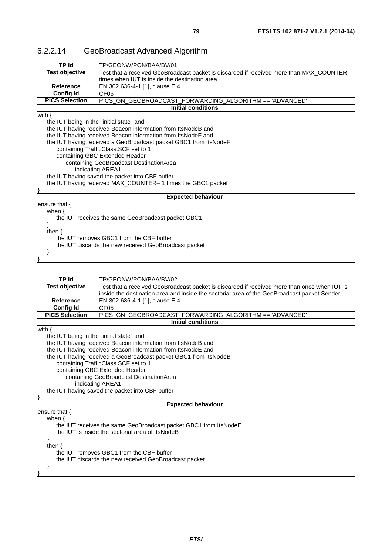| <b>TP Id</b>                                          | TP/GEONW/PON/BAA/BV/01                                                                  |  |
|-------------------------------------------------------|-----------------------------------------------------------------------------------------|--|
| <b>Test objective</b>                                 | Test that a received GeoBroadcast packet is discarded if received more than MAX_COUNTER |  |
|                                                       | times when IUT is inside the destination area.                                          |  |
| <b>Reference</b>                                      | EN 302 636-4-1 [1], clause E.4                                                          |  |
| <b>Config Id</b>                                      | CF <sub>06</sub>                                                                        |  |
| <b>PICS Selection</b>                                 | PICS_GN_GEOBROADCAST_FORWARDING_ALGORITHM == 'ADVANCED'                                 |  |
|                                                       | <b>Initial conditions</b>                                                               |  |
| with $\{$                                             |                                                                                         |  |
| the IUT being in the "initial state" and              |                                                                                         |  |
|                                                       | the IUT having received Beacon information from ItsNodeB and                            |  |
|                                                       | the IUT having received Beacon information from ItsNodeF and                            |  |
|                                                       | the IUT having received a GeoBroadcast packet GBC1 from ItsNodeF                        |  |
|                                                       | containing TrafficClass.SCF set to 1                                                    |  |
|                                                       | containing GBC Extended Header                                                          |  |
| containing GeoBroadcast DestinationArea               |                                                                                         |  |
| indicating AREA1                                      |                                                                                         |  |
| the IUT having saved the packet into CBF buffer       |                                                                                         |  |
|                                                       | the IUT having received MAX_COUNTER-1 times the GBC1 packet                             |  |
|                                                       |                                                                                         |  |
|                                                       | <b>Expected behaviour</b>                                                               |  |
| ensure that $\{$                                      |                                                                                         |  |
| when $\{$                                             |                                                                                         |  |
| the IUT receives the same GeoBroadcast packet GBC1    |                                                                                         |  |
|                                                       |                                                                                         |  |
| then $\{$                                             |                                                                                         |  |
|                                                       | the IUT removes GBC1 from the CBF buffer                                                |  |
| the IUT discards the new received GeoBroadcast packet |                                                                                         |  |
|                                                       |                                                                                         |  |
|                                                       |                                                                                         |  |

#### 6.2.2.14 GeoBroadcast Advanced Algorithm

| <b>TP Id</b>                                                     | TP/GEONW/PON/BAA/BV/02                                                                       |  |  |
|------------------------------------------------------------------|----------------------------------------------------------------------------------------------|--|--|
| <b>Test objective</b>                                            | Test that a received GeoBroadcast packet is discarded if received more than once when IUT is |  |  |
|                                                                  | inside the destination area and inside the sectorial area of the GeoBroadcast packet Sender. |  |  |
| Reference                                                        | EN 302 636-4-1 [1], clause E.4                                                               |  |  |
| <b>Config Id</b>                                                 | CF <sub>05</sub>                                                                             |  |  |
| <b>PICS Selection</b>                                            | PICS_GN_GEOBROADCAST_FORWARDING_ALGORITHM == 'ADVANCED'                                      |  |  |
|                                                                  | Initial conditions                                                                           |  |  |
| with $\{$                                                        |                                                                                              |  |  |
| the IUT being in the "initial state" and                         |                                                                                              |  |  |
|                                                                  | the IUT having received Beacon information from ItsNodeB and                                 |  |  |
|                                                                  | the IUT having received Beacon information from ItsNodeE and                                 |  |  |
|                                                                  | the IUT having received a GeoBroadcast packet GBC1 from ItsNodeB                             |  |  |
|                                                                  | containing TrafficClass.SCF set to 1                                                         |  |  |
|                                                                  | containing GBC Extended Header                                                               |  |  |
| containing GeoBroadcast DestinationArea                          |                                                                                              |  |  |
|                                                                  | indicating AREA1                                                                             |  |  |
| the IUT having saved the packet into CBF buffer                  |                                                                                              |  |  |
|                                                                  |                                                                                              |  |  |
|                                                                  | <b>Expected behaviour</b>                                                                    |  |  |
| ensure that $\{$                                                 |                                                                                              |  |  |
| when $\{$                                                        |                                                                                              |  |  |
| the IUT receives the same GeoBroadcast packet GBC1 from ItsNodeE |                                                                                              |  |  |
| the IUT is inside the sectorial area of ItsNodeB                 |                                                                                              |  |  |
|                                                                  |                                                                                              |  |  |
| then $\{$                                                        |                                                                                              |  |  |
|                                                                  | the IUT removes GBC1 from the CBF buffer                                                     |  |  |
|                                                                  | the IUT discards the new received GeoBroadcast packet                                        |  |  |
|                                                                  |                                                                                              |  |  |
|                                                                  |                                                                                              |  |  |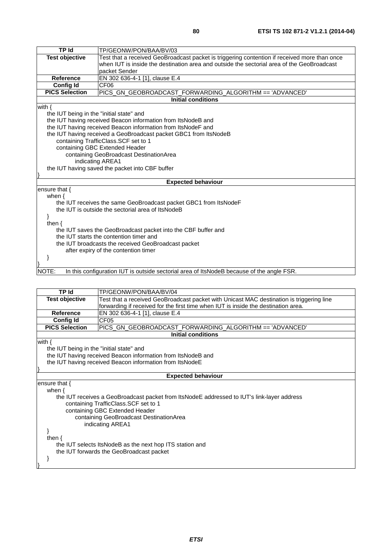| <b>TP Id</b>                                    | TP/GEONW/PON/BAA/BV/03                                                                       |  |
|-------------------------------------------------|----------------------------------------------------------------------------------------------|--|
| <b>Test objective</b>                           | Test that a received GeoBroadcast packet is triggering contention if received more than once |  |
|                                                 | when IUT is inside the destination area and outside the sectorial area of the GeoBroadcast   |  |
|                                                 | packet Sender                                                                                |  |
| <b>Reference</b>                                | EN 302 636-4-1 [1], clause E.4                                                               |  |
| <b>Config Id</b>                                | CF <sub>06</sub>                                                                             |  |
| <b>PICS Selection</b>                           | PICS_GN_GEOBROADCAST_FORWARDING_ALGORITHM == 'ADVANCED'                                      |  |
|                                                 | <b>Initial conditions</b>                                                                    |  |
| with $\{$                                       |                                                                                              |  |
| the IUT being in the "initial state" and        |                                                                                              |  |
|                                                 | the IUT having received Beacon information from ItsNodeB and                                 |  |
|                                                 | the IUT having received Beacon information from ItsNodeF and                                 |  |
|                                                 | the IUT having received a GeoBroadcast packet GBC1 from ItsNodeB                             |  |
|                                                 | containing TrafficClass.SCF set to 1                                                         |  |
| containing GBC Extended Header                  |                                                                                              |  |
| containing GeoBroadcast DestinationArea         |                                                                                              |  |
|                                                 | indicating AREA1                                                                             |  |
| the IUT having saved the packet into CBF buffer |                                                                                              |  |
|                                                 |                                                                                              |  |
|                                                 | <b>Expected behaviour</b>                                                                    |  |
| ensure that $\{$                                |                                                                                              |  |
| when $\{$                                       |                                                                                              |  |
|                                                 | the IUT receives the same GeoBroadcast packet GBC1 from ItsNodeF                             |  |
|                                                 | the IUT is outside the sectorial area of ItsNodeB                                            |  |
| ł                                               |                                                                                              |  |
| then $\{$                                       |                                                                                              |  |
|                                                 | the IUT saves the GeoBroadcast packet into the CBF buffer and                                |  |
| the IUT starts the contention timer and         |                                                                                              |  |
|                                                 | the IUT broadcasts the received GeoBroadcast packet                                          |  |
|                                                 | after expiry of the contention timer                                                         |  |
|                                                 |                                                                                              |  |
|                                                 |                                                                                              |  |
| NOTE:                                           | In this configuration IUT is outside sectorial area of ItsNodeB because of the angle FSR.    |  |

| TP Id                                                                                      | TP/GEONW/PON/BAA/BV/04                                                                   |  |  |
|--------------------------------------------------------------------------------------------|------------------------------------------------------------------------------------------|--|--|
| <b>Test objective</b>                                                                      | Test that a received GeoBroadcast packet with Unicast MAC destination is triggering line |  |  |
|                                                                                            | forwarding if received for the first time when IUT is inside the destination area.       |  |  |
| <b>Reference</b>                                                                           | EN 302 636-4-1 [1], clause E.4                                                           |  |  |
| <b>Config Id</b>                                                                           | CF <sub>05</sub>                                                                         |  |  |
| <b>PICS Selection</b>                                                                      | PICS_GN_GEOBROADCAST_FORWARDING_ALGORITHM == 'ADVANCED'                                  |  |  |
|                                                                                            | <b>Initial conditions</b>                                                                |  |  |
| with {                                                                                     |                                                                                          |  |  |
|                                                                                            | the IUT being in the "initial state" and                                                 |  |  |
|                                                                                            | the IUT having received Beacon information from ItsNodeB and                             |  |  |
|                                                                                            | the IUT having received Beacon information from ItsNodeE                                 |  |  |
|                                                                                            |                                                                                          |  |  |
| <b>Expected behaviour</b>                                                                  |                                                                                          |  |  |
| ensure that $\{$                                                                           |                                                                                          |  |  |
| when $\{$                                                                                  |                                                                                          |  |  |
| the IUT receives a GeoBroadcast packet from ItsNodeE addressed to IUT's link-layer address |                                                                                          |  |  |
| containing TrafficClass. SCF set to 1                                                      |                                                                                          |  |  |
| containing GBC Extended Header                                                             |                                                                                          |  |  |
| containing GeoBroadcast DestinationArea                                                    |                                                                                          |  |  |
| indicating AREA1                                                                           |                                                                                          |  |  |
|                                                                                            |                                                                                          |  |  |
|                                                                                            |                                                                                          |  |  |
| then $\{$                                                                                  |                                                                                          |  |  |

the IUT selects ItsNodeB as the next hop ITS station and

the IUT forwards the GeoBroadcast packet

 } }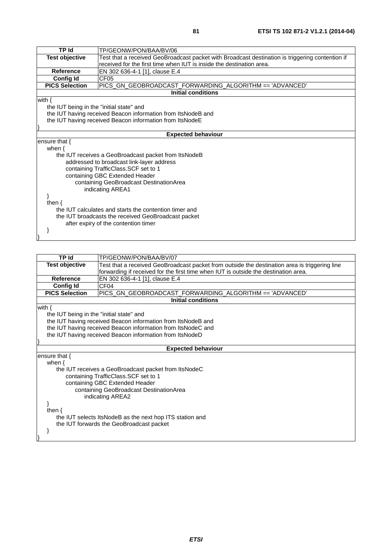| <b>TP Id</b>                                        | TP/GEONW/PON/BAA/BV/06                                                                          |  |
|-----------------------------------------------------|-------------------------------------------------------------------------------------------------|--|
| <b>Test objective</b>                               | Test that a received GeoBroadcast packet with Broadcast destination is triggering contention if |  |
|                                                     | received for the first time when IUT is inside the destination area.                            |  |
| <b>Reference</b>                                    | EN 302 636-4-1 [1], clause E.4                                                                  |  |
| <b>Config Id</b>                                    | CF <sub>05</sub>                                                                                |  |
| <b>PICS Selection</b>                               | PICS_GN_GEOBROADCAST_FORWARDING_ALGORITHM == 'ADVANCED'                                         |  |
|                                                     | <b>Initial conditions</b>                                                                       |  |
| with $\{$                                           |                                                                                                 |  |
| the IUT being in the "initial state" and            |                                                                                                 |  |
|                                                     | the IUT having received Beacon information from ItsNodeB and                                    |  |
|                                                     | the IUT having received Beacon information from ItsNodeE                                        |  |
|                                                     |                                                                                                 |  |
|                                                     | <b>Expected behaviour</b>                                                                       |  |
| ensure that {                                       |                                                                                                 |  |
| when $\{$                                           |                                                                                                 |  |
|                                                     | the IUT receives a GeoBroadcast packet from ItsNodeB                                            |  |
|                                                     | addressed to broadcast link-layer address                                                       |  |
|                                                     | containing TrafficClass.SCF set to 1                                                            |  |
| containing GBC Extended Header                      |                                                                                                 |  |
|                                                     | containing GeoBroadcast DestinationArea                                                         |  |
|                                                     | indicating AREA1                                                                                |  |
|                                                     |                                                                                                 |  |
| then $\{$                                           |                                                                                                 |  |
|                                                     | the IUT calculates and starts the contention timer and                                          |  |
| the IUT broadcasts the received GeoBroadcast packet |                                                                                                 |  |
|                                                     | after expiry of the contention timer                                                            |  |
|                                                     |                                                                                                 |  |
|                                                     |                                                                                                 |  |

| <b>TP Id</b>                             | TP/GEONW/PON/BAA/BV/07                                                                        |  |  |
|------------------------------------------|-----------------------------------------------------------------------------------------------|--|--|
| <b>Test objective</b>                    | Test that a received GeoBroadcast packet from outside the destination area is triggering line |  |  |
|                                          | forwarding if received for the first time when IUT is outside the destination area.           |  |  |
| Reference                                | EN 302 636-4-1 [1], clause E.4                                                                |  |  |
| <b>Config Id</b>                         | CF <sub>04</sub>                                                                              |  |  |
| <b>PICS Selection</b>                    | PICS_GN_GEOBROADCAST_FORWARDING_ALGORITHM == 'ADVANCED'                                       |  |  |
|                                          | <b>Initial conditions</b>                                                                     |  |  |
| with $\{$                                |                                                                                               |  |  |
| the IUT being in the "initial state" and |                                                                                               |  |  |
|                                          | the IUT having received Beacon information from ItsNodeB and                                  |  |  |
|                                          | the IUT having received Beacon information from ItsNodeC and                                  |  |  |
|                                          | the IUT having received Beacon information from ItsNodeD                                      |  |  |
|                                          |                                                                                               |  |  |
|                                          | <b>Expected behaviour</b>                                                                     |  |  |
| ensure that $\{$                         |                                                                                               |  |  |
| when $\{$                                |                                                                                               |  |  |
|                                          | the IUT receives a GeoBroadcast packet from ItsNodeC                                          |  |  |
|                                          | containing TrafficClass.SCF set to 1                                                          |  |  |
|                                          | containing GBC Extended Header                                                                |  |  |
| containing GeoBroadcast DestinationArea  |                                                                                               |  |  |
|                                          | indicating AREA2                                                                              |  |  |
|                                          |                                                                                               |  |  |
| then $\{$                                |                                                                                               |  |  |
|                                          | the IUT selects ItsNodeB as the next hop ITS station and                                      |  |  |
|                                          | the IUT forwards the GeoBroadcast packet                                                      |  |  |
|                                          |                                                                                               |  |  |
|                                          |                                                                                               |  |  |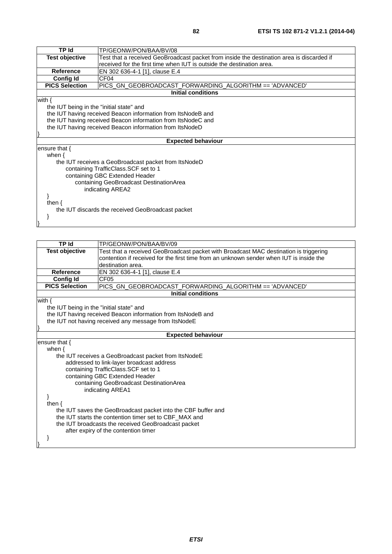| TP Id                                    | TP/GEONW/PON/BAA/BV/08                                                                    |  |  |
|------------------------------------------|-------------------------------------------------------------------------------------------|--|--|
| <b>Test objective</b>                    | Test that a received GeoBroadcast packet from inside the destination area is discarded if |  |  |
|                                          | received for the first time when IUT is outside the destination area.                     |  |  |
| <b>Reference</b>                         | EN 302 636-4-1 [1], clause E.4                                                            |  |  |
| <b>Config Id</b>                         | CF <sub>04</sub>                                                                          |  |  |
| <b>PICS Selection</b>                    | PICS_GN_GEOBROADCAST_FORWARDING_ALGORITHM == 'ADVANCED'                                   |  |  |
|                                          | <b>Initial conditions</b>                                                                 |  |  |
| with $\{$                                |                                                                                           |  |  |
| the IUT being in the "initial state" and |                                                                                           |  |  |
|                                          | the IUT having received Beacon information from ItsNodeB and                              |  |  |
|                                          | the IUT having received Beacon information from ItsNodeC and                              |  |  |
|                                          | the IUT having received Beacon information from ItsNodeD                                  |  |  |
|                                          |                                                                                           |  |  |
|                                          | <b>Expected behaviour</b>                                                                 |  |  |
| ensure that $\{$                         |                                                                                           |  |  |
| when $\{$                                |                                                                                           |  |  |
|                                          | the IUT receives a GeoBroadcast packet from ItsNodeD                                      |  |  |
|                                          | containing TrafficClass.SCF set to 1                                                      |  |  |
|                                          | containing GBC Extended Header                                                            |  |  |
| containing GeoBroadcast DestinationArea  |                                                                                           |  |  |
| indicating AREA2                         |                                                                                           |  |  |
|                                          |                                                                                           |  |  |
| then $\{$                                |                                                                                           |  |  |
|                                          | the IUT discards the received GeoBroadcast packet                                         |  |  |
|                                          |                                                                                           |  |  |
|                                          |                                                                                           |  |  |

| <b>TP Id</b>                                          | TP/GEONW/PON/BAA/BV/09                                                                                                                                                                                                                                                                                      |
|-------------------------------------------------------|-------------------------------------------------------------------------------------------------------------------------------------------------------------------------------------------------------------------------------------------------------------------------------------------------------------|
| <b>Test objective</b>                                 | Test that a received GeoBroadcast packet with Broadcast MAC destination is triggering<br>contention if received for the first time from an unknown sender when IUT is inside the<br>destination area.                                                                                                       |
| <b>Reference</b>                                      | EN 302 636-4-1 [1], clause E.4                                                                                                                                                                                                                                                                              |
| <b>Config Id</b>                                      |                                                                                                                                                                                                                                                                                                             |
| <b>PICS Selection</b>                                 | CF <sub>05</sub>                                                                                                                                                                                                                                                                                            |
|                                                       | PICS_GN_GEOBROADCAST_FORWARDING_ALGORITHM == 'ADVANCED'                                                                                                                                                                                                                                                     |
|                                                       | <b>Initial conditions</b>                                                                                                                                                                                                                                                                                   |
| with $\{$<br>the IUT being in the "initial state" and | the IUT having received Beacon information from ItsNodeB and<br>the IUT not having received any message from ItsNodeE                                                                                                                                                                                       |
|                                                       |                                                                                                                                                                                                                                                                                                             |
|                                                       | <b>Expected behaviour</b>                                                                                                                                                                                                                                                                                   |
| ensure that {<br>when $\{$<br>then $\{$               | the IUT receives a GeoBroadcast packet from ItsNodeE<br>addressed to link-layer broadcast address<br>containing TrafficClass.SCF set to 1<br>containing GBC Extended Header<br>containing GeoBroadcast DestinationArea<br>indicating AREA1<br>the IUT saves the GeoBroadcast packet into the CBF buffer and |
|                                                       | the IUT starts the contention timer set to CBF MAX and<br>the IUT broadcasts the received GeoBroadcast packet<br>after expiry of the contention timer                                                                                                                                                       |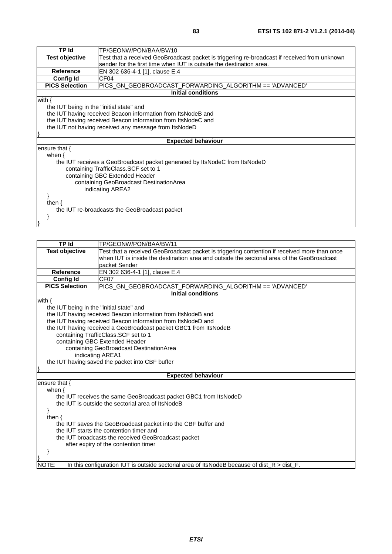| TP Id                                         | TP/GEONW/PON/BAA/BV/10                                                                       |  |  |
|-----------------------------------------------|----------------------------------------------------------------------------------------------|--|--|
| <b>Test objective</b>                         | Test that a received GeoBroadcast packet is triggering re-broadcast if received from unknown |  |  |
|                                               | sender for the first time when IUT is outside the destination area.                          |  |  |
| <b>Reference</b>                              | EN 302 636-4-1 [1], clause E.4                                                               |  |  |
| <b>Config Id</b>                              | CF <sub>04</sub>                                                                             |  |  |
| <b>PICS Selection</b>                         | PICS_GN_GEOBROADCAST_FORWARDING_ALGORITHM == 'ADVANCED'                                      |  |  |
|                                               | <b>Initial conditions</b>                                                                    |  |  |
| with $\{$                                     |                                                                                              |  |  |
| the IUT being in the "initial state" and      |                                                                                              |  |  |
|                                               | the IUT having received Beacon information from ItsNodeB and                                 |  |  |
|                                               | the IUT having received Beacon information from ItsNodeC and                                 |  |  |
|                                               | the IUT not having received any message from ItsNodeD                                        |  |  |
|                                               |                                                                                              |  |  |
|                                               | <b>Expected behaviour</b>                                                                    |  |  |
| ensure that $\{$                              |                                                                                              |  |  |
| when $\{$                                     |                                                                                              |  |  |
|                                               | the IUT receives a GeoBroadcast packet generated by ItsNodeC from ItsNodeD                   |  |  |
|                                               | containing TrafficClass.SCF set to 1                                                         |  |  |
|                                               | containing GBC Extended Header                                                               |  |  |
| containing GeoBroadcast DestinationArea       |                                                                                              |  |  |
| indicating AREA2                              |                                                                                              |  |  |
|                                               |                                                                                              |  |  |
| then $\{$                                     |                                                                                              |  |  |
| the IUT re-broadcasts the GeoBroadcast packet |                                                                                              |  |  |
|                                               |                                                                                              |  |  |
|                                               |                                                                                              |  |  |

| <b>TP Id</b>                                                  | TP/GEONW/PON/BAA/BV/11                                                                                                |  |  |
|---------------------------------------------------------------|-----------------------------------------------------------------------------------------------------------------------|--|--|
| <b>Test objective</b>                                         | Test that a received GeoBroadcast packet is triggering contention if received more than once                          |  |  |
|                                                               | when IUT is inside the destination area and outside the sectorial area of the GeoBroadcast                            |  |  |
|                                                               | packet Sender                                                                                                         |  |  |
| <b>Reference</b>                                              | EN 302 636-4-1 [1], clause E.4                                                                                        |  |  |
| <b>Config Id</b>                                              | CF <sub>07</sub>                                                                                                      |  |  |
| <b>PICS Selection</b>                                         | PICS_GN_GEOBROADCAST_FORWARDING_ALGORITHM == 'ADVANCED'                                                               |  |  |
|                                                               | <b>Initial conditions</b>                                                                                             |  |  |
| with $\{$                                                     |                                                                                                                       |  |  |
| the IUT being in the "initial state" and                      |                                                                                                                       |  |  |
|                                                               | the IUT having received Beacon information from ItsNodeB and                                                          |  |  |
|                                                               | the IUT having received Beacon information from ItsNodeD and                                                          |  |  |
|                                                               | the IUT having received a GeoBroadcast packet GBC1 from ItsNodeB                                                      |  |  |
|                                                               | containing TrafficClass.SCF set to 1                                                                                  |  |  |
|                                                               | containing GBC Extended Header                                                                                        |  |  |
|                                                               | containing GeoBroadcast DestinationArea                                                                               |  |  |
|                                                               | indicating AREA1                                                                                                      |  |  |
|                                                               | the IUT having saved the packet into CBF buffer                                                                       |  |  |
|                                                               |                                                                                                                       |  |  |
| <b>Expected behaviour</b>                                     |                                                                                                                       |  |  |
| ensure that {                                                 |                                                                                                                       |  |  |
|                                                               | when $\{$                                                                                                             |  |  |
|                                                               | the IUT receives the same GeoBroadcast packet GBC1 from ItsNodeD<br>the IUT is outside the sectorial area of ItsNodeB |  |  |
|                                                               |                                                                                                                       |  |  |
| then $\{$                                                     |                                                                                                                       |  |  |
| the IUT saves the GeoBroadcast packet into the CBF buffer and |                                                                                                                       |  |  |
| the IUT starts the contention timer and                       |                                                                                                                       |  |  |
| the IUT broadcasts the received GeoBroadcast packet           |                                                                                                                       |  |  |
| after expiry of the contention timer                          |                                                                                                                       |  |  |
| ł                                                             |                                                                                                                       |  |  |
|                                                               |                                                                                                                       |  |  |
| NOTE:                                                         | In this configuration IUT is outside sectorial area of ItsNodeB because of dist_R $>$ dist_F.                         |  |  |
|                                                               |                                                                                                                       |  |  |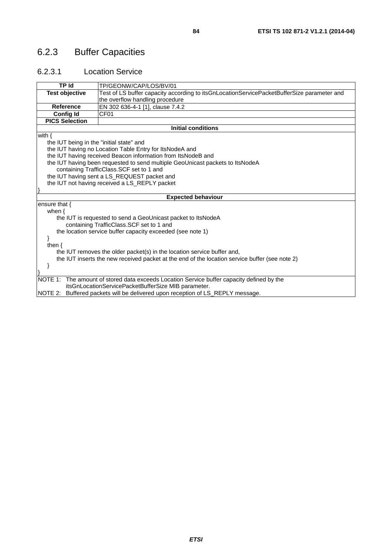# 6.2.3 Buffer Capacities

#### 6.2.3.1 Location Service

| <b>TP Id</b>                                                                                   | TP/GEONW/CAP/LOS/BV/01                                                                     |  |
|------------------------------------------------------------------------------------------------|--------------------------------------------------------------------------------------------|--|
| <b>Test objective</b>                                                                          | Test of LS buffer capacity according to itsGnLocationServicePacketBufferSize parameter and |  |
|                                                                                                | the overflow handling procedure                                                            |  |
| <b>Reference</b>                                                                               | EN 302 636-4-1 [1], clause 7.4.2                                                           |  |
| Config Id                                                                                      | CF <sub>01</sub>                                                                           |  |
| <b>PICS Selection</b>                                                                          |                                                                                            |  |
|                                                                                                | <b>Initial conditions</b>                                                                  |  |
| with $\{$                                                                                      |                                                                                            |  |
| the IUT being in the "initial state" and                                                       |                                                                                            |  |
|                                                                                                | the IUT having no Location Table Entry for ItsNodeA and                                    |  |
|                                                                                                | the IUT having received Beacon information from ItsNodeB and                               |  |
|                                                                                                | the IUT having been requested to send multiple GeoUnicast packets to ItsNodeA              |  |
|                                                                                                | containing TrafficClass. SCF set to 1 and                                                  |  |
|                                                                                                | the IUT having sent a LS_REQUEST packet and                                                |  |
| the IUT not having received a LS_REPLY packet                                                  |                                                                                            |  |
|                                                                                                |                                                                                            |  |
|                                                                                                | <b>Expected behaviour</b>                                                                  |  |
| ensure that $\{$                                                                               |                                                                                            |  |
| when $\{$                                                                                      |                                                                                            |  |
|                                                                                                | the IUT is requested to send a GeoUnicast packet to ItsNodeA                               |  |
|                                                                                                | containing TrafficClass.SCF set to 1 and                                                   |  |
|                                                                                                | the location service buffer capacity exceeded (see note 1)                                 |  |
|                                                                                                |                                                                                            |  |
| then $\{$                                                                                      |                                                                                            |  |
| the IUT removes the older packet(s) in the location service buffer and,                        |                                                                                            |  |
| the IUT inserts the new received packet at the end of the location service buffer (see note 2) |                                                                                            |  |
|                                                                                                |                                                                                            |  |
|                                                                                                |                                                                                            |  |
| NOTE 1:                                                                                        | The amount of stored data exceeds Location Service buffer capacity defined by the          |  |
|                                                                                                | itsGnLocationServicePacketBufferSize MIB parameter.                                        |  |
|                                                                                                | NOTE 2: Buffered packets will be delivered upon reception of LS_REPLY message.             |  |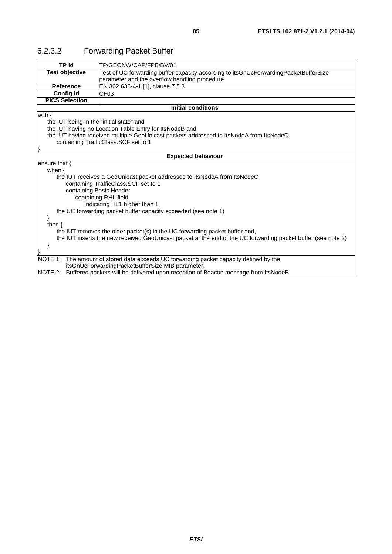| <b>TP Id</b>                                                                                                                                                                                 | TP/GEONW/CAP/FPB/BV/01                                                                    |
|----------------------------------------------------------------------------------------------------------------------------------------------------------------------------------------------|-------------------------------------------------------------------------------------------|
| <b>Test objective</b>                                                                                                                                                                        | Test of UC forwarding buffer capacity according to itsGnUcForwardingPacketBufferSize      |
|                                                                                                                                                                                              | parameter and the overflow handling procedure                                             |
| Reference                                                                                                                                                                                    | EN 302 636-4-1 [1], clause 7.5.3                                                          |
| <b>Config Id</b>                                                                                                                                                                             | CF <sub>03</sub>                                                                          |
| <b>PICS Selection</b>                                                                                                                                                                        |                                                                                           |
|                                                                                                                                                                                              | <b>Initial conditions</b>                                                                 |
| with $\{$                                                                                                                                                                                    |                                                                                           |
| the IUT being in the "initial state" and                                                                                                                                                     |                                                                                           |
|                                                                                                                                                                                              | the IUT having no Location Table Entry for ItsNodeB and                                   |
|                                                                                                                                                                                              | the IUT having received multiple GeoUnicast packets addressed to ItsNodeA from ItsNodeC   |
| containing TrafficClass.SCF set to 1                                                                                                                                                         |                                                                                           |
|                                                                                                                                                                                              |                                                                                           |
|                                                                                                                                                                                              | <b>Expected behaviour</b>                                                                 |
| ensure that $\{$                                                                                                                                                                             |                                                                                           |
| when $\{$                                                                                                                                                                                    |                                                                                           |
|                                                                                                                                                                                              | the IUT receives a GeoUnicast packet addressed to ItsNodeA from ItsNodeC                  |
|                                                                                                                                                                                              | containing TrafficClass. SCF set to 1                                                     |
| containing Basic Header                                                                                                                                                                      |                                                                                           |
| containing RHL field                                                                                                                                                                         |                                                                                           |
| indicating HL1 higher than 1                                                                                                                                                                 |                                                                                           |
| the UC forwarding packet buffer capacity exceeded (see note 1)                                                                                                                               |                                                                                           |
|                                                                                                                                                                                              |                                                                                           |
| then $\{$                                                                                                                                                                                    |                                                                                           |
| the IUT removes the older packet(s) in the UC forwarding packet buffer and,<br>the IUT inserts the new received GeoUnicast packet at the end of the UC forwarding packet buffer (see note 2) |                                                                                           |
|                                                                                                                                                                                              |                                                                                           |
|                                                                                                                                                                                              |                                                                                           |
|                                                                                                                                                                                              | NOTE 1: The amount of stored data exceeds UC forwarding packet capacity defined by the    |
|                                                                                                                                                                                              | itsGnUcForwardingPacketBufferSize MIB parameter.                                          |
|                                                                                                                                                                                              | NOTE 2: Buffered packets will be delivered upon reception of Beacon message from ItsNodeB |

## 6.2.3.2 Forwarding Packet Buffer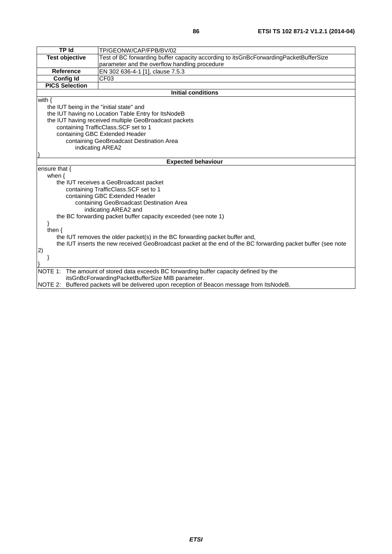| TP Id                                    |                                                                                                              |  |
|------------------------------------------|--------------------------------------------------------------------------------------------------------------|--|
|                                          | TP/GEONW/CAP/FPB/BV/02                                                                                       |  |
| <b>Test objective</b>                    | Test of BC forwarding buffer capacity according to itsGnBcForwardingPacketBufferSize                         |  |
|                                          | parameter and the overflow handling procedure                                                                |  |
| <b>Reference</b>                         | EN 302 636-4-1 [1], clause 7.5.3                                                                             |  |
| <b>Config Id</b>                         | CF03                                                                                                         |  |
| <b>PICS Selection</b>                    |                                                                                                              |  |
|                                          | <b>Initial conditions</b>                                                                                    |  |
| with $\{$                                |                                                                                                              |  |
| the IUT being in the "initial state" and |                                                                                                              |  |
|                                          | the IUT having no Location Table Entry for ItsNodeB                                                          |  |
|                                          | the IUT having received multiple GeoBroadcast packets                                                        |  |
|                                          | containing TrafficClass. SCF set to 1                                                                        |  |
|                                          | containing GBC Extended Header                                                                               |  |
|                                          | containing GeoBroadcast Destination Area                                                                     |  |
|                                          | indicating AREA2                                                                                             |  |
|                                          |                                                                                                              |  |
|                                          | <b>Expected behaviour</b>                                                                                    |  |
| ensure that {                            |                                                                                                              |  |
| when $\{$                                |                                                                                                              |  |
|                                          | the IUT receives a GeoBroadcast packet                                                                       |  |
|                                          | containing TrafficClass.SCF set to 1                                                                         |  |
|                                          | containing GBC Extended Header                                                                               |  |
| containing GeoBroadcast Destination Area |                                                                                                              |  |
|                                          | indicating AREA2 and                                                                                         |  |
|                                          | the BC forwarding packet buffer capacity exceeded (see note 1)                                               |  |
|                                          |                                                                                                              |  |
| then $\{$                                |                                                                                                              |  |
|                                          | the IUT removes the older packet(s) in the BC forwarding packet buffer and,                                  |  |
|                                          | the IUT inserts the new received GeoBroadcast packet at the end of the BC forwarding packet buffer (see note |  |
| 2)                                       |                                                                                                              |  |
|                                          |                                                                                                              |  |
|                                          |                                                                                                              |  |
| NOTE 1:                                  | The amount of stored data exceeds BC forwarding buffer capacity defined by the                               |  |
|                                          | itsGnBcForwardingPacketBufferSize MIB parameter.                                                             |  |
|                                          | NOTE 2: Buffered packets will be delivered upon reception of Beacon message from ItsNodeB.                   |  |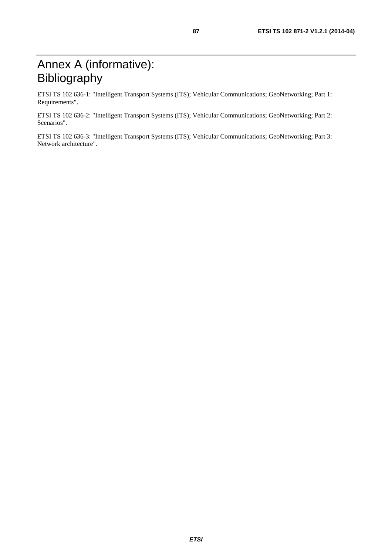ETSI TS 102 636-1: "Intelligent Transport Systems (ITS); Vehicular Communications; GeoNetworking; Part 1: Requirements".

ETSI TS 102 636-2: "Intelligent Transport Systems (ITS); Vehicular Communications; GeoNetworking; Part 2: Scenarios".

ETSI TS 102 636-3: "Intelligent Transport Systems (ITS); Vehicular Communications; GeoNetworking; Part 3: Network architecture".